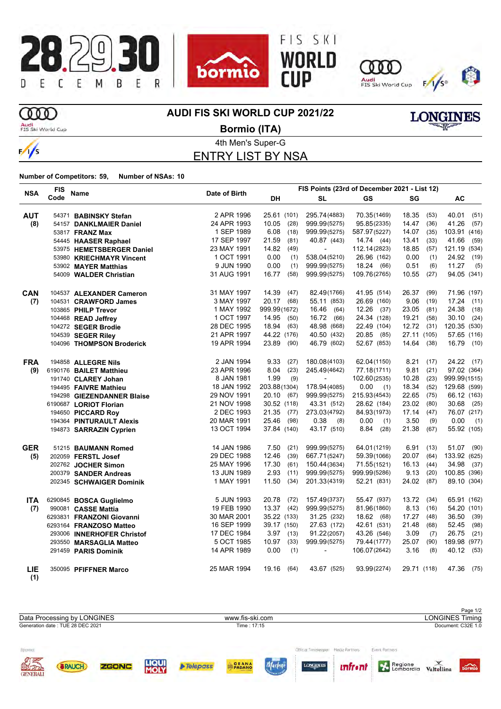







**LONGINES** 

## **OOD**

**AUDI FIS SKI WORLD CUP 2021/22**



 $\frac{1}{s}$ 

4th Men's Super-G **Bormio (ITA)**

ENTRY LIST BY NSA

| <b>NSA</b> | <b>FIS</b> | <b>Name</b>                | Date of Birth | FIS Points (23rd of December 2021 - List 12) |                |              |               |               |
|------------|------------|----------------------------|---------------|----------------------------------------------|----------------|--------------|---------------|---------------|
|            | Code       |                            |               | DH                                           | <b>SL</b>      | <b>GS</b>    | SG            | AC            |
| <b>AUT</b> |            | 54371 BABINSKY Stefan      | 2 APR 1996    | 25.61 (101)                                  | 295.74(4883)   | 70.35(1469)  | 18.35<br>(53) | 40.01<br>(51) |
| (8)        |            | 54157 DANKLMAIER Daniel    | 24 APR 1993   | 10.05<br>(28)                                | 999.99(5275)   | 95.85(2335)  | 14.47<br>(36) | 41.26<br>(57) |
|            |            | 53817 <b>FRANZ Max</b>     | 1 SEP 1989    | 6.08<br>(18)                                 | 999.99(5275)   | 587.97(5227) | 14.07<br>(35) | 103.91 (416)  |
|            |            | 54445 HAASER Raphael       | 17 SEP 1997   | 21.59<br>(81)                                | 40.87 (443)    | 14.74 (44)   | (33)<br>13.41 | 41.66<br>(59) |
|            |            | 53975 HEMETSBERGER Daniel  | 23 MAY 1991   | 14.82<br>(49)                                | $\mathbf{r}$   | 112.14(2823) | 18.85<br>(57) | 121.19 (534)  |
|            |            | 53980 KRIECHMAYR Vincent   | 1 OCT 1991    | 0.00<br>(1)                                  | 538.04(5210)   | 26.96 (162)  | 0.00<br>(1)   | 24.92<br>(19) |
|            |            | 53902 MAYER Matthias       | 9 JUN 1990    | 0.00<br>(1)                                  | 999.99(5275)   | 18.24 (66)   | 0.51<br>(6)   | 11.27<br>(5)  |
|            |            | 54009 WALDER Christian     | 31 AUG 1991   | 16.77<br>(58)                                | 999.99(5275)   | 109.76(2765) | 10.55<br>(27) | 94.05 (341)   |
| <b>CAN</b> |            | 104537 ALEXANDER Cameron   | 31 MAY 1997   | 14.39<br>(47)                                | 82.49(1766)    | 41.95 (514)  | 26.37<br>(99) | 71.96 (197)   |
| (7)        |            | 104531 CRAWFORD James      | 3 MAY 1997    | 20.17 (68)                                   | 55.11 (853)    | 26.69 (160)  | 9.06<br>(19)  | $17.24$ (11)  |
|            |            | 103865 PHILP Trevor        | 1 MAY 1992    | 999.99(1672)                                 | 16.46<br>(64)  | $12.26$ (37) | 23.05<br>(81) | 24.38<br>(18) |
|            |            | 104468 READ Jeffrey        | 1 OCT 1997    | 14.95<br>(50)                                | 16.72 (66)     | 24.34 (128)  | 19.21<br>(58) | 30.10<br>(24) |
|            |            | 104272 SEGER Brodie        | 28 DEC 1995   | 18.94<br>(63)                                | 48.98 (668)    | 22.49 (104)  | $12.72$ (31)  | 120.35 (530)  |
|            |            | 104539 SEGER Riley         | 21 APR 1997   | 44.22 (176)                                  | 40.50 (432)    | 20.85 (85)   | 27.11 (105)   | 57.65 (116)   |
|            |            | 104096 THOMPSON Broderick  | 19 APR 1994   | 23.89<br>(90)                                | 46.79 (602)    | 52.67 (853)  | 14.64 (38)    | 16.79<br>(10) |
| <b>FRA</b> |            | 194858 ALLEGRE Nils        | 2 JAN 1994    | 9.33<br>(27)                                 | 180.08(4103)   | 62.04(1150)  | 8.21<br>(17)  | 24.22 (17)    |
| (9)        |            | 6190176 BAILET Matthieu    | 23 APR 1996   | 8.04<br>(23)                                 | 245.49(4642)   | 77.18(1711)  | 9.81<br>(21)  | 97.02 (364)   |
|            |            | 191740 CLAREY Johan        | 8 JAN 1981    | 1.99<br>(9)                                  | $\blacksquare$ | 102.60(2535) | 10.28<br>(23) | 999.99(1515)  |
|            |            | 194495 FAIVRE Mathieu      | 18 JAN 1992   | 203.88(1304)                                 | 178.94 (4085)  | 0.00<br>(1)  | 18.34<br>(52) | 129.68 (599)  |
|            |            | 194298 GIEZENDANNER Blaise | 29 NOV 1991   | 20.10 (67)                                   | 999.99(5275)   | 215.93(4543) | 22.65<br>(75) | 66.12 (163)   |
|            |            | 6190687 LORIOT Florian     | 21 NOV 1998   | 30.52 (118)                                  | 43.31 (512)    | 28.62 (184)  | 23.02<br>(80) | $30.68$ (25)  |
|            |            | 194650 PICCARD Roy         | 2 DEC 1993    | 21.35<br>(77)                                | 273.03(4792)   | 84.93(1973)  | 17.14<br>(47) | 76.07 (217)   |
|            |            | 194364 PINTURAULT Alexis   | 20 MAR 1991   | 25.46<br>(98)                                | 0.38<br>(8)    | 0.00<br>(1)  | 3.50<br>(9)   | 0.00<br>(1)   |
|            |            | 194873 SARRAZIN Cyprien    | 13 OCT 1994   | 37.84 (140)                                  | 43.17 (510)    | 8.84<br>(28) | 21.38<br>(67) | 55.92 (105)   |
| <b>GER</b> |            | 51215 BAUMANN Romed        | 14 JAN 1986   | 7.50<br>(21)                                 | 999.99(5275)   | 64.01(1219)  | 6.91<br>(13)  | 51.07 (90)    |
| (5)        |            | 202059 FERSTL Josef        | 29 DEC 1988   | 12.46<br>(39)                                | 667.71(5247)   | 59.39(1066)  | 20.07<br>(64) | 133.92 (625)  |
|            |            | 202762 JOCHER Simon        | 25 MAY 1996   | 17.30<br>(61)                                | 150.44(3634)   | 71.55(1521)  | 16.13<br>(44) | 34.98<br>(37) |
|            |            | 200379 SANDER Andreas      | 13 JUN 1989   | 2.93<br>(11)                                 | 999.99(5275)   | 999.99(5286) | 9.13<br>(20)  | 100.85 (396)  |
|            |            | 202345 SCHWAIGER Dominik   | 1 MAY 1991    | 11.50<br>(34)                                | 201.33(4319)   | 52.21 (831)  | 24.02<br>(87) | 89.10 (304)   |
| <b>ITA</b> |            | 6290845 BOSCA Guglielmo    | 5 JUN 1993    | 20.78<br>(72)                                | 157.49(3737)   | 55.47 (937)  | 13.72<br>(34) | 65.91 (162)   |
| (7)        |            | 990081 CASSE Mattia        | 19 FEB 1990   | 13.37<br>(42)                                | 999.99(5275)   | 81.96(1860)  | 8.13<br>(16)  | 54.20 (101)   |
|            |            | 6293831 FRANZONI Giovanni  | 30 MAR 2001   | 35.22 (133)                                  | 31.25 (232)    | 18.62 (68)   | 17.27<br>(48) | 36.50<br>(39) |
|            |            | 6293164 FRANZOSO Matteo    | 16 SEP 1999   | 39.17 (150)                                  | 27.63 (172)    | 42.61 (531)  | 21.48<br>(68) | 52.45<br>(98) |
|            |            | 293006 INNERHOFER Christof | 17 DEC 1984   | $3.97$ (13)                                  | 91.22(2057)    | 43.26 (546)  | 3.09<br>(7)   | 26.75<br>(21) |
|            |            | 293550 MARSAGLIA Matteo    | 5 OCT 1985    | 10.97<br>(33)                                | 999.99(5275)   | 79.44(1777)  | 25.07<br>(90) | 189.98 (977)  |
|            |            | 291459 PARIS Dominik       | 14 APR 1989   | 0.00<br>(1)                                  | $\blacksquare$ | 106.07(2642) | 3.16<br>(8)   | 40.12 (53)    |
| LIE<br>(1) |            | 350095 PFIFFNER Marco      | 25 MAR 1994   | 19.16 (64)                                   | 43.67 (525)    | 93.99(2274)  | 29.71 (118)   | 47.36 (75)    |

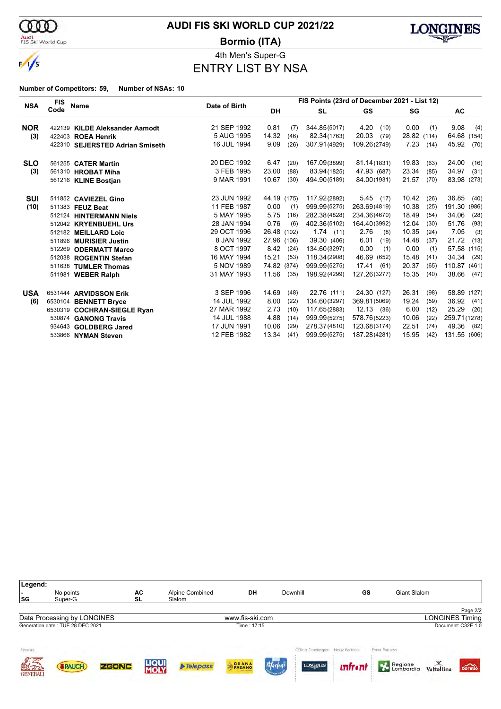

 $\frac{1}{\sqrt{2}}$ 

Audi<br>FIS Ski World Cup

## **AUDI FIS SKI WORLD CUP 2021/22**

**Bormio (ITA)**



4th Men's Super-G ENTRY LIST BY NSA

|            | <b>FIS</b> |                                 |             | FIS Points (23rd of December 2021 - List 12)<br>Date of Birth |              |               |               |                 |  |
|------------|------------|---------------------------------|-------------|---------------------------------------------------------------|--------------|---------------|---------------|-----------------|--|
| <b>NSA</b> | Code       | Name                            |             | <b>DH</b>                                                     | <b>SL</b>    | <b>GS</b>     | SG            | <b>AC</b>       |  |
| <b>NOR</b> |            | 422139 KILDE Aleksander Aamodt  | 21 SEP 1992 | 0.81<br>(7)                                                   | 344.85(5017) | 4.20<br>(10)  | 0.00<br>(1)   | 9.08<br>(4)     |  |
| (3)        |            | 422403 ROEA Henrik              | 5 AUG 1995  | 14.32<br>(46)                                                 | 82.34(1763)  | 20.03<br>(79) | 28.82 (114)   | 64.68<br>(154)  |  |
|            |            | 422310 SEJERSTED Adrian Smiseth | 16 JUL 1994 | 9.09<br>(26)                                                  | 307.91(4929) | 109.26(2749)  | 7.23(14)      | 45.92<br>(70)   |  |
|            |            |                                 |             |                                                               |              |               |               |                 |  |
| <b>SLO</b> |            | 561255 CATER Martin             | 20 DEC 1992 | 6.47<br>(20)                                                  | 167.09(3899) | 81.14(1831)   | 19.83<br>(63) | 24.00<br>(16)   |  |
| (3)        |            | 561310 HROBAT Miha              | 3 FEB 1995  | 23.00<br>(88)                                                 | 83.94(1825)  | 47.93 (687)   | 23.34<br>(85) | 34.97<br>(31)   |  |
|            |            | 561216 KLINE Bostjan            | 9 MAR 1991  | 10.67<br>(30)                                                 | 494.90(5189) | 84.00(1931)   | 21.57<br>(70) | 83.98<br>(273)  |  |
| SUI        |            | 511852 CAVIEZEL Gino            | 23 JUN 1992 | 44.19 (175)                                                   | 117.92(2892) | 5.45(17)      | 10.42<br>(26) | 36.85<br>(40)   |  |
| (10)       |            | 511383 FEUZ Beat                | 11 FEB 1987 | 0.00<br>(1)                                                   | 999.99(5275) | 263.69(4819)  | 10.38<br>(25) | 191.30<br>(986) |  |
|            |            | 512124 HINTERMANN Niels         | 5 MAY 1995  | 5.75<br>(16)                                                  | 282.38(4828) | 234.36(4670)  | 18.49<br>(54) | 34.06<br>(28)   |  |
|            |            | 512042 KRYENBUEHL Urs           | 28 JAN 1994 | 0.76<br>(6)                                                   | 402.36(5102) | 164.40(3992)  | 12.04<br>(30) | 51.76<br>(93)   |  |
|            |            | 512182 MEILLARD Loic            | 29 OCT 1996 | 26.48 (102)                                                   | 1.74(11)     | 2.76<br>(8)   | 10.35<br>(24) | 7.05<br>(3)     |  |
|            |            | 511896 MURISIER Justin          | 8 JAN 1992  | 27.96 (106)                                                   | 39.30 (406)  | 6.01<br>(19)  | 14.48<br>(37) | 21.72<br>(13)   |  |
|            | 512269     | <b>ODERMATT Marco</b>           | 8 OCT 1997  | 8.42<br>(24)                                                  | 134.60(3297) | 0.00<br>(1)   | 0.00<br>(1)   | 57.58<br>(115)  |  |
|            |            | 512038 ROGENTIN Stefan          | 16 MAY 1994 | 15.21<br>(53)                                                 | 118.34(2908) | 46.69 (652)   | 15.48<br>(41) | 34.34<br>(29)   |  |
|            |            | 511638 TUMLER Thomas            | 5 NOV 1989  | 74.82 (374)                                                   | 999.99(5275) | 17.41<br>(61) | 20.37<br>(65) | 110.87<br>(461) |  |
|            |            | 511981 WEBER Ralph              | 31 MAY 1993 | 11.56<br>(35)                                                 | 198.92(4299) | 127.26(3277)  | 15.35<br>(40) | 38.66<br>(47)   |  |
| <b>USA</b> |            | 6531444 ARVIDSSON Erik          | 3 SEP 1996  | 14.69<br>(48)                                                 | 22.76 (111)  | 24.30 (127)   | 26.31<br>(98) | 58.89 (127)     |  |
| (6)        |            | 6530104 BENNETT Bryce           | 14 JUL 1992 | 8.00<br>(22)                                                  | 134.60(3297) | 369.81 (5069) | 19.24<br>(59) | 36.92<br>(41)   |  |
|            |            | 6530319 COCHRAN-SIEGLE Ryan     | 27 MAR 1992 | 2.73<br>(10)                                                  | 117.65(2883) | 12.13 (36)    | 6.00<br>(12)  | 25.29<br>(20)   |  |
|            |            | 530874 GANONG Travis            | 14 JUL 1988 | 4.88<br>(14)                                                  | 999.99(5275) | 578.76(5223)  | 10.06<br>(22) | 259.71 (1278)   |  |
|            |            | 934643 GOLDBERG Jared           | 17 JUN 1991 | 10.06<br>(29)                                                 | 278.37(4810) | 123.68(3174)  | 22.51<br>(74) | 49.36<br>(82)   |  |
|            |            | 533866 NYMAN Steven             | 12 FEB 1982 | 13.34<br>(41)                                                 | 999.99(5275) | 187.28(4281)  | 15.95<br>(42) | 131.55 (606)    |  |

| Legend:                 |                                  |              |                      |                           |                                                           |                      |                |                |              |                        |                             |
|-------------------------|----------------------------------|--------------|----------------------|---------------------------|-----------------------------------------------------------|----------------------|----------------|----------------|--------------|------------------------|-----------------------------|
| SG                      | No points<br>Super-G             |              | AC<br>SL             | Alpine Combined<br>Slalom | DH                                                        | Downhill             | GS             |                | Giant Slalom |                        |                             |
|                         |                                  |              |                      |                           |                                                           |                      |                |                |              |                        | Page 2/2                    |
|                         | Data Processing by LONGINES      |              |                      |                           | www.fis-ski.com                                           |                      |                |                |              | <b>LONGINES Timing</b> |                             |
|                         | Generation date: TUE 28 DEC 2021 |              |                      |                           | Time: 17:15                                               |                      |                |                |              |                        | Document: C32E 1.0          |
| Sponsor                 |                                  |              |                      |                           |                                                           | Official Timelerenes | Media Partners | Event Partners |              |                        |                             |
| まいこと<br><b>GENERALI</b> | RAUCH                            | <b>ZGONC</b> | <b>LIQUI</b><br>MOLY | <b>Telepass</b>           | <b>GRANA</b><br>PADANO<br><b><i><u>DAUGH CHEM</u></i></b> | <b>LONGINES</b>      | <i>unfront</i> |                | Regione      | Valtellina             | $\overbrace{\text{bornio}}$ |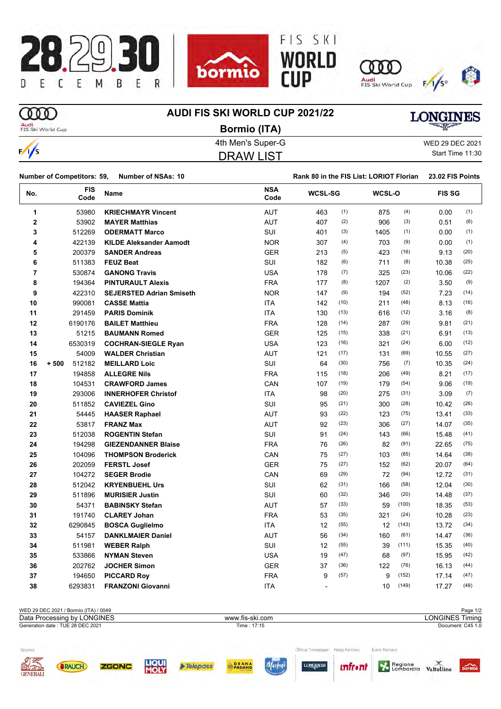

#### $\infty$ **AUDI FIS SKI WORLD CUP 2021/22 LONGINES** Audi<br>FIS Ski World Cup **Bormio (ITA)** 4th Men's Super-G WED 29 DEC 2021  $\frac{1}{s}$

DRAW LIST

Start Time 11:30

**Number of Competitors: 59, Number of NSAs: 10 Rank 80 in the FIS List: LORIOT Florian** 23.02 FIS Points

| No. | <b>FIS</b><br>Code | Name                            | <b>NSA</b><br>Code | <b>WCSL-SG</b>           |      | WCSL-O |       | <b>FIS SG</b> |      |
|-----|--------------------|---------------------------------|--------------------|--------------------------|------|--------|-------|---------------|------|
| 1   | 53980              | <b>KRIECHMAYR Vincent</b>       | <b>AUT</b>         | 463                      | (1)  | 875    | (4)   | 0.00          | (1)  |
| 2   | 53902              | <b>MAYER Matthias</b>           | <b>AUT</b>         | 407                      | (2)  | 906    | (3)   | 0.51          | (6)  |
| 3   | 512269             | <b>ODERMATT Marco</b>           | SUI                | 401                      | (3)  | 1405   | (1)   | 0.00          | (1)  |
| 4   | 422139             | <b>KILDE Aleksander Aamodt</b>  | <b>NOR</b>         | 307                      | (4)  | 703    | (9)   | 0.00          | (1)  |
| 5   | 200379             | <b>SANDER Andreas</b>           | <b>GER</b>         | 213                      | (5)  | 423    | (16)  | 9.13          | (20) |
| 6   | 511383             | <b>FEUZ Beat</b>                | SUI                | 182                      | (6)  | 711    | (8)   | 10.38         | (25) |
| 7   | 530874             | <b>GANONG Travis</b>            | <b>USA</b>         | 178                      | (7)  | 325    | (23)  | 10.06         | (22) |
| 8   | 194364             | <b>PINTURAULT Alexis</b>        | <b>FRA</b>         | 177                      | (8)  | 1207   | (2)   | 3.50          | (9)  |
| 9   | 422310             | <b>SEJERSTED Adrian Smiseth</b> | <b>NOR</b>         | 147                      | (9)  | 194    | (52)  | 7.23          | (14) |
| 10  | 990081             | <b>CASSE Mattia</b>             | <b>ITA</b>         | 142                      | (10) | 211    | (48)  | 8.13          | (16) |
| 11  | 291459             | <b>PARIS Dominik</b>            | <b>ITA</b>         | 130                      | (13) | 616    | (12)  | 3.16          | (8)  |
| 12  | 6190176            | <b>BAILET Matthieu</b>          | <b>FRA</b>         | 128                      | (14) | 287    | (29)  | 9.81          | (21) |
| 13  | 51215              | <b>BAUMANN Romed</b>            | <b>GER</b>         | 125                      | (15) | 338    | (21)  | 6.91          | (13) |
| 14  | 6530319            | <b>COCHRAN-SIEGLE Ryan</b>      | <b>USA</b>         | 123                      | (16) | 321    | (24)  | 6.00          | (12) |
| 15  | 54009              | <b>WALDER Christian</b>         | <b>AUT</b>         | 121                      | (17) | 131    | (69)  | 10.55         | (27) |
| 16  | 512182<br>$+500$   | <b>MEILLARD Loic</b>            | SUI                | 64                       | (30) | 756    | (7)   | 10.35         | (24) |
| 17  | 194858             | <b>ALLEGRE Nils</b>             | <b>FRA</b>         | 115                      | (18) | 206    | (49)  | 8.21          | (17) |
| 18  | 104531             | <b>CRAWFORD James</b>           | CAN                | 107                      | (19) | 179    | (54)  | 9.06          | (19) |
| 19  | 293006             | <b>INNERHOFER Christof</b>      | <b>ITA</b>         | 98                       | (20) | 275    | (31)  | 3.09          | (7)  |
| 20  | 511852             | <b>CAVIEZEL Gino</b>            | SUI                | 95                       | (21) | 300    | (28)  | 10.42         | (26) |
| 21  | 54445              | <b>HAASER Raphael</b>           | <b>AUT</b>         | 93                       | (22) | 123    | (75)  | 13.41         | (33) |
| 22  | 53817              | <b>FRANZ Max</b>                | <b>AUT</b>         | 92                       | (23) | 306    | (27)  | 14.07         | (35) |
| 23  | 512038             | <b>ROGENTIN Stefan</b>          | SUI                | 91                       | (24) | 143    | (66)  | 15.48         | (41) |
| 24  | 194298             | <b>GIEZENDANNER Blaise</b>      | <b>FRA</b>         | 76                       | (26) | 82     | (91)  | 22.65         | (75) |
| 25  | 104096             | <b>THOMPSON Broderick</b>       | CAN                | 75                       | (27) | 103    | (85)  | 14.64         | (38) |
| 26  | 202059             | <b>FERSTL Josef</b>             | <b>GER</b>         | 75                       | (27) | 152    | (62)  | 20.07         | (64) |
| 27  | 104272             | <b>SEGER Brodie</b>             | CAN                | 69                       | (29) | 72     | (94)  | 12.72         | (31) |
| 28  | 512042             | <b>KRYENBUEHL Urs</b>           | <b>SUI</b>         | 62                       | (31) | 166    | (58)  | 12.04         | (30) |
| 29  | 511896             | <b>MURISIER Justin</b>          | <b>SUI</b>         | 60                       | (32) | 346    | (20)  | 14.48         | (37) |
| 30  | 54371              | <b>BABINSKY Stefan</b>          | <b>AUT</b>         | 57                       | (33) | 59     | (100) | 18.35         | (53) |
| 31  | 191740             | <b>CLAREY Johan</b>             | <b>FRA</b>         | 53                       | (35) | 321    | (24)  | 10.28         | (23) |
| 32  | 6290845            | <b>BOSCA Guglielmo</b>          | <b>ITA</b>         | 12                       | (55) | 12     | (143) | 13.72         | (34) |
| 33  | 54157              | <b>DANKLMAIER Daniel</b>        | <b>AUT</b>         | 56                       | (34) | 160    | (61)  | 14.47         | (36) |
| 34  | 511981             | <b>WEBER Ralph</b>              | SUI                | 12                       | (55) | 39     | (111) | 15.35         | (40) |
| 35  | 533866             | <b>NYMAN Steven</b>             | <b>USA</b>         | 19                       | (47) | 68     | (97)  | 15.95         | (42) |
| 36  | 202762             | <b>JOCHER Simon</b>             | <b>GER</b>         | 37                       | (36) | 122    | (76)  | 16.13         | (44) |
| 37  | 194650             | <b>PICCARD Roy</b>              | <b>FRA</b>         | 9                        | (57) | 9      | (152) | 17.14         | (47) |
| 38  | 6293831            | <b>FRANZONI Giovanni</b>        | <b>ITA</b>         | $\overline{\phantom{a}}$ |      | 10     | (149) | 17.27         | (48) |

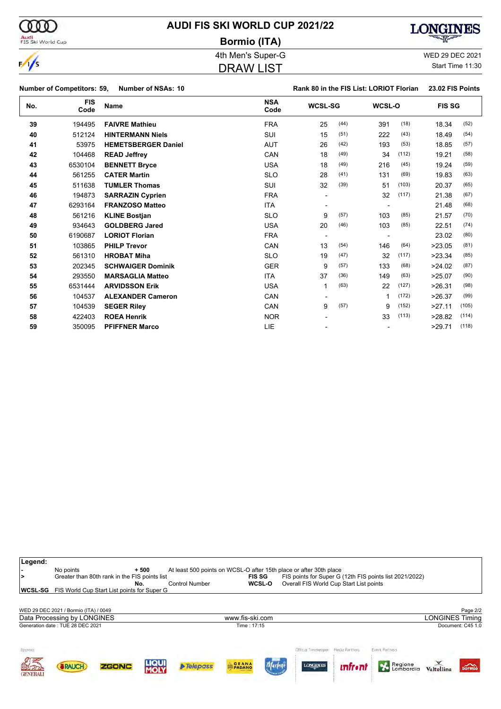| (000)                             | <b>AUDI FIS SKI WORLD CUP 2021/22</b> |                                         | <b>LONGINES</b>  |
|-----------------------------------|---------------------------------------|-----------------------------------------|------------------|
| Audi<br>FIS Ski World Cup         | <b>Bormio (ITA)</b>                   |                                         | <b>CONSTANT</b>  |
|                                   | 4th Men's Super-G                     |                                         | WED 29 DEC 2021  |
| $\frac{1}{s}$                     | <b>DRAW LIST</b>                      |                                         | Start Time 11:30 |
| <b>Number of Competitors: 59,</b> | Number of NSAs: 10                    | Rank 80 in the FIS List: LORIOT Florian | 23.02 FIS Points |

| No. | <b>FIS</b><br>Code | <b>Name</b>                | <b>NSA</b><br>Code | <b>WCSL-SG</b>           |      | WCSL-O                   |       | <b>FIS SG</b> |       |
|-----|--------------------|----------------------------|--------------------|--------------------------|------|--------------------------|-------|---------------|-------|
| 39  | 194495             | <b>FAIVRE Mathieu</b>      | <b>FRA</b>         | 25                       | (44) | 391                      | (18)  | 18.34         | (52)  |
| 40  | 512124             | <b>HINTERMANN Niels</b>    | SUI                | 15                       | (51) | 222                      | (43)  | 18.49         | (54)  |
| 41  | 53975              | <b>HEMETSBERGER Daniel</b> | <b>AUT</b>         | 26                       | (42) | 193                      | (53)  | 18.85         | (57)  |
| 42  | 104468             | <b>READ Jeffrey</b>        | CAN                | 18                       | (49) | 34                       | (112) | 19.21         | (58)  |
| 43  | 6530104            | <b>BENNETT Bryce</b>       | <b>USA</b>         | 18                       | (49) | 216                      | (45)  | 19.24         | (59)  |
| 44  | 561255             | <b>CATER Martin</b>        | <b>SLO</b>         | 28                       | (41) | 131                      | (69)  | 19.83         | (63)  |
| 45  | 511638             | <b>TUMLER Thomas</b>       | SUI                | 32                       | (39) | 51                       | (103) | 20.37         | (65)  |
| 46  | 194873             | <b>SARRAZIN Cyprien</b>    | <b>FRA</b>         |                          |      | 32                       | (117) | 21.38         | (67)  |
| 47  | 6293164            | <b>FRANZOSO Matteo</b>     | <b>ITA</b>         |                          |      |                          |       | 21.48         | (68)  |
| 48  | 561216             | <b>KLINE Bostjan</b>       | <b>SLO</b>         | 9                        | (57) | 103                      | (85)  | 21.57         | (70)  |
| 49  | 934643             | <b>GOLDBERG Jared</b>      | <b>USA</b>         | 20                       | (46) | 103                      | (85)  | 22.51         | (74)  |
| 50  | 6190687            | <b>LORIOT Florian</b>      | <b>FRA</b>         | $\overline{\phantom{a}}$ |      | $\overline{\phantom{0}}$ |       | 23.02         | (80)  |
| 51  | 103865             | <b>PHILP Trevor</b>        | CAN                | 13                       | (54) | 146                      | (64)  | >23.05        | (81)  |
| 52  | 561310             | <b>HROBAT Miha</b>         | <b>SLO</b>         | 19                       | (47) | 32                       | (117) | >23.34        | (85)  |
| 53  | 202345             | <b>SCHWAIGER Dominik</b>   | <b>GER</b>         | 9                        | (57) | 133                      | (68)  | >24.02        | (87)  |
| 54  | 293550             | <b>MARSAGLIA Matteo</b>    | <b>ITA</b>         | 37                       | (36) | 149                      | (63)  | >25.07        | (90)  |
| 55  | 6531444            | <b>ARVIDSSON Erik</b>      | <b>USA</b>         | 1                        | (63) | 22                       | (127) | >26.31        | (98)  |
| 56  | 104537             | <b>ALEXANDER Cameron</b>   | CAN                |                          |      |                          | (172) | >26.37        | (99)  |
| 57  | 104539             | <b>SEGER Riley</b>         | CAN                | 9                        | (57) | 9                        | (152) | >27.11        | (105) |
| 58  | 422403             | <b>ROEA Henrik</b>         | <b>NOR</b>         |                          |      | 33                       | (113) | >28.82        | (114) |
| 59  | 350095             | <b>PFIFFNER Marco</b>      | LIE                |                          |      |                          |       | >29.71        | (118) |

|                 | No points                                   |                                               | $+500$               | At least 500 points on WCSL-O after 15th place or after 30th place |                    |               |                                         |                |                                                         |                        |                             |
|-----------------|---------------------------------------------|-----------------------------------------------|----------------------|--------------------------------------------------------------------|--------------------|---------------|-----------------------------------------|----------------|---------------------------------------------------------|------------------------|-----------------------------|
|                 |                                             | Greater than 80th rank in the FIS points list | No.                  | <b>Control Number</b>                                              | <b>FIS SG</b>      | <b>WCSL-O</b> | Overall FIS World Cup Start List points |                | FIS points for Super G (12th FIS points list 2021/2022) |                        |                             |
| <b>WCSL-SG</b>  | FIS World Cup Start List points for Super G |                                               |                      |                                                                    |                    |               |                                         |                |                                                         |                        |                             |
|                 |                                             |                                               |                      |                                                                    |                    |               |                                         |                |                                                         |                        |                             |
|                 | WED 29 DEC 2021 / Bormio (ITA) / 0049       |                                               |                      |                                                                    |                    |               |                                         |                |                                                         |                        | Page 2/2                    |
|                 | Data Processing by LONGINES                 |                                               |                      |                                                                    | www.fis-ski.com    |               |                                         |                |                                                         | <b>LONGINES Timing</b> |                             |
|                 | Generation date: TUE 28 DEC 2021            |                                               |                      |                                                                    | Time: 17:15        |               |                                         |                |                                                         |                        | Document: C45 1.0           |
|                 |                                             |                                               |                      |                                                                    |                    |               |                                         |                |                                                         |                        |                             |
| Sponsor         |                                             |                                               |                      |                                                                    |                    |               |                                         | Media Partners | Event Partners                                          |                        |                             |
|                 |                                             |                                               |                      |                                                                    |                    |               |                                         |                |                                                         |                        |                             |
| 解               | <b>&amp;RAUCH</b>                           | <b>ZGONC</b>                                  | <b>LIQUI</b><br>MOLY | $\triangleright$ Telepass                                          | <b>GRANA</b>       | Marley        | <b>LONGINES</b>                         | <u>infron</u>  | Regione                                                 |                        | $\overbrace{\text{bornio}}$ |
| <b>GENERALI</b> |                                             |                                               |                      |                                                                    | <b>CALIFE CHEM</b> |               |                                         |                |                                                         | Valtellina             |                             |
|                 |                                             |                                               |                      |                                                                    |                    |               |                                         |                |                                                         |                        |                             |

**Legend:**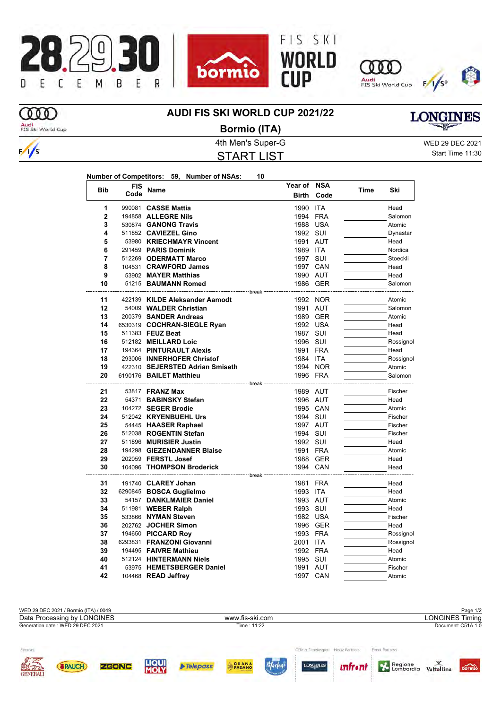









ത്ത

## **AUDI FIS SKI WORLD CUP 2021/22**

# **LONGINES**

Audi<br>FIS Ski World Cup



4th Men's Super-G WED 29 DEC 2021 START LIST **Bormio (ITA)**

Start Time 11:30

| <b>Bib</b>     | FIS  | <b>Name</b>                                               | Year of NSA  |            | <b>Time</b> | Ski       |
|----------------|------|-----------------------------------------------------------|--------------|------------|-------------|-----------|
|                | Code |                                                           | <b>Birth</b> | Code       |             |           |
| 1              |      | 990081 CASSE Mattia                                       | 1990         | <b>ITA</b> |             | Head      |
| $\overline{2}$ |      | 194858 ALLEGRE Nils                                       | 1994         | <b>FRA</b> |             | Salomon   |
| 3              |      | 530874 GANONG Travis                                      |              | 1988 USA   |             | Atomic    |
| 4              |      | 511852 CAVIEZEL Gino                                      | 1992 SUI     |            |             | Dynastar  |
| 5              |      | 53980 KRIECHMAYR Vincent                                  | 1991         | <b>AUT</b> |             | Head      |
| 6              |      | 291459 PARIS Dominik                                      | 1989 ITA     |            |             | Nordica   |
| 7              |      | 512269 ODERMATT Marco                                     | 1997 SUI     |            |             | Stoeckli  |
| 8              |      | 104531 CRAWFORD James                                     |              | 1997 CAN   |             | Head      |
| 9              |      | 53902 MAYER Matthias                                      |              | 1990 AUT   |             | Head      |
| 10             |      | 51215 BAUMANN Romed<br>--------------------- break        |              | 1986 GER   |             | Salomon   |
| 11             |      | 422139 KILDE Aleksander Aamodt                            |              | 1992 NOR   |             | Atomic    |
| 12             |      | 54009 WALDER Christian                                    |              | 1991 AUT   |             | Salomon   |
| 13             |      | 200379 SANDER Andreas                                     |              | 1989 GER   |             | Atomic    |
| 14             |      | 6530319 COCHRAN-SIEGLE Ryan                               |              | 1992 USA   |             | Head      |
| 15             |      | 511383 FEUZ Beat                                          | 1987 SUI     |            |             | Head      |
| 16             |      | 512182 MEILLARD Loic                                      | 1996 SUI     |            |             | Rossignol |
| 17             |      | 194364 PINTURAULT Alexis                                  |              | 1991 FRA   |             | Head      |
| 18             |      | 293006 INNERHOFER Christof                                | 1984 ITA     |            |             | Rossignol |
| 19             |      | 422310 SEJERSTED Adrian Smiseth                           |              | 1994 NOR   |             | Atomic    |
| 20             |      | 6190176 BAILET Matthieu                                   |              | 1996 FRA   |             | Salomon   |
| 21             |      | ----------------------- break -<br>53817 <b>FRANZ Max</b> | 1989 AUT     |            |             | Fischer   |
| 22             |      | 54371 BABINSKY Stefan                                     |              | 1996 AUT   |             | Head      |
| 23             |      | 104272 SEGER Brodie                                       |              | 1995 CAN   |             | Atomic    |
| 24             |      | 512042 KRYENBUEHL Urs                                     | 1994 SUI     |            |             | Fischer   |
| 25             |      | 54445 HAASER Raphael                                      |              | 1997 AUT   |             | Fischer   |
| 26             |      | 512038 ROGENTIN Stefan                                    | 1994 SUI     |            |             | Fischer   |
| 27             |      | 511896 MURISIER Justin                                    | 1992 SUI     |            |             | Head      |
| 28             |      | 194298 GIEZENDANNER Blaise                                |              | 1991 FRA   |             | Atomic    |
| 29             |      | 202059 FERSTL Josef                                       |              | 1988 GER   |             | Head      |
| 30             |      | 104096 THOMPSON Broderick                                 |              | 1994 CAN   |             | Head      |
| 31             |      | 191740 CLAREY Johan                                       | 1981 FRA     |            |             | Head      |
| 32             |      | 6290845 BOSCA Guglielmo                                   | 1993 ITA     |            |             | Head      |
| 33             |      | 54157 DANKLMAIER Daniel                                   | 1993 AUT     |            |             | Atomic    |
| 34             |      | 511981 WEBER Ralph                                        | 1993 SUI     |            |             | Head      |
| 35             |      | 533866 NYMAN Steven                                       |              | 1982 USA   |             | Fischer   |
| 36             |      | 202762 JOCHER Simon                                       |              | 1996 GER   |             | Head      |
| 37             |      | 194650 PICCARD Roy                                        |              | 1993 FRA   |             | Rossignol |
| 38             |      | 6293831 FRANZONI Giovanni                                 | 2001         | <b>ITA</b> |             | Rossignol |
| 39             |      | 194495 FAIVRE Mathieu                                     |              | 1992 FRA   |             | Head      |
| 40             |      | 512124 HINTERMANN Niels                                   | 1995 SUI     |            |             | Atomic    |
| 41             |      | 53975 HEMETSBERGER Daniel                                 |              | 1991 AUT   |             | Fischer   |



104468 **READ Jeffrey** 1997 CAN **Atomic** 104468 **READ Jeffrey**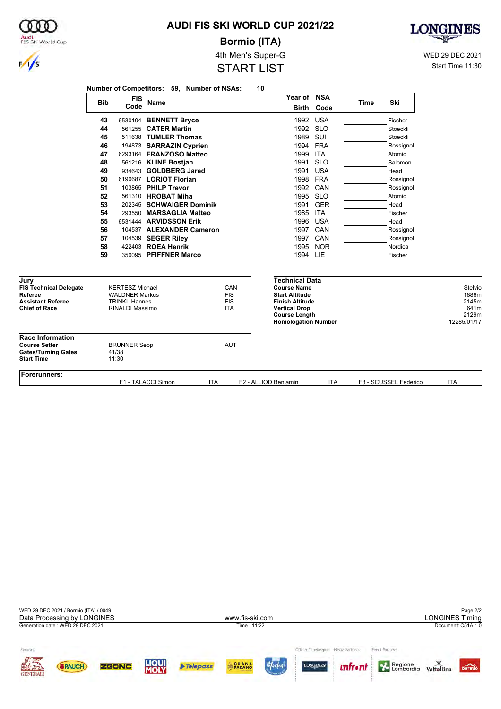|                                                                                              |            |                                                                                                   |                                            | <b>4th Men's Super-G</b>                      |                                                                                                                                                     |            |             |                       | WED 29 DEC 2021                                           |
|----------------------------------------------------------------------------------------------|------------|---------------------------------------------------------------------------------------------------|--------------------------------------------|-----------------------------------------------|-----------------------------------------------------------------------------------------------------------------------------------------------------|------------|-------------|-----------------------|-----------------------------------------------------------|
| $\frac{1}{s}$                                                                                |            |                                                                                                   |                                            | <b>START LIST</b>                             |                                                                                                                                                     |            |             |                       | Start Time 11:30                                          |
|                                                                                              |            |                                                                                                   | Number of Competitors: 59, Number of NSAs: |                                               | 10                                                                                                                                                  |            |             |                       |                                                           |
|                                                                                              | <b>Bib</b> | <b>FIS</b><br>Code                                                                                | <b>Name</b>                                |                                               | Year of NSA<br>Birth                                                                                                                                | Code       | <b>Time</b> | Ski                   |                                                           |
|                                                                                              | 43         |                                                                                                   | 6530104 BENNETT Bryce                      |                                               | 1992                                                                                                                                                | <b>USA</b> |             | Fischer               |                                                           |
|                                                                                              | 44         |                                                                                                   | 561255 CATER Martin                        |                                               | 1992                                                                                                                                                | <b>SLO</b> |             | Stoeckli              |                                                           |
|                                                                                              | 45         |                                                                                                   | 511638 TUMLER Thomas                       |                                               | 1989                                                                                                                                                | SUI        |             | Stoeckli              |                                                           |
|                                                                                              | 46         |                                                                                                   | 194873 SARRAZIN Cyprien                    |                                               | 1994                                                                                                                                                | FRA        |             | Rossignol             |                                                           |
|                                                                                              | 47         |                                                                                                   | 6293164 FRANZOSO Matteo                    |                                               | 1999                                                                                                                                                | <b>ITA</b> |             | Atomic                |                                                           |
|                                                                                              | 48         |                                                                                                   | 561216 KLINE Bostjan                       |                                               | 1991                                                                                                                                                | <b>SLO</b> |             | Salomon               |                                                           |
|                                                                                              | 49         |                                                                                                   | 934643 GOLDBERG Jared                      |                                               | 1991                                                                                                                                                | <b>USA</b> |             | Head                  |                                                           |
|                                                                                              | 50         |                                                                                                   | 6190687 LORIOT Florian                     |                                               | 1998                                                                                                                                                | <b>FRA</b> |             | Rossignol             |                                                           |
|                                                                                              | 51         |                                                                                                   | 103865 PHILP Trevor                        |                                               | 1992                                                                                                                                                | CAN        |             | Rossignol             |                                                           |
|                                                                                              | 52         |                                                                                                   | 561310 HROBAT Miha                         |                                               | 1995                                                                                                                                                | <b>SLO</b> |             | Atomic                |                                                           |
|                                                                                              | 53         |                                                                                                   | 202345 SCHWAIGER Dominik                   |                                               | 1991                                                                                                                                                | <b>GER</b> |             | Head                  |                                                           |
|                                                                                              | 54         |                                                                                                   | 293550 MARSAGLIA Matteo                    |                                               | 1985 ITA                                                                                                                                            |            |             | Fischer               |                                                           |
|                                                                                              | 55         |                                                                                                   | 6531444 ARVIDSSON Erik                     |                                               | 1996                                                                                                                                                | <b>USA</b> |             | Head                  |                                                           |
|                                                                                              | 56         |                                                                                                   | 104537 ALEXANDER Cameron                   |                                               | 1997                                                                                                                                                | CAN        |             | Rossignol             |                                                           |
|                                                                                              | 57         |                                                                                                   | 104539 SEGER Riley                         |                                               | 1997                                                                                                                                                | CAN        |             | Rossignol             |                                                           |
|                                                                                              | 58         |                                                                                                   | 422403 ROEA Henrik                         |                                               | 1995                                                                                                                                                | <b>NOR</b> |             | Nordica               |                                                           |
|                                                                                              | 59         |                                                                                                   | 350095 PFIFFNER Marco                      |                                               | 1994 LIE                                                                                                                                            |            |             | Fischer               |                                                           |
| Jury                                                                                         |            |                                                                                                   |                                            |                                               | <b>Technical Data</b>                                                                                                                               |            |             |                       |                                                           |
| <b>FIS Technical Delegate</b><br>Referee<br><b>Assistant Referee</b><br><b>Chief of Race</b> |            | <b>KERTESZ Michael</b><br><b>WALDNER Markus</b><br><b>TRINKL Hannes</b><br><b>RINALDI Massimo</b> |                                            | CAN<br><b>FIS</b><br><b>FIS</b><br><b>ITA</b> | <b>Course Name</b><br><b>Start Altitude</b><br><b>Finish Altitude</b><br><b>Vertical Drop</b><br><b>Course Length</b><br><b>Homologation Number</b> |            |             |                       | Stelvio<br>1886m<br>2145m<br>641m<br>2129m<br>12285/01/17 |
| <b>Race Information</b>                                                                      |            |                                                                                                   |                                            |                                               |                                                                                                                                                     |            |             |                       |                                                           |
| <b>Course Setter</b><br><b>Gates/Turning Gates</b><br><b>Start Time</b>                      |            | <b>BRUNNER Sepp</b><br>41/38<br>11:30                                                             |                                            | <b>AUT</b>                                    |                                                                                                                                                     |            |             |                       |                                                           |
| <b>Forerunners:</b>                                                                          |            |                                                                                                   | F1 - TALACCI Simon                         | ITA                                           | F2 - ALLIOD Benjamin                                                                                                                                | ITA        |             | F3 - SCUSSEL Federico | <b>ITA</b>                                                |

**AUDI FIS SKI WORLD CUP 2021/22**

000

Audi<br>FIS Ski World Cup

**Bormio (ITA)**

4th Men's Super-G WED 29 DEC 2021

**LONGINES** 

宻

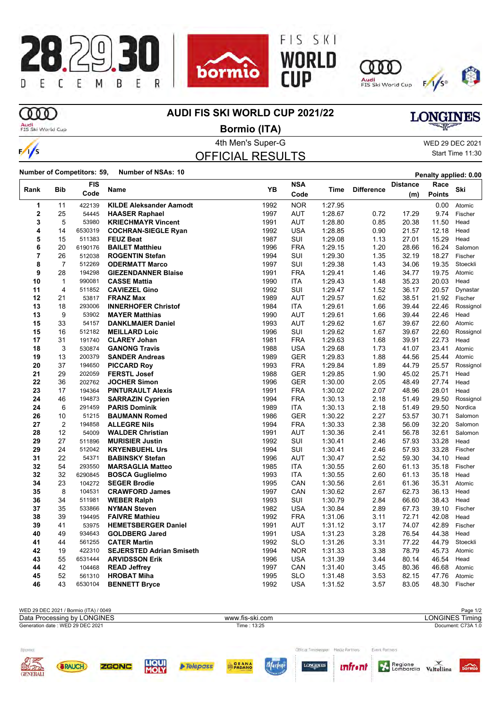









## **COD**

 $\frac{1}{s}$ 

### **AUDI FIS SKI WORLD CUP 2021/22**

Audi<br>FIS Ski World Cup

4th Men's Super-G WED 29 DEC 2021 **Bormio (ITA)**

OFFICIAL RESULTS

Start Time 11:30

**LONGINES** 

**Number of Competitors: 59, Number of NSAs: 10 Penalty applied: 0.00** 

|                |                | FIS               |                                 | YB           | <b>NSA</b> |         |                   | Distance       | Race           | Ski            |
|----------------|----------------|-------------------|---------------------------------|--------------|------------|---------|-------------------|----------------|----------------|----------------|
| Rank           | Bib            | Code              | Name                            |              | Code       | Time    | <b>Difference</b> | (m)            | <b>Points</b>  |                |
| 1              | 11             | 422139            | <b>KILDE Aleksander Aamodt</b>  | 1992         | <b>NOR</b> | 1:27.95 |                   |                | 0.00           | Atomic         |
| $\overline{2}$ | 25             | 54445             | <b>HAASER Raphael</b>           | 1997         | <b>AUT</b> | 1:28.67 | 0.72              | 17.29          | 9.74           | Fischer        |
| 3              | 5              | 53980             | <b>KRIECHMAYR Vincent</b>       | 1991         | <b>AUT</b> | 1:28.80 | 0.85              | 20.38          | 11.50          | Head           |
| 4              | 14             | 6530319           | <b>COCHRAN-SIEGLE Ryan</b>      | 1992         | <b>USA</b> | 1:28.85 | 0.90              | 21.57          | 12.18          | Head           |
| 5              | 15             | 511383            | <b>FEUZ Beat</b>                | 1987         | SUI        | 1:29.08 | 1.13              | 27.01          | 15.29          | Head           |
| 6              | 20             | 6190176           | <b>BAILET Matthieu</b>          | 1996         | <b>FRA</b> | 1:29.15 | 1.20              | 28.66          | 16.24          | Salomon        |
| 7              | 26             | 512038            | <b>ROGENTIN Stefan</b>          | 1994         | SUI        | 1:29.30 | 1.35              | 32.19          | 18.27          | Fischer        |
| 8              | 7              | 512269            | <b>ODERMATT Marco</b>           | 1997         | SUI        | 1:29.38 | 1.43              | 34.06          | 19.35          | Stoeckli       |
| 9              | 28             | 194298            | <b>GIEZENDANNER Blaise</b>      | 1991         | <b>FRA</b> | 1:29.41 | 1.46              | 34.77          | 19.75          | Atomic         |
| 10             | $\mathbf{1}$   | 990081            | <b>CASSE Mattia</b>             | 1990         | <b>ITA</b> | 1:29.43 | 1.48              | 35.23          | 20.03          | Head           |
| 11             | 4              | 511852            | <b>CAVIEZEL Gino</b>            | 1992         | SUI        | 1:29.47 | 1.52              | 36.17          | 20.57          | Dynastar       |
| 12             | 21             | 53817             | <b>FRANZ Max</b>                | 1989         | <b>AUT</b> | 1:29.57 | 1.62              | 38.51          | 21.92          | Fischer        |
| 13             | 18             | 293006            | <b>INNERHOFER Christof</b>      | 1984         | <b>ITA</b> | 1:29.61 | 1.66              | 39.44          | 22.46          | Rossignol      |
| 13             | 9              | 53902             | <b>MAYER Matthias</b>           | 1990         | <b>AUT</b> | 1:29.61 | 1.66              | 39.44          | 22.46          | Head           |
| 15             | 33             | 54157             | <b>DANKLMAIER Daniel</b>        | 1993         | <b>AUT</b> | 1:29.62 | 1.67              | 39.67          | 22.60          | Atomic         |
| 15             | 16             | 512182            | <b>MEILLARD Loic</b>            | 1996         | <b>SUI</b> | 1:29.62 | 1.67              | 39.67          | 22.60          | Rossignol      |
| 17             | 31             | 191740            | <b>CLAREY Johan</b>             | 1981         | <b>FRA</b> | 1:29.63 | 1.68              | 39.91          | 22.73          | Head           |
| 18             | 3              | 530874            | <b>GANONG Travis</b>            | 1988         | <b>USA</b> | 1:29.68 | 1.73              | 41.07          | 23.41          | Atomic         |
| 19             | 13             | 200379            | <b>SANDER Andreas</b>           | 1989         | <b>GER</b> | 1:29.83 | 1.88              | 44.56          | 25.44          | Atomic         |
| 20             | 37             | 194650            | <b>PICCARD Roy</b>              | 1993         | <b>FRA</b> | 1.29.84 | 1.89              | 44.79          | 25.57          | Rossignol      |
| 21             | 29             | 202059            | <b>FERSTL Josef</b>             | 1988         | <b>GER</b> | 1:29.85 | 1.90              | 45.02          | 25.71          | Head           |
| 22             | 36             | 202762            | <b>JOCHER Simon</b>             | 1996         | <b>GER</b> | 1:30.00 | 2.05              | 48.49          | 27.74          | Head           |
| 23             | 17             | 194364            | <b>PINTURAULT Alexis</b>        | 1991         | <b>FRA</b> | 1:30.02 | 2.07              | 48.96          | 28.01          | Head           |
| 24             | 46             | 194873            | <b>SARRAZIN Cyprien</b>         | 1994         | <b>FRA</b> | 1:30.13 | 2.18              | 51.49          | 29.50          | Rossignol      |
| 24             | 6              | 291459            | <b>PARIS Dominik</b>            | 1989         | <b>ITA</b> | 1:30.13 | 2.18              | 51.49          | 29.50          | Nordica        |
| 26             | 10             | 51215             | <b>BAUMANN Romed</b>            | 1986         | GER        | 1:30.22 | 2.27              | 53.57          | 30.71          | Salomon        |
| 27             | $\overline{2}$ | 194858            | <b>ALLEGRE Nils</b>             | 1994         | <b>FRA</b> | 1:30.33 | 2.38              | 56.09          | 32.20          | Salomon        |
| 28             | 12             | 54009             | <b>WALDER Christian</b>         | 1991         | <b>AUT</b> | 1:30.36 | 2.41              | 56.78          | 32.61          | Salomon        |
| 29             | 27             | 511896            | <b>MURISIER Justin</b>          | 1992         | SUI        | 1:30.41 | 2.46              | 57.93          | 33.28          | Head           |
| 29             | 24             | 512042            | <b>KRYENBUEHL Urs</b>           | 1994         | SUI        | 1:30.41 | 2.46              | 57.93          | 33.28          | Fischer        |
| 31             | 22             | 54371             | <b>BABINSKY Stefan</b>          | 1996         | <b>AUT</b> | 1:30.47 | 2.52              | 59.30          | 34.10          | Head           |
| 32             | 54             | 293550            | <b>MARSAGLIA Matteo</b>         | 1985         | <b>ITA</b> | 1:30.55 | 2.60              | 61.13          | 35.18          | Fischer        |
| 32             | 32             | 6290845           | <b>BOSCA Guglielmo</b>          | 1993         | <b>ITA</b> | 1:30.55 | 2.60              | 61.13          | 35.18          | Head           |
| 34             | 23             | 104272            | <b>SEGER Brodie</b>             | 1995         | CAN        | 1:30.56 | 2.61              | 61.36          | 35.31          | Atomic         |
| 35             | 8              | 104531            | <b>CRAWFORD James</b>           | 1997         | CAN        | 1:30.62 | 2.67              | 62.73          | 36.13          | Head           |
| 36             | 34             | 511981            | <b>WEBER Ralph</b>              | 1993         | SUI        | 1:30.79 | 2.84              | 66.60          | 38.43          | Head           |
| 37             | 35             | 533866            | <b>NYMAN Steven</b>             | 1982         | <b>USA</b> | 1:30.84 | 2.89              | 67.73          | 39.10          | Fischer        |
| 38             | 39             | 194495            | <b>FAIVRE Mathieu</b>           | 1992         | <b>FRA</b> | 1:31.06 | 3.11              | 72.71          | 42.08          | Head           |
| 39             | 41             | 53975             | <b>HEMETSBERGER Daniel</b>      | 1991         | <b>AUT</b> | 1:31.12 | 3.17              | 74.07          | 42.89          | Fischer        |
| 40             | 49             | 934643            | <b>GOLDBERG Jared</b>           | 1991         | <b>USA</b> | 1:31.23 | 3.28              | 76.54          | 44.38          | Head           |
| 41             | 44             | 561255            | <b>CATER Martin</b>             | 1992         | <b>SLO</b> | 1:31.26 | 3.31              | 77.22          | 44.79          | Stoeckli       |
| 42             | 19<br>55       | 422310            | <b>SEJERSTED Adrian Smiseth</b> | 1994<br>1996 | <b>NOR</b> | 1:31.33 | 3.38              | 78.79<br>80.14 | 45.73          | Atomic<br>Head |
| 43             | 42             | 6531444<br>104468 | <b>ARVIDSSON Erik</b>           |              | <b>USA</b> | 1:31.39 | 3.44              |                | 46.54<br>46.68 | Atomic         |
| 44<br>45       | 52             | 561310            | <b>READ Jeffrey</b>             | 1997         | CAN<br>SLO | 1:31.40 | 3.45              | 80.36<br>82.15 |                | Atomic         |
|                | 43             |                   | <b>HROBAT Miha</b>              | 1995         |            | 1:31.48 | 3.53              |                | 47.76          |                |
| 46             |                | 6530104           | <b>BENNETT Bryce</b>            | 1992         | <b>USA</b> | 1:31.52 | 3.57              | 83.05          | 48.30          | Fischer        |

|                            | WED 29 DEC 2021 / Bormio (ITA) / 0049 |       |                      |                 |                 |                                                       |                                          |                        | Page 1/2                   |
|----------------------------|---------------------------------------|-------|----------------------|-----------------|-----------------|-------------------------------------------------------|------------------------------------------|------------------------|----------------------------|
|                            | Data Processing by LONGINES           |       |                      |                 | www.fis-ski.com |                                                       |                                          | <b>LONGINES Timing</b> |                            |
|                            | Generation date: WED 29 DEC 2021      |       |                      |                 | Time: 13:25     |                                                       |                                          |                        | Document: C73A 1.0         |
| Sponsor<br><b>OFFICIAL</b> | RAUCH                                 | ZGONC | <b>LIQUI</b><br>MOLY | <b>Telepass</b> | PADANO          | Official Timekeeper Media Partners<br><b>LONGINES</b> | Event Partners<br><b>unfront</b> Begione | Valtellina             | $\overline{\text{bormic}}$ |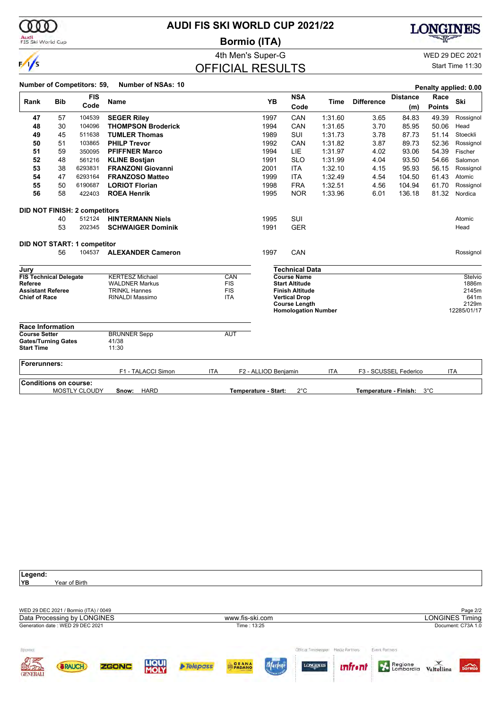| 000                                                                     |            |                                      | <b>AUDI FIS SKI WORLD CUP 2021/22</b>         |            |                          |                      |                                                 |         |                       |                        |                       | ONGINES                |  |  |
|-------------------------------------------------------------------------|------------|--------------------------------------|-----------------------------------------------|------------|--------------------------|----------------------|-------------------------------------------------|---------|-----------------------|------------------------|-----------------------|------------------------|--|--|
| Audi<br>FIS Ski World Cup                                               |            |                                      |                                               |            | <b>Bormio (ITA)</b>      |                      |                                                 |         |                       |                        |                       |                        |  |  |
|                                                                         |            |                                      |                                               |            | 4th Men's Super-G        |                      |                                                 |         |                       |                        |                       | <b>WED 29 DEC 2021</b> |  |  |
| $\frac{1}{s}$                                                           |            |                                      |                                               |            | <b>OFFICIAL RESULTS</b>  |                      |                                                 |         |                       |                        |                       | Start Time 11:30       |  |  |
|                                                                         |            | <b>Number of Competitors: 59,</b>    | <b>Number of NSAs: 10</b>                     |            |                          |                      |                                                 |         |                       |                        |                       | Penalty applied: 0.00  |  |  |
| Rank                                                                    | <b>Bib</b> | <b>FIS</b><br>Code                   | <b>Name</b>                                   |            |                          | YB                   | <b>NSA</b><br>Code                              | Time    | <b>Difference</b>     | <b>Distance</b><br>(m) | Race<br><b>Points</b> | Ski                    |  |  |
| 47                                                                      | 57         | 104539                               | <b>SEGER Riley</b>                            |            |                          | 1997                 | CAN                                             | 1:31.60 | 3.65                  | 84.83                  | 49.39                 | Rossignol              |  |  |
| 48                                                                      | 30         | 104096                               | <b>THOMPSON Broderick</b>                     |            |                          | 1994                 | CAN                                             | 1:31.65 | 3.70                  | 85.95                  | 50.06                 | Head                   |  |  |
| 49                                                                      | 45         | 511638                               | <b>TUMLER Thomas</b>                          |            |                          | 1989                 | <b>SUI</b>                                      | 1:31.73 | 3.78                  | 87.73                  | 51.14                 | Stoeckli               |  |  |
| 50                                                                      | 51         | 103865                               | <b>PHILP Trevor</b>                           |            |                          | 1992                 | CAN                                             | 1:31.82 | 3.87                  | 89.73                  | 52.36                 | Rossignol              |  |  |
| 51                                                                      | 59         | 350095                               | <b>PFIFFNER Marco</b>                         |            |                          | 1994                 | LIE                                             | 1:31.97 | 4.02                  | 93.06                  | 54.39                 | Fischer                |  |  |
| 52                                                                      | 48         | 561216                               | <b>KLINE Bostjan</b>                          |            |                          | 1991                 | <b>SLO</b>                                      | 1:31.99 | 4.04                  | 93.50                  | 54.66                 | Salomon                |  |  |
| 53                                                                      | 38         | 6293831                              | <b>FRANZONI Giovanni</b>                      |            |                          | 2001                 | <b>ITA</b>                                      | 1:32.10 | 4.15                  | 95.93                  | 56.15                 | Rossignol              |  |  |
| 54                                                                      | 47         | 6293164                              | <b>FRANZOSO Matteo</b>                        |            |                          | 1999                 | <b>ITA</b>                                      | 1:32.49 | 4.54                  | 104.50                 | 61.43                 | Atomic                 |  |  |
| 55                                                                      | 50         | 6190687                              | <b>LORIOT Florian</b>                         |            |                          | 1998                 | <b>FRA</b>                                      | 1:32.51 | 4.56                  | 104.94                 | 61.70                 | Rossignol              |  |  |
| 56                                                                      | 58         | 422403                               | <b>ROEA Henrik</b>                            |            |                          | 1995                 | <b>NOR</b>                                      | 1:33.96 | 6.01                  | 136.18                 | 81.32                 | Nordica                |  |  |
|                                                                         |            | <b>DID NOT FINISH: 2 competitors</b> |                                               |            |                          |                      |                                                 |         |                       |                        |                       |                        |  |  |
|                                                                         | 40         | 512124                               | <b>HINTERMANN Niels</b>                       |            |                          | 1995                 | SUI                                             |         |                       |                        |                       | Atomic                 |  |  |
|                                                                         | 53         | 202345                               | <b>SCHWAIGER Dominik</b>                      |            |                          | 1991                 | <b>GER</b>                                      |         |                       |                        |                       | Head                   |  |  |
|                                                                         |            | DID NOT START: 1 competitor          |                                               |            |                          |                      |                                                 |         |                       |                        |                       |                        |  |  |
|                                                                         | 56         | 104537                               | <b>ALEXANDER Cameron</b>                      |            |                          | 1997                 | CAN                                             |         |                       |                        |                       | Rossignol              |  |  |
| Jury                                                                    |            |                                      |                                               |            |                          |                      | <b>Technical Data</b>                           |         |                       |                        |                       |                        |  |  |
| <b>FIS Technical Delegate</b>                                           |            |                                      | <b>KERTESZ Michael</b>                        |            | CAN                      |                      | <b>Course Name</b>                              |         |                       |                        |                       | Stelvio                |  |  |
| Referee<br><b>Assistant Referee</b>                                     |            |                                      | <b>WALDNER Markus</b><br><b>TRINKL Hannes</b> |            | <b>FIS</b><br><b>FIS</b> |                      | <b>Start Altitude</b><br><b>Finish Altitude</b> |         |                       |                        |                       | 1886m<br>2145m         |  |  |
| <b>Chief of Race</b>                                                    |            |                                      | <b>RINALDI Massimo</b>                        |            | <b>ITA</b>               |                      | <b>Vertical Drop</b>                            |         |                       |                        |                       | 641m                   |  |  |
|                                                                         |            |                                      |                                               |            |                          |                      | <b>Course Length</b>                            |         |                       |                        |                       | 2129m                  |  |  |
|                                                                         |            |                                      |                                               |            |                          |                      | <b>Homologation Number</b>                      |         |                       |                        |                       | 12285/01/17            |  |  |
| <b>Race Information</b>                                                 |            |                                      |                                               |            |                          |                      |                                                 |         |                       |                        |                       |                        |  |  |
| <b>Course Setter</b><br><b>Gates/Turning Gates</b><br><b>Start Time</b> |            |                                      | <b>BRUNNER Sepp</b><br>41/38<br>11:30         |            | <b>AUT</b>               |                      |                                                 |         |                       |                        |                       |                        |  |  |
| Forerunners:                                                            |            |                                      | F1 - TALACCI Simon                            | <b>ITA</b> |                          | F2 - ALLIOD Benjamin |                                                 | ITA     |                       | F3 - SCUSSEL Federico  |                       | <b>ITA</b>             |  |  |
| <b>Conditions on course:</b>                                            |            |                                      |                                               |            |                          |                      |                                                 |         |                       |                        |                       |                        |  |  |
|                                                                         |            | <b>MOSTLY CLOUDY</b>                 | <b>HARD</b><br>Snow:                          |            |                          | Temperature - Start: | $2^{\circ}$ C                                   |         | Temperature - Finish: |                        | 3°C                   |                        |  |  |

**AUDI FIS SKI WORLD CUP 2021/22**

ത്ത

**Legend:** Year of Birth WED 29 DEC 2021 / Bormio (ITA) / 0049 Page 2/2<br>
Data Processing by LONGINES **Page 2/2**<br>
Data Processing by LONGINES **Page 2/2** Data Processing by LONGINES www.fis-ski.com Generation date : WED 29 DEC 2021 Time : 13:25 Document: C73A 1.0 Official Timekeeper Media Partners Event Partners Sponsor Regione Valtellina **HOU** Telepass PADANC Marlene ZGONC LONGINE bormio **(BRAUCH)** *unfront*  $\mathbb{R}$ **GENERALI**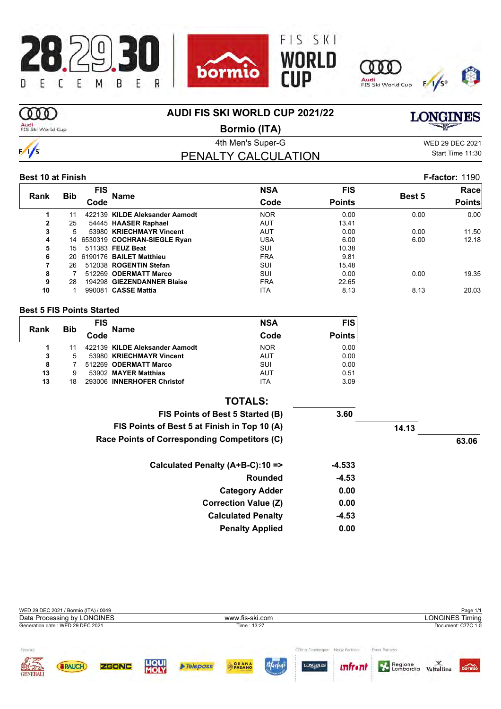







## **OOD**

 $\frac{1}{s}$ 

### **AUDI FIS SKI WORLD CUP 2021/22**

Audi<br>FIS Ski World Cup

**Bormio (ITA)**

PENALTY CALCULATION

4th Men's Super-G WED 29 DEC 2021 Start Time 11:30

**LONGINES** 

### **Best 10 at Finish F-factor:** 1190

|              |            | FIS  |                                | <b>NSA</b> | <b>FIS</b>    |        | Race          |
|--------------|------------|------|--------------------------------|------------|---------------|--------|---------------|
| Rank         | <b>Bib</b> | Code | <b>Name</b>                    | Code       | <b>Points</b> | Best 5 | <b>Points</b> |
|              | 11         |      | 422139 KILDE Aleksander Aamodt | <b>NOR</b> | 0.00          | 0.00   | 0.00          |
| $\mathbf{2}$ | 25         |      | 54445 HAASER Raphael           | <b>AUT</b> | 13.41         |        |               |
| 3            | 5.         |      | 53980 KRIECHMAYR Vincent       | <b>AUT</b> | 0.00          | 0.00   | 11.50         |
| 4            |            |      | 14 6530319 COCHRAN-SIEGLE Ryan | USA        | 6.00          | 6.00   | 12.18         |
| 5            | 15         |      | 511383 FEUZ Beat               | SUI        | 10.38         |        |               |
| 6            | 20         |      | 6190176 BAILET Matthieu        | <b>FRA</b> | 9.81          |        |               |
| 7            | 26         |      | 512038 ROGENTIN Stefan         | SUI        | 15.48         |        |               |
| 8            |            |      | 512269 ODERMATT Marco          | SUI        | 0.00          | 0.00   | 19.35         |
| 9            | 28         |      | 194298 GIEZENDANNER Blaise     | <b>FRA</b> | 22.65         |        |               |
| 10           |            |      | 990081 CASSE Mattia            | <b>ITA</b> | 8.13          | 8.13   | 20.03         |

#### **Best 5 FIS Points Started**

| Rank | <b>Bib</b> | <b>FIS</b> | <b>Name</b>                    | <b>NSA</b> | <b>FIS</b>    |
|------|------------|------------|--------------------------------|------------|---------------|
|      |            | Code       |                                | Code       | <b>Points</b> |
| 1    |            |            | 422139 KILDE Aleksander Aamodt | <b>NOR</b> | 0.00          |
| 3    | 5          |            | 53980 KRIECHMAYR Vincent       | <b>AUT</b> | 0.00          |
| 8    |            |            | 512269 ODERMATT Marco          | SUI        | 0.00          |
| 13   | 9          |            | 53902 MAYER Matthias           | <b>AUT</b> | 0.51          |
| 13   | 18         |            | 293006 INNERHOFER Christof     | <b>ITA</b> | 3.09          |

| <b>TOTALS:</b>                               |         |       |       |
|----------------------------------------------|---------|-------|-------|
| FIS Points of Best 5 Started (B)             | 3.60    |       |       |
| FIS Points of Best 5 at Finish in Top 10 (A) |         | 14.13 |       |
| Race Points of Corresponding Competitors (C) |         |       | 63.06 |
| Calculated Penalty (A+B-C):10 =>             | -4.533  |       |       |
| <b>Rounded</b>                               | $-4.53$ |       |       |
| <b>Category Adder</b>                        | 0.00    |       |       |
| <b>Correction Value (Z)</b>                  | 0.00    |       |       |
| <b>Calculated Penalty</b>                    | $-4.53$ |       |       |
| <b>Penalty Applied</b>                       | 0.00    |       |       |

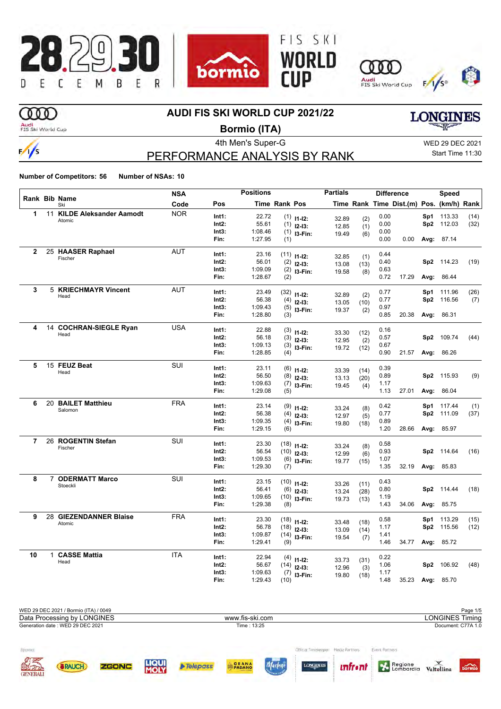

## **OOO**

### **AUDI FIS SKI WORLD CUP 2021/22**

Audi<br>FIS Ski World Cup

 $\frac{1}{s}$ 

## **Bormio (ITA)**

PERFORMANCE ANALYSIS BY RANK

4th Men's Super-G WED 29 DEC 2021 Start Time 11:30

**LONGINES** 

|              |                                | <b>NSA</b> |               | <b>Positions</b>   |                      |                                | <b>Partials</b> |             |              | <b>Difference</b>                        |      | Speed      |      |
|--------------|--------------------------------|------------|---------------|--------------------|----------------------|--------------------------------|-----------------|-------------|--------------|------------------------------------------|------|------------|------|
|              | Rank Bib Name<br>Ski           | Code       | Pos           |                    | <b>Time Rank Pos</b> |                                |                 |             |              | Time Rank Time Dist.(m) Pos. (km/h) Rank |      |            |      |
| 1            | 11 KILDE Aleksander Aamodt     | <b>NOR</b> | Int1:         | 22.72              |                      | $(1)$ 11-12:                   | 32.89           | (2)         | 0.00         |                                          | Sp1  | 113.33     | (14) |
|              | Atomic                         |            | Int2:         | 55.61              |                      | $(1)$ 12-13:                   | 12.85           | (1)         | 0.00         |                                          |      | Sp2 112.03 | (32) |
|              |                                |            | Int3:         | 1:08.46            |                      | $(1)$ 13-Fin:                  | 19.49           | (6)         | 0.00         |                                          |      |            |      |
|              |                                |            | Fin:          | 1:27.95            | (1)                  |                                |                 |             | 0.00         | 0.00                                     |      | Avg: 87.14 |      |
| $\mathbf{2}$ | 25 HAASER Raphael              | <b>AUT</b> | Int1:         | 23.16              |                      | $(11)$ 11-12:                  |                 |             | 0.44         |                                          |      |            |      |
|              | Fischer                        |            | Int2:         | 56.01              | (2)                  | $12-13:$                       | 32.85           | (1)         | 0.40         |                                          |      | Sp2 114.23 | (19) |
|              |                                |            | Int3:         | 1:09.09            |                      | $(2)$ 13-Fin:                  | 13.08           | (13)        | 0.63         |                                          |      |            |      |
|              |                                |            | Fin:          | 1:28.67            | (2)                  |                                | 19.58           | (8)         | 0.72         | 17.29                                    |      | Avg: 86.44 |      |
| 3            | <b>5 KRIECHMAYR Vincent</b>    | <b>AUT</b> | Int1:         | 23.49              |                      |                                |                 |             | 0.77         |                                          | Sp1  | 111.96     | (26) |
|              | Head                           |            | Int2:         | 56.38              |                      | $(32)$ 11-12:                  | 32.89           | (2)         | 0.77         |                                          |      | Sp2 116.56 | (7)  |
|              |                                |            | Int3:         | 1:09.43            |                      | $(4)$ 12-13:                   | 13.05           | (10)        | 0.97         |                                          |      |            |      |
|              |                                |            | Fin:          | 1:28.80            | (3)                  | $(5)$ 13-Fin:                  | 19.37           | (2)         | 0.85         | 20.38                                    |      | Avg: 86.31 |      |
|              |                                |            |               |                    |                      |                                |                 |             |              |                                          |      |            |      |
| 4            | 14 COCHRAN-SIEGLE Ryan<br>Head | <b>USA</b> | Int1:         | 22.88              |                      | $(3)$ 11-12:                   | 33.30           | (12)        | 0.16         |                                          |      |            |      |
|              |                                |            | Int2:         | 56.18              |                      | $(3)$ 12-13:                   | 12.95           | (2)         | 0.57         |                                          |      | Sp2 109.74 | (44) |
|              |                                |            | Int3:         | 1:09.13            |                      | $(3)$ 13-Fin:                  | 19.72           | (12)        | 0.67         |                                          |      |            |      |
|              |                                |            | Fin:          | 1:28.85            | (4)                  |                                |                 |             | 0.90         | 21.57                                    |      | Avg: 86.26 |      |
| 5            | 15 FEUZ Beat                   | SUI        | Int1:         | 23.11              |                      | $(6)$ 11-12:                   | 33.39           | (14)        | 0.39         |                                          |      |            |      |
|              | Head                           |            | $Int2$ :      | 56.50              |                      | $(8)$ 12-13:                   | 13.13           | (20)        | 0.89         |                                          |      | Sp2 115.93 | (9)  |
|              |                                |            | Int3:         | 1:09.63            |                      | $(7)$ 13-Fin:                  | 19.45           | (4)         | 1.17         |                                          |      |            |      |
|              |                                |            | Fin:          | 1:29.08            | (5)                  |                                |                 |             | 1.13         | 27.01                                    |      | Avg: 86.04 |      |
| 6            | 20 BAILET Matthieu             | <b>FRA</b> | Int1:         | 23.14              |                      | $(9)$ 11-12:                   |                 |             | 0.42         |                                          |      | Sp1 117.44 | (1)  |
|              | Salomon                        |            | Int2:         | 56.38              |                      | $(4)$ 12-13:                   | 33.24           | (8)         | 0.77         |                                          |      | Sp2 111.09 | (37) |
|              |                                |            | Int3:         | 1:09.35            |                      | $(4)$ 13-Fin:                  | 12.97<br>19.80  | (5)<br>(18) | 0.89         |                                          |      |            |      |
|              |                                |            | Fin:          | 1:29.15            | (6)                  |                                |                 |             | 1.20         | 28.66                                    |      | Avg: 85.97 |      |
| 7            | 26 ROGENTIN Stefan             | SUI        | Int1:         | 23.30              |                      |                                |                 |             | 0.58         |                                          |      |            |      |
|              | Fischer                        |            | $Int2$ :      | 56.54              |                      | $(18)$ 11-12:<br>$(10)$ 12-13: | 33.24           | (8)         | 0.93         |                                          |      | Sp2 114.64 | (16) |
|              |                                |            | Int3:         | 1:09.53            |                      | $(6)$ 13-Fin:                  | 12.99           | (6)         | 1.07         |                                          |      |            |      |
|              |                                |            | Fin:          | 1:29.30            | (7)                  |                                | 19.77           | (15)        | 1.35         | 32.19                                    |      | Avg: 85.83 |      |
| 8            | 7 ODERMATT Marco               | <b>SUI</b> | Int1:         | 23.15              |                      |                                |                 |             | 0.43         |                                          |      |            |      |
|              | Stoeckli                       |            | $Int2$ :      | 56.41              |                      | $(10)$ 11-12:                  | 33.26           | (11)        | 0.80         |                                          |      | Sp2 114.44 | (18) |
|              |                                |            | Int3:         | 1:09.65            |                      | $(6)$ 12-13:                   | 13.24           | (28)        | 1.19         |                                          |      |            |      |
|              |                                |            | Fin:          | 1:29.38            | (8)                  | $(10)$ 13-Fin:                 | 19.73           | (13)        | 1.43         | 34.06                                    | Avg: | 85.75      |      |
| 9            | 28 GIEZENDANNER Blaise         | <b>FRA</b> |               |                    |                      |                                |                 |             |              |                                          |      |            |      |
|              | Atomic                         |            | Int1:         | 23.30              |                      | $(18)$ 11-12:                  | 33.48           | (18)        | 0.58         |                                          | Sp1  | 113.29     | (15) |
|              |                                |            | Int2:         | 56.78              |                      | $(18)$ 12-13:                  | 13.09           | (14)        | 1.17         |                                          | Sp2  | 115.56     | (12) |
|              |                                |            | Int3:<br>Fin: | 1:09.87<br>1:29.41 | (9)                  | $(14)$ 13-Fin:                 | 19.54           | (7)         | 1.41<br>1.46 | 34.77                                    |      | Avg: 85.72 |      |
|              |                                |            |               |                    |                      |                                |                 |             |              |                                          |      |            |      |
| 10           | 1 CASSE Mattia                 | <b>ITA</b> | Int1:         | 22.94              |                      | $(4)$ 11-12:                   | 33.73           | (31)        | 0.22         |                                          |      |            |      |
|              | Head                           |            | Int2:         | 56.67              |                      | $(14)$ 12-13:                  | 12.96           | (3)         | 1.06         |                                          |      | Sp2 106.92 | (48) |
|              |                                |            | Int3:         | 1:09.63            |                      | $(7)$ 13-Fin:                  | 19.80           | (18)        | 1.17         |                                          |      |            |      |
|              |                                |            | Fin:          | 1:29.43            | (10)                 |                                |                 |             | 1.48         | 35.23                                    |      | Avg: 85.70 |      |

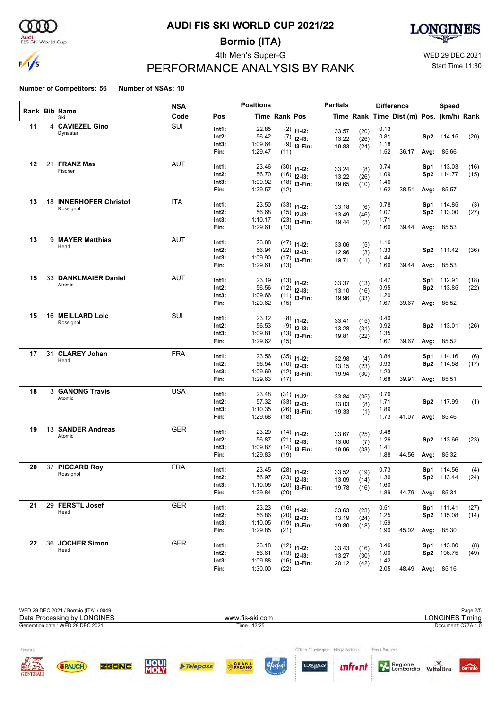

Audi<br>FIS Ski World Cup

## **AUDI FIS SKI WORLD CUP 2021/22**

**Bormio (ITA)**



## PERFORMANCE ANALYSIS BY RANK

4th Men's Super-G WED 29 DEC 2021

### Start Time 11:30

|    |    |                        | <b>NSA</b> |       | <b>Positions</b> |                      |                                | <b>Partials</b> |              |      | <b>Difference</b>                        |     | Speed             |      |
|----|----|------------------------|------------|-------|------------------|----------------------|--------------------------------|-----------------|--------------|------|------------------------------------------|-----|-------------------|------|
|    |    | Rank Bib Name<br>Ski   | Code       | Pos   |                  | <b>Time Rank Pos</b> |                                |                 |              |      | Time Rank Time Dist.(m) Pos. (km/h) Rank |     |                   |      |
| 11 |    | 4 CAVIEZEL Gino        | <b>SUI</b> | Int1: | 22.85            |                      | $(2)$ 11-12:                   |                 |              | 0.13 |                                          |     |                   |      |
|    |    | Dynastar               |            | Int2: | 56.42            |                      | $(7)$ 12-13:                   | 33.57<br>13.22  | (20)<br>(26) | 0.81 |                                          |     | Sp2 114.15        | (20) |
|    |    |                        |            | Int3: | 1:09.64          |                      | $(9)$ 13-Fin:                  | 19.83           | (24)         | 1.18 |                                          |     |                   |      |
|    |    |                        |            | Fin:  | 1:29.47          | (11)                 |                                |                 |              | 1.52 | 36.17                                    |     | Avg: 85.66        |      |
| 12 |    | 21 FRANZ Max           | AUT        | Int1: | 23.46            |                      |                                |                 |              | 0.74 |                                          | Sp1 | 113.03            | (16) |
|    |    | Fischer                |            | Int2: | 56.70            |                      | $(30)$ 11-12:<br>$(16)$ 12-13: | 33.24           | (8)          | 1.09 |                                          | Sp2 | 114.77            | (15) |
|    |    |                        |            | Int3: | 1:09.92          |                      | $(18)$ 13-Fin:                 | 13.22           | (26)         | 1.46 |                                          |     |                   |      |
|    |    |                        |            | Fin:  | 1:29.57          | (12)                 |                                | 19.65           | (10)         | 1.62 | 38.51                                    |     | <b>Avg: 85.57</b> |      |
| 13 |    | 18 INNERHOFER Christof | <b>ITA</b> | Int1: | 23.50            |                      |                                |                 |              | 0.78 |                                          |     | Sp1 114.85        | (3)  |
|    |    | Rossignol              |            | Int2: | 56.68            |                      | $(33)$ 11-12:<br>$(15)$ 12-13: | 33.18           | (6)          | 1.07 |                                          | Sp2 | 113.00            | (27) |
|    |    |                        |            | Int3: | 1:10.17          |                      | $(23)$ 13-Fin:                 | 13.49<br>19.44  | (46)         | 1.71 |                                          |     |                   |      |
|    |    |                        |            | Fin:  | 1:29.61          | (13)                 |                                |                 | (3)          | 1.66 | 39.44                                    |     | Avg: 85.53        |      |
| 13 |    | 9 MAYER Matthias       | AUT        | Int1: | 23.88            |                      |                                |                 |              | 1.16 |                                          |     |                   |      |
|    |    | Head                   |            | Int2: | 56.94            |                      | $(47)$ 11-12:<br>$(22)$ 12-13: | 33.06           | (5)          | 1.33 |                                          |     | Sp2 111.42        | (36) |
|    |    |                        |            | Int3: | 1:09.90          |                      | $(17)$ 13-Fin:                 | 12.96           | (3)          | 1.44 |                                          |     |                   |      |
|    |    |                        |            | Fin:  | 1:29.61          | (13)                 |                                | 19.71           | (11)         | 1.66 | 39.44                                    |     | Avg: 85.53        |      |
| 15 |    | 33 DANKLMAIER Daniel   | AUT        | Int1: | 23.19            |                      |                                |                 |              | 0.47 |                                          |     | Sp1 112.91        | (18) |
|    |    | Atomic                 |            | Int2: | 56.56            |                      | $(13)$ 11-12:<br>$(12)$ 12-13: | 33.37           | (13)         | 0.95 |                                          |     | Sp2 113.85        | (22) |
|    |    |                        |            | Int3: | 1:09.66          |                      | $(11)$ 13-Fin:                 | 13.10           | (16)         | 1.20 |                                          |     |                   |      |
|    |    |                        |            | Fin:  | 1:29.62          | (15)                 |                                | 19.96           | (33)         | 1.67 | 39.67                                    |     | Avg: 85.52        |      |
| 15 |    | 16 MEILLARD Loic       | SUI        | Int1: | 23.12            |                      |                                |                 |              | 0.40 |                                          |     |                   |      |
|    |    | Rossignol              |            | Int2: | 56.53            |                      | $(8)$ 11-12:<br>$(9)$ 12-13:   | 33.41           | (15)         | 0.92 |                                          |     | Sp2 113.01        | (26) |
|    |    |                        |            | Int3: | 1:09.81          |                      | $(13)$ 13-Fin:                 | 13.28           | (31)         | 1.35 |                                          |     |                   |      |
|    |    |                        |            | Fin:  | 1:29.62          | (15)                 |                                | 19.81           | (22)         | 1.67 | 39.67                                    |     | Avg: 85.52        |      |
| 17 | 31 | <b>CLAREY Johan</b>    | <b>FRA</b> | Int1: | 23.56            |                      |                                |                 |              | 0.84 |                                          |     | Sp1 114.16        | (6)  |
|    |    | Head                   |            | Int2: | 56.54            |                      | $(35)$ 11-12:<br>$(10)$ 12-13: | 32.98           | (4)          | 0.93 |                                          |     | Sp2 114.58        | (17) |
|    |    |                        |            | Int3: | 1:09.69          |                      | $(12)$ 13-Fin:                 | 13.15           | (23)         | 1.23 |                                          |     |                   |      |
|    |    |                        |            | Fin:  | 1:29.63          | (17)                 |                                | 19.94           | (30)         | 1.68 | 39.91                                    |     | <b>Avg: 85.51</b> |      |
| 18 |    | <b>3 GANONG Travis</b> | <b>USA</b> | Int1: | 23.48            |                      |                                |                 |              | 0.76 |                                          |     |                   |      |
|    |    | Atomic                 |            | Int2: | 57.32            |                      | $(31)$ 11-12:<br>$(33)$ 12-13: | 33.84           | (35)         | 1.71 |                                          |     | Sp2 117.99        | (1)  |
|    |    |                        |            | Int3: | 1:10.35          |                      | $(26)$ 13-Fin:                 | 13.03           | (8)          | 1.89 |                                          |     |                   |      |
|    |    |                        |            | Fin:  | 1:29.68          | (18)                 |                                | 19.33           | (1)          | 1.73 | 41.07                                    |     | <b>Avg: 85.46</b> |      |
| 19 |    | 13 SANDER Andreas      | GER        | Int1: | 23.20            |                      | $(14)$ 11-12:                  |                 |              | 0.48 |                                          |     |                   |      |
|    |    | Atomic                 |            | Int2: | 56.87            |                      | $(21)$ 12-13:                  | 33.67           | (25)         | 1.26 |                                          |     | Sp2 113.66        | (23) |
|    |    |                        |            | Int3: | 1:09.87          |                      | $(14)$ 13-Fin:                 | 13.00<br>19.96  | (7)<br>(33)  | 1.41 |                                          |     |                   |      |
|    |    |                        |            | Fin:  | 1:29.83          | (19)                 |                                |                 |              | 1.88 | 44.56                                    |     | Avg: 85.32        |      |
| 20 |    | 37 PICCARD Roy         | <b>FRA</b> | Int1: | 23.45            |                      | $(28)$ 11-12:                  |                 |              | 0.73 |                                          |     | Sp1 114.56        | (4)  |
|    |    | Rossignol              |            | Int2: | 56.97            |                      | $(23)$ 12-13:                  | 33.52<br>13.09  | (19)         | 1.36 |                                          |     | Sp2 113.44        | (24) |
|    |    |                        |            | Int3: | 1:10.06          |                      | $(20)$ 13-Fin:                 | 19.78           | (14)<br>(16) | 1.60 |                                          |     |                   |      |
|    |    |                        |            | Fin:  | 1:29.84          | (20)                 |                                |                 |              | 1.89 | 44.79                                    |     | <b>Avg: 85.31</b> |      |
| 21 |    | 29 FERSTL Josef        | <b>GER</b> | Int1: | 23.23            |                      | $(16)$ 11-12:                  |                 |              | 0.51 |                                          |     | Sp1 111.41        | (27) |
|    |    | Head                   |            | Int2: | 56.86            |                      | $(20)$ 12-13:                  | 33.63<br>13.19  | (23)<br>(24) | 1.25 |                                          |     | Sp2 115.08        | (14) |
|    |    |                        |            | Int3: | 1:10.05          |                      | $(19)$ 13-Fin:                 | 19.80           | (18)         | 1.59 |                                          |     |                   |      |
|    |    |                        |            | Fin:  | 1:29.85          | (21)                 |                                |                 |              | 1.90 | 45.02                                    |     | Avg: 85.30        |      |
| 22 |    | 36 JOCHER Simon        | <b>GER</b> | Int1: | 23.18            |                      | $(12)$ 11-12:                  |                 |              | 0.46 |                                          |     | Sp1 113.80        | (8)  |
|    |    | Head                   |            | Int2: | 56.61            |                      | $(13)$ 12-13:                  | 33.43<br>13.27  | (16)<br>(30) | 1.00 |                                          |     | Sp2 106.75        | (49) |
|    |    |                        |            | Int3: | 1:09.88          |                      | $(16)$ 13-Fin:                 | 20.12           | (42)         | 1.42 |                                          |     |                   |      |
|    |    |                        |            | Fin:  | 1:30.00          | (22)                 |                                |                 |              | 2.05 | 48.49                                    |     | Avg: 85.16        |      |

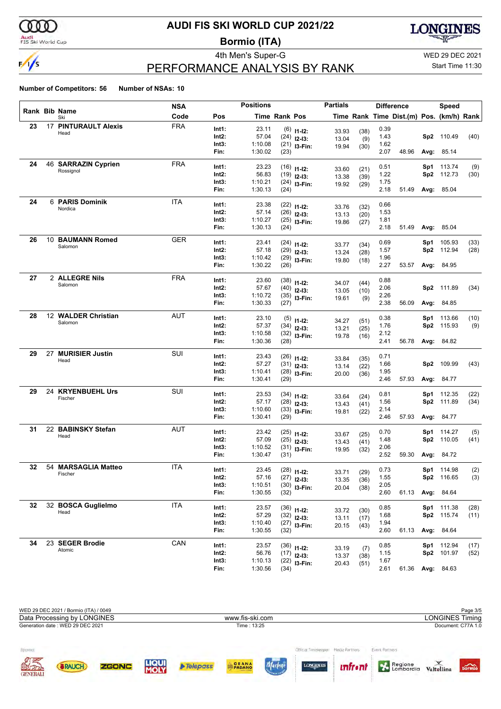

### Audi<br>FIS Ski World Cup

## **AUDI FIS SKI WORLD CUP 2021/22**

**Bormio (ITA)**



## PERFORMANCE ANALYSIS BY RANK

4th Men's Super-G WED 29 DEC 2021 Start Time 11:30

| <b>Number of Competitors: 56</b> | Number of NSAs: 10 |  |
|----------------------------------|--------------------|--|
|                                  |                    |  |

|    |    |                             | <b>NSA</b> |                   | <b>Positions</b>   |                      |                                 | <b>Partials</b> |              |              | <b>Difference</b>                        |                 | <b>Speed</b>      |      |
|----|----|-----------------------------|------------|-------------------|--------------------|----------------------|---------------------------------|-----------------|--------------|--------------|------------------------------------------|-----------------|-------------------|------|
|    |    | <b>Rank Bib Name</b><br>Ski | Code       | Pos               |                    | <b>Time Rank Pos</b> |                                 |                 |              |              | Time Rank Time Dist.(m) Pos. (km/h) Rank |                 |                   |      |
| 23 |    | <b>17 PINTURAULT Alexis</b> | <b>FRA</b> | Int1:             | 23.11              |                      | $(6)$ 11-12:                    | 33.93           | (38)         | 0.39         |                                          |                 |                   |      |
|    |    | Head                        |            | Int2:             | 57.04              |                      | $(24)$ 12-13:                   | 13.04           | (9)          | 1.43         |                                          |                 | Sp2 110.49        | (40) |
|    |    |                             |            | Int3:             | 1:10.08            |                      | $(21)$ 13-Fin:                  | 19.94           | (30)         | 1.62         |                                          |                 |                   |      |
|    |    |                             |            | Fin:              | 1:30.02            | (23)                 |                                 |                 |              | 2.07         | 48.96                                    |                 | Avg: 85.14        |      |
| 24 |    | 46 SARRAZIN Cyprien         | <b>FRA</b> | Int1:             | 23.23              |                      |                                 |                 |              | 0.51         |                                          |                 | Sp1 113.74        | (9)  |
|    |    | Rossignol                   |            | $Int2$ :          | 56.83              |                      | $(16)$ 11-12:<br>$(19)$ 12-13:  | 33.60           | (21)         | 1.22         |                                          | Sp <sub>2</sub> | 112.73            | (30) |
|    |    |                             |            | Int3:             | 1:10.21            |                      | $(24)$ 13-Fin:                  | 13.38           | (39)         | 1.75         |                                          |                 |                   |      |
|    |    |                             |            | Fin:              | 1:30.13            | (24)                 |                                 | 19.92           | (29)         | 2.18         | 51.49                                    |                 | Avg: 85.04        |      |
| 24 |    | 6 PARIS Dominik             | ITA        | Int1:             | 23.38              |                      | $(22)$ 11-12:                   |                 |              | 0.66         |                                          |                 |                   |      |
|    |    | Nordica                     |            | $Int2$ :          | 57.14              |                      | $(26)$ 12-13:                   | 33.76           | (32)         | 1.53         |                                          |                 |                   |      |
|    |    |                             |            | Int3:             | 1:10.27            |                      | $(25)$ 13-Fin:                  | 13.13           | (20)         | 1.81         |                                          |                 |                   |      |
|    |    |                             |            | Fin:              | 1:30.13            | (24)                 |                                 | 19.86           | (27)         | 2.18         | 51.49                                    |                 | Avg: 85.04        |      |
| 26 | 10 | <b>BAUMANN Romed</b>        | <b>GER</b> | Int1:             | 23.41              |                      |                                 |                 |              | 0.69         |                                          | Sp1             | 105.93            | (33) |
|    |    | Salomon                     |            | $Int2$ :          | 57.18              |                      | $(24)$ 11-12:<br>$(29)$ 12-13:  | 33.77           | (34)         | 1.57         |                                          | Sp <sub>2</sub> | 112.94            | (28) |
|    |    |                             |            | Int3:             | 1:10.42            |                      | $(29)$ 13-Fin:                  | 13.24           | (28)         | 1.96         |                                          |                 |                   |      |
|    |    |                             |            | Fin:              | 1:30.22            | (26)                 |                                 | 19.80           | (18)         | 2.27         | 53.57                                    |                 | <b>Avg: 84.95</b> |      |
| 27 |    | 2 ALLEGRE Nils              | <b>FRA</b> |                   |                    |                      |                                 |                 |              |              |                                          |                 |                   |      |
|    |    | Salomon                     |            | Int1:             | 23.60              |                      | $(38)$ 11-12:                   | 34.07           | (44)         | 0.88         |                                          |                 |                   |      |
|    |    |                             |            | Int2:             | 57.67              |                      | $(40)$ 12-13:                   | 13.05           | (10)         | 2.06         |                                          |                 | Sp2 111.89        | (34) |
|    |    |                             |            | Int3:             | 1:10.72            |                      | $(35)$ 13-Fin:                  | 19.61           | (9)          | 2.26         |                                          |                 |                   |      |
|    |    |                             |            | Fin:              | 1:30.33            | (27)                 |                                 |                 |              | 2.38         | 56.09                                    |                 | Avg: 84.85        |      |
| 28 |    | 12 WALDER Christian         | <b>AUT</b> | Int1:             | 23.10              |                      | $(5)$ 11-12:                    |                 |              | 0.38         |                                          | Sp1             | 113.66            | (10) |
|    |    | Salomon                     |            | Int2:             | 57.37              |                      | $(34)$ 12-13:                   | 34.27<br>13.21  | (51)<br>(25) | 1.76         |                                          | Sp <sub>2</sub> | 115.93            | (9)  |
|    |    |                             |            | Int3:             | 1:10.58            |                      | $(32)$ 13-Fin:                  | 19.78           | (16)         | 2.12         |                                          |                 |                   |      |
|    |    |                             |            | Fin:              | 1:30.36            | (28)                 |                                 |                 |              | 2.41         | 56.78                                    |                 | <b>Avg: 84.82</b> |      |
| 29 | 27 | <b>MURISIER Justin</b>      | SUI        | Int1:             | 23.43              |                      |                                 |                 |              | 0.71         |                                          |                 |                   |      |
|    |    | Head                        |            | $Int2$ :          | 57.27              |                      | $(26)$ 11-12:                   | 33.84           | (35)         | 1.66         |                                          | Sp2             | 109.99            | (43) |
|    |    |                             |            | Int3:             | 1:10.41            |                      | $(31)$ 12-13:<br>$(28)$ 13-Fin: | 13.14           | (22)         | 1.95         |                                          |                 |                   |      |
|    |    |                             |            | Fin:              | 1:30.41            | (29)                 |                                 | 20.00           | (36)         | 2.46         | 57.93                                    |                 | <b>Avg: 84.77</b> |      |
| 29 | 24 | <b>KRYENBUEHL Urs</b>       | SUI        |                   |                    |                      |                                 |                 |              |              |                                          |                 |                   |      |
|    |    | Fischer                     |            | Int1:<br>$Int2$ : | 23.53<br>57.17     |                      | $(34)$ 11-12:                   | 33.64           | (24)         | 0.81         |                                          | Sp1             | 112.35            | (22) |
|    |    |                             |            | Int3:             | 1:10.60            |                      | $(28)$ 12-13:                   | 13.43           | (41)         | 1.56<br>2.14 |                                          | Sp2             | 111.89            | (34) |
|    |    |                             |            | Fin:              | 1:30.41            | (29)                 | $(33)$ 13-Fin:                  | 19.81           | (22)         | 2.46         | 57.93                                    |                 | <b>Avg: 84.77</b> |      |
| 31 |    | 22 BABINSKY Stefan          | AUT        |                   |                    |                      |                                 |                 |              |              |                                          |                 |                   |      |
|    |    | Head                        |            | Int1:             | 23.42              |                      | $(25)$ 11-12:                   | 33.67           | (25)         | 0.70         |                                          | Sp1             | 114.27            | (5)  |
|    |    |                             |            | Int2:             | 57.09              |                      | $(25)$ 12-13:                   | 13.43           | (41)         | 1.48         |                                          |                 | Sp2 110.05        | (41) |
|    |    |                             |            | Int3:<br>Fin:     | 1:10.52<br>1:30.47 | (31)                 | $(31)$ 13-Fin:                  | 19.95           | (32)         | 2.06<br>2.52 | 59.30                                    |                 | Avg: 84.72        |      |
| 32 |    | 54 MARSAGLIA Matteo         | ITA        |                   |                    |                      |                                 |                 |              |              |                                          |                 |                   |      |
|    |    | Fischer                     |            | Int1:             | 23.45              |                      | $(28)$ 11-12:                   | 33.71           | (29)         | 0.73         |                                          |                 | Sp1 114.98        | (2)  |
|    |    |                             |            | $Int2$ :          | 57.16              |                      | $(27)$ 12-13:                   | 13.35           | (36)         | 1.55         |                                          |                 | Sp2 116.65        | (3)  |
|    |    |                             |            | Int3:<br>Fin:     | 1:10.51<br>1:30.55 | (32)                 | $(30)$ 13-Fin:                  | 20.04           | (38)         | 2.05<br>2.60 | 61.13 Avg: 84.64                         |                 |                   |      |
|    |    |                             |            |                   |                    |                      |                                 |                 |              |              |                                          |                 |                   |      |
| 32 |    | 32 BOSCA Guglielmo<br>Head  | ITA        | Int1:             | 23.57              |                      | $(36)$ 11-12:                   | 33.72           | (30)         | 0.85         |                                          |                 | Sp1 111.38        | (28) |
|    |    |                             |            | $Int2$ :          | 57.29              |                      | $(32)$ 12-13:                   | 13.11           | (17)         | 1.68         |                                          |                 | Sp2 115.74        | (11) |
|    |    |                             |            | Int3:             | 1:10.40            |                      | $(27)$ 13-Fin:                  | 20.15           | (43)         | 1.94         |                                          |                 |                   |      |
|    |    |                             |            | Fin:              | 1:30.55            | (32)                 |                                 |                 |              | 2.60         | 61.13                                    |                 | Avg: 84.64        |      |
| 34 |    | 23 SEGER Brodie             | CAN        | Int1:             | 23.57              |                      | $(36)$ 11-12:                   | 33.19           | (7)          | 0.85         |                                          |                 | Sp1 112.94        | (17) |
|    |    | Atomic                      |            | $Int2$ :          | 56.76              |                      | $(17)$ 12-13:                   | 13.37           | (38)         | 1.15         |                                          |                 | Sp2 101.97        | (52) |
|    |    |                             |            | Int3:             | 1:10.13            |                      | $(22)$ 13-Fin:                  | 20.43           | (51)         | 1.67         |                                          |                 |                   |      |
|    |    |                             |            | Fin:              | 1:30.56            | (34)                 |                                 |                 |              | 2.61         | 61.36                                    |                 | <b>Avg: 84.63</b> |      |

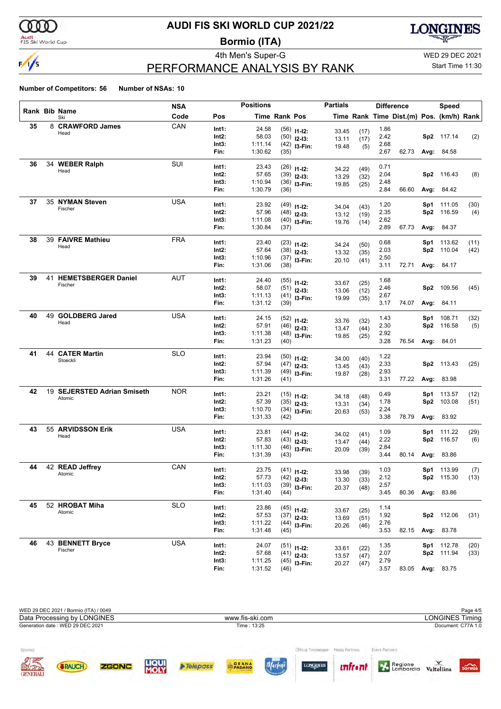

### Audi<br>FIS Ski World Cup

## **AUDI FIS SKI WORLD CUP 2021/22**

**Bormio (ITA)**



## PERFORMANCE ANALYSIS BY RANK

4th Men's Super-G WED 29 DEC 2021 Start Time 11:30

|    |                             | <b>NSA</b> |                | <b>Positions</b>   |                      |                | <b>Partials</b> |              |              | <b>Difference</b>                        |     | <b>Speed</b>      |      |
|----|-----------------------------|------------|----------------|--------------------|----------------------|----------------|-----------------|--------------|--------------|------------------------------------------|-----|-------------------|------|
|    | Rank Bib Name<br>Ski        | Code       | Pos            |                    | <b>Time Rank Pos</b> |                |                 |              |              | Time Rank Time Dist.(m) Pos. (km/h) Rank |     |                   |      |
| 35 | 8 CRAWFORD James            | CAN        | Int1:          | 24.58              |                      | $(56)$ 11-12:  | 33.45           | (17)         | 1.86         |                                          |     |                   |      |
|    | Head                        |            | Int2:          | 58.03              |                      | $(50)$ 12-13:  | 13.11           | (17)         | 2.42         |                                          |     | Sp2 117.14        | (2)  |
|    |                             |            | Int3:          | 1:11.14            |                      | $(42)$ 13-Fin: | 19.48           | (5)          | 2.68         |                                          |     |                   |      |
|    |                             |            | Fin:           | 1:30.62            | (35)                 |                |                 |              | 2.67         | 62.73                                    |     | <b>Avg: 84.58</b> |      |
| 36 | 34 WEBER Ralph              | SUI        | Int1:          | 23.43              |                      | $(26)$ 11-12:  |                 |              | 0.71         |                                          |     |                   |      |
|    | Head                        |            | Int2:          | 57.65              |                      | $(39)$ 12-13:  | 34.22<br>13.29  | (49)         | 2.04         |                                          |     | Sp2 116.43        | (8)  |
|    |                             |            | Int3:          | 1:10.94            |                      | $(36)$ 13-Fin: | 19.85           | (32)<br>(25) | 2.48         |                                          |     |                   |      |
|    |                             |            | Fin:           | 1:30.79            | (36)                 |                |                 |              | 2.84         | 66.60                                    |     | <b>Avg: 84.42</b> |      |
| 37 | 35 NYMAN Steven             | <b>USA</b> | Int1:          | 23.92              |                      | $(49)$ 11-12:  |                 |              | 1.20         |                                          |     | Sp1 111.05        | (30) |
|    | Fischer                     |            | Int2:          | 57.96              |                      | $(48)$ 12-13:  | 34.04           | (43)         | 2.35         |                                          | Sp2 | 116.59            | (4)  |
|    |                             |            | Int3:          | 1:11.08            |                      | $(40)$ 13-Fin: | 13.12<br>19.76  | (19)         | 2.62         |                                          |     |                   |      |
|    |                             |            | Fin:           | 1:30.84            | (37)                 |                |                 | (14)         | 2.89         | 67.73                                    |     | <b>Avg: 84.37</b> |      |
| 38 | 39 FAIVRE Mathieu           | <b>FRA</b> | Int1:          | 23.40              |                      | $(23)$ 11-12:  |                 |              | 0.68         |                                          |     | Sp1 113.62        | (11) |
|    | Head                        |            | Int2:          | 57.64              |                      | $(38)$ 12-13:  | 34.24           | (50)         | 2.03         |                                          |     | Sp2 110.04        | (42) |
|    |                             |            | Int3:          | 1:10.96            |                      | $(37)$ 13-Fin: | 13.32           | (35)         | 2.50         |                                          |     |                   |      |
|    |                             |            | Fin:           | 1:31.06            | (38)                 |                | 20.10           | (41)         | 3.11         | 72.71                                    |     | <b>Avg: 84.17</b> |      |
| 39 | 41 HEMETSBERGER Daniel      | <b>AUT</b> | Int1:          | 24.40              |                      |                |                 |              | 1.68         |                                          |     |                   |      |
|    | Fischer                     |            | Int2:          | 58.07              |                      | $(55)$ 11-12:  | 33.67           | (25)         | 2.46         |                                          |     | Sp2 109.56        | (45) |
|    |                             |            | Int3:          | 1:11.13            |                      | $(51)$ 12-13:  | 13.06           | (12)         | 2.67         |                                          |     |                   |      |
|    |                             |            | Fin:           | 1:31.12            | (39)                 | $(41)$ 13-Fin: | 19.99           | (35)         | 3.17         | 74.07                                    |     | <b>Avg: 84.11</b> |      |
| 40 | 49 GOLDBERG Jared           | <b>USA</b> |                |                    |                      |                |                 |              |              |                                          |     |                   |      |
|    | Head                        |            | Int1:<br>Int2: | 24.15<br>57.91     |                      | $(52)$ 11-12:  | 33.76           | (32)         | 1.43<br>2.30 |                                          | Sp1 | 108.71            | (32) |
|    |                             |            | Int3:          | 1:11.38            |                      | $(46)$ 12-13:  | 13.47           | (44)         | 2.92         |                                          |     | Sp2 116.58        | (5)  |
|    |                             |            | Fin:           | 1:31.23            | (40)                 | $(48)$ 13-Fin: | 19.85           | (25)         | 3.28         | 76.54                                    |     | <b>Avg: 84.01</b> |      |
| 41 | <b>44 CATER Martin</b>      | <b>SLO</b> |                |                    |                      |                |                 |              |              |                                          |     |                   |      |
|    | Stoeckli                    |            | Int1:          | 23.94              |                      | $(50)$ 11-12:  | 34.00           | (40)         | 1.22         |                                          |     |                   |      |
|    |                             |            | Int2:<br>Int3: | 57.94<br>1:11.39   |                      | $(47)$ 12-13:  | 13.45           | (43)         | 2.33<br>2.93 |                                          |     | Sp2 113.43        | (25) |
|    |                             |            | Fin:           | 1:31.26            | (41)                 | $(49)$ 13-Fin: | 19.87           | (28)         | 3.31         | 77.22                                    |     | <b>Avg: 83.98</b> |      |
| 42 | 19 SEJERSTED Adrian Smiseth | <b>NOR</b> |                |                    |                      |                |                 |              |              |                                          |     |                   |      |
|    | Atomic                      |            | Int1:          | 23.21              |                      | $(15)$ 11-12:  | 34.18           | (48)         | 0.49         |                                          | Sp1 | 113.57            | (12) |
|    |                             |            | Int2:<br>Int3: | 57.39<br>1:10.70   |                      | $(35)$ 12-13:  | 13.31           | (34)         | 1.78<br>2.24 |                                          |     | Sp2 103.08        | (51) |
|    |                             |            | Fin:           | 1:31.33            | (42)                 | $(34)$ 13-Fin: | 20.63           | (53)         | 3.38         | 78.79                                    |     | <b>Avg: 83.92</b> |      |
| 43 | 55 ARVIDSSON Erik           | <b>USA</b> |                |                    |                      |                |                 |              |              |                                          |     |                   |      |
|    | Head                        |            | Int1:          | 23.81              |                      | $(44)$ 11-12:  | 34.02           | (41)         | 1.09         |                                          |     | Sp1 111.22        | (29) |
|    |                             |            | Int2:          | 57.83              |                      | $(43)$ 12-13:  | 13.47           | (44)         | 2.22         |                                          |     | Sp2 116.57        | (6)  |
|    |                             |            | Int3:<br>Fin:  | 1:11.30<br>1:31.39 | (43)                 | $(46)$ 13-Fin: | 20.09           | (39)         | 2.84<br>3.44 | 80.14                                    |     | <b>Avg: 83.86</b> |      |
| 44 | 42 READ Jeffrey             | CAN        |                |                    |                      |                |                 |              |              |                                          |     |                   |      |
|    | Atomic                      |            | Int1:          | 23.75              |                      | $(41)$ 11-12:  | 33.98           | (39)         | 1.03         |                                          |     | Sp1 113.99        | (7)  |
|    |                             |            | Int2:          | 57.73              |                      | $(42)$ 12-13:  | 13.30           | (33)         | 2.12         |                                          |     | <b>Sp2</b> 115.30 | (13) |
|    |                             |            | Int3:<br>Fin:  | 1:11.03<br>1:31.40 | (44)                 | $(39)$ 13-Fin: | 20.37           | (48)         | 2.57<br>3.45 | 80.36                                    |     | <b>Avg: 83.86</b> |      |
| 45 | 52 HROBAT Miha              | <b>SLO</b> |                |                    |                      |                |                 |              |              |                                          |     |                   |      |
|    | Atomic                      |            | Int1:          | 23.86              |                      | $(45)$ 11-12:  | 33.67           | (25)         | 1.14         |                                          |     |                   |      |
|    |                             |            | Int2:          | 57.53              |                      | $(37)$ 12-13:  | 13.69           | (51)         | 1.92         |                                          |     | Sp2 112.06        | (31) |
|    |                             |            | Int3:<br>Fin:  | 1:11.22<br>1:31.48 | (45)                 | $(44)$ 13-Fin: | 20.26           | (46)         | 2.76<br>3.53 | 82.15                                    |     | Avg: 83.78        |      |
|    |                             |            |                |                    |                      |                |                 |              |              |                                          |     |                   |      |
| 46 | 43 BENNETT Bryce<br>Fischer | <b>USA</b> | Int1:          | 24.07              |                      | $(51)$ 11-12:  | 33.61           | (22)         | 1.35         |                                          |     | Sp1 112.78        | (20) |
|    |                             |            | Int2:          | 57.68              |                      | $(41)$ 12-13:  | 13.57           | (47)         | 2.07         |                                          |     | Sp2 111.94        | (33) |
|    |                             |            | Int3:          | 1:11.25            |                      | $(45)$ 13-Fin: | 20.27           | (47)         | 2.79         |                                          |     |                   |      |
|    |                             |            | Fin:           | 1:31.52            | (46)                 |                |                 |              | 3.57         |                                          |     | 83.05 Avg: 83.75  |      |

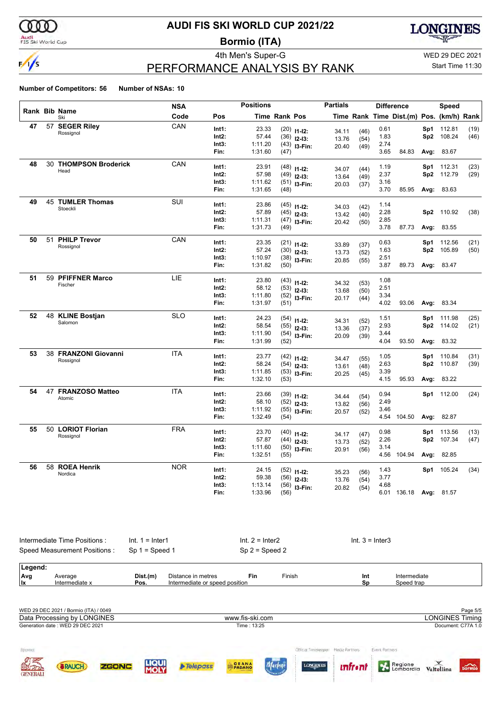

### Audi<br>FIS Ski World Cup

## **AUDI FIS SKI WORLD CUP 2021/22**

**Bormio (ITA)**



## PERFORMANCE ANALYSIS BY RANK

4th Men's Super-G WED 29 DEC 2021

### Start Time 11:30

|    |                              | <b>NSA</b> |                | <b>Positions</b>   |               |                                | <b>Partials</b> |              |              | <b>Difference</b>                        |      | Speed             |      |
|----|------------------------------|------------|----------------|--------------------|---------------|--------------------------------|-----------------|--------------|--------------|------------------------------------------|------|-------------------|------|
|    | Rank Bib Name<br>Ski         | Code       | Pos            |                    | Time Rank Pos |                                |                 |              |              | Time Rank Time Dist.(m) Pos. (km/h) Rank |      |                   |      |
| 47 | 57 SEGER Riley               | CAN        | Int1:          | 23.33              |               | $(20)$ 11-12:                  |                 |              | 0.61         |                                          | Sp1  | 112.81            | (19) |
|    | Rossignol                    |            | Int2:          | 57.44              |               | $(36)$ 12-13:                  | 34.11<br>13.76  | (46)<br>(54) | 1.83         |                                          | Sp2  | 108.24            | (46) |
|    |                              |            | Int3:          | 1:11.20            |               | $(43)$ 13-Fin:                 | 20.40           | (49)         | 2.74         |                                          |      |                   |      |
|    |                              |            | Fin:           | 1:31.60            | (47)          |                                |                 |              | 3.65         | 84.83                                    | Avg: | 83.67             |      |
| 48 | 30 THOMPSON Broderick        | CAN        | Int1:          | 23.91              |               |                                |                 |              | 1.19         |                                          | Sp1  | 112.31            | (23) |
|    | Head                         |            | Int2:          | 57.98              |               | $(48)$ 11-12:<br>$(49)$ 12-13: | 34.07           | (44)         | 2.37         |                                          | Sp2  | 112.79            | (29) |
|    |                              |            | Int3:          | 1:11.62            |               |                                | 13.64           | (49)         | 3.16         |                                          |      |                   |      |
|    |                              |            | Fin:           | 1:31.65            | (48)          | $(51)$ 13-Fin:                 | 20.03           | (37)         | 3.70         | 85.95                                    |      | Avg: 83.63        |      |
| 49 | 45 TUMLER Thomas             | SUI        |                |                    |               |                                |                 |              |              |                                          |      |                   |      |
|    | Stoeckli                     |            | Int1:<br>Int2: | 23.86              |               | $(45)$ 11-12:                  | 34.03           | (42)         | 1.14         |                                          |      |                   |      |
|    |                              |            | Int3:          | 57.89<br>1:11.31   |               | $(45)$ 12-13:                  | 13.42           | (40)         | 2.28<br>2.85 |                                          | Sp2  | 110.92            | (38) |
|    |                              |            | Fin:           | 1:31.73            | (49)          | $(47)$ 13-Fin:                 | 20.42           | (50)         | 3.78         | 87.73                                    |      | Avg: 83.55        |      |
|    |                              |            |                |                    |               |                                |                 |              |              |                                          |      |                   |      |
| 50 | 51 PHILP Trevor<br>Rossignol | CAN        | Int1:          | 23.35              |               | $(21)$ 11-12:                  | 33.89           | (37)         | 0.63         |                                          | Sp1  | 112.56            | (21) |
|    |                              |            | Int2:          | 57.24              |               | $(30)$ 12-13:                  | 13.73           | (52)         | 1.63         |                                          | Sp2  | 105.89            | (50) |
|    |                              |            | Int3:          | 1:10.97            |               | $(38)$ 13-Fin:                 | 20.85           | (55)         | 2.51         |                                          |      |                   |      |
|    |                              |            | Fin:           | 1:31.82            | (50)          |                                |                 |              | 3.87         | 89.73                                    |      | Avg: 83.47        |      |
| 51 | 59 PFIFFNER Marco            | <b>LIE</b> | Int1:          | 23.80              |               | $(43)$ 11-12:                  |                 |              | 1.08         |                                          |      |                   |      |
|    | Fischer                      |            | Int2:          | 58.12              |               | $(53)$ 12-13:                  | 34.32           | (53)         | 2.51         |                                          |      |                   |      |
|    |                              |            | Int3:          | 1:11.80            |               | $(52)$ 13-Fin:                 | 13.68<br>20.17  | (50)<br>(44) | 3.34         |                                          |      |                   |      |
|    |                              |            | Fin:           | 1:31.97            | (51)          |                                |                 |              | 4.02         | 93.06                                    |      | Avg: 83.34        |      |
| 52 | 48 KLINE Bostjan             | <b>SLO</b> | Int1:          | 24.23              |               |                                |                 |              | 1.51         |                                          | Sp1  | 111.98            | (25) |
|    | Salomon                      |            | Int2:          | 58.54              |               | $(54)$ 11-12:<br>$(55)$ 12-13: | 34.31           | (52)         | 2.93         |                                          | Sp2  | 114.02            | (21) |
|    |                              |            | Int3:          | 1:11.90            |               | $(54)$ 13-Fin:                 | 13.36           | (37)         | 3.44         |                                          |      |                   |      |
|    |                              |            | Fin:           | 1:31.99            | (52)          |                                | 20.09           | (39)         | 4.04         | 93.50                                    | Avg: | 83.32             |      |
| 53 | 38 FRANZONI Giovanni         | <b>ITA</b> | Int1:          | 23.77              |               |                                |                 |              | 1.05         |                                          | Sp1  | 110.84            | (31) |
|    | Rossignol                    |            | Int2:          | 58.24              |               | $(42)$ 11-12:<br>$(54)$ 12-13: | 34.47           | (55)         | 2.63         |                                          | Sp2  | 110.87            | (39) |
|    |                              |            | Int3:          | 1:11.85            |               | $(53)$ 13-Fin:                 | 13.61           | (48)         | 3.39         |                                          |      |                   |      |
|    |                              |            | Fin:           | 1:32.10            | (53)          |                                | 20.25           | (45)         | 4.15         | 95.93                                    |      | Avg: 83.22        |      |
| 54 | 47 FRANZOSO Matteo           | <b>ITA</b> |                |                    |               |                                |                 |              |              |                                          |      |                   |      |
|    | Atomic                       |            | Int1:<br>Int2: | 23.66<br>58.10     |               | $(39)$ 11-12:                  | 34.44           | (54)         | 0.94<br>2.49 |                                          |      | Sp1 112.00        | (24) |
|    |                              |            | Int3:          | 1:11.92            |               | $(52)$ 12-13:                  | 13.82           | (56)         | 3.46         |                                          |      |                   |      |
|    |                              |            | Fin:           | 1:32.49            | (54)          | $(55)$ 13-Fin:                 | 20.57           | (52)         |              | 4.54 104.50                              | Avg: | 82.87             |      |
| 55 | 50 LORIOT Florian            | <b>FRA</b> |                |                    |               |                                |                 |              |              |                                          |      |                   |      |
|    | Rossignol                    |            | Int1:          | 23.70              |               | $(40)$ 11-12:                  | 34.17           | (47)         | 0.98         |                                          | Sp1  | 113.56            | (13) |
|    |                              |            | Int2:          | 57.87              |               | $(44)$ 12-13:                  | 13.73           | (52)         | 2.26         |                                          | Sp2  | 107.34            | (47) |
|    |                              |            | Int3:<br>Fin:  | 1:11.60<br>1:32.51 | (55)          | $(50)$ 13-Fin:                 | 20.91           | (56)         | 3.14         | 4.56 104.94                              |      | Avg: 82.85        |      |
|    |                              |            |                |                    |               |                                |                 |              |              |                                          |      |                   |      |
| 56 | 58 ROEA Henrik<br>Nordica    | <b>NOR</b> | Int1:          | 24.15              |               | $(52)$ 11-12:                  | 35.23           | (56)         | 1.43         |                                          |      | Sp1 105.24        | (34) |
|    |                              |            | Int2:          | 59.38              |               | $(56)$ 12-13:                  | 13.76           | (54)         | 3.77         |                                          |      |                   |      |
|    |                              |            | Int3:          | 1:13.14            |               | $(56)$ 13-Fin:                 | 20.82           | (54)         | 4.68         |                                          |      |                   |      |
|    |                              |            | Fin:           | 1:33.96            | (56)          |                                |                 |              |              | 6.01 136.18                              |      | <b>Avg: 81.57</b> |      |

|         | Intermediate Time Positions: | $Int. 1 = Inter1$ |                                | Int. $2 =$ Inter2 |                  |     | $Int. 3 = Inter3$ |  |  |  |
|---------|------------------------------|-------------------|--------------------------------|-------------------|------------------|-----|-------------------|--|--|--|
|         | Speed Measurement Positions: |                   | $Sp 1 = Speed 1$               |                   | $Sp 2 = Speed 2$ |     |                   |  |  |  |
| Legend: |                              |                   |                                |                   |                  |     |                   |  |  |  |
| Avg     | Average                      | Dist.(m)          | Distance in metres             | Fin               | Finish           | Int | Intermediate      |  |  |  |
| lix     | Intermediate x               | Pos.              | Intermediate or speed position |                   |                  | Sp  | Speed trap        |  |  |  |

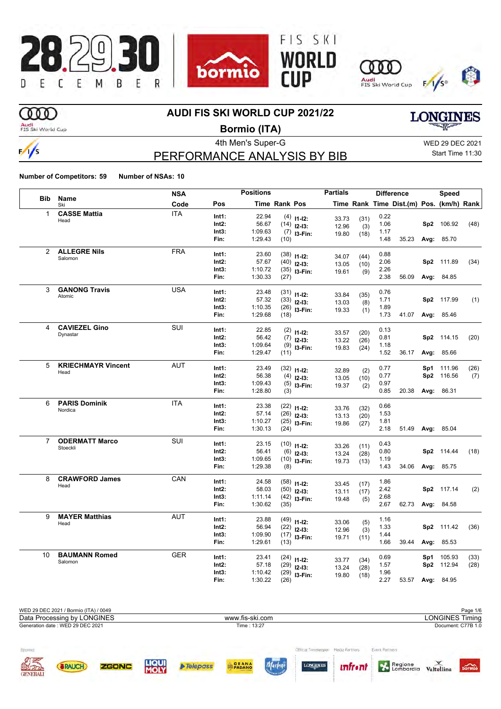

## **OOO**

### **AUDI FIS SKI WORLD CUP 2021/22**

Audi<br>FIS Ski World Cup

 $\frac{1}{s}$ 

**Bormio (ITA)**

PERFORMANCE ANALYSIS BY BIB

4th Men's Super-G WED 29 DEC 2021 Start Time 11:30

**LONGINES** 

**Number of Competitors: 59 Number of NSAs: 10**

|                |                           | <b>NSA</b> |                | <b>Positions</b> |                      |                                | <b>Partials</b> |             |              | <b>Difference</b>                        | Speed            |      |
|----------------|---------------------------|------------|----------------|------------------|----------------------|--------------------------------|-----------------|-------------|--------------|------------------------------------------|------------------|------|
| <b>Bib</b>     | Name<br>Ski               | Code       | Pos            |                  | <b>Time Rank Pos</b> |                                |                 |             |              | Time Rank Time Dist.(m) Pos. (km/h) Rank |                  |      |
| 1              | <b>CASSE Mattia</b>       | <b>ITA</b> | Int1:          | 22.94            |                      | $(4)$ 11-12:                   |                 |             | 0.22         |                                          |                  |      |
|                | Head                      |            | $Int2$ :       | 56.67            |                      | $(14)$ 12-13:                  | 33.73<br>12.96  | (31)        | 1.06         |                                          | Sp2 106.92       | (48) |
|                |                           |            | Int3:          | 1:09.63          |                      | $(7)$ 13-Fin:                  | 19.80           | (3)<br>(18) | 1.17         |                                          |                  |      |
|                |                           |            | Fin:           | 1:29.43          | (10)                 |                                |                 |             | 1.48         | 35.23                                    | Avg: 85.70       |      |
| 2              | <b>ALLEGRE Nils</b>       | <b>FRA</b> | Int1:          | 23.60            |                      |                                |                 |             | 0.88         |                                          |                  |      |
|                | Salomon                   |            | Int2:          | 57.67            |                      | $(38)$ 11-12:                  | 34.07           | (44)        | 2.06         |                                          | Sp2 111.89       | (34) |
|                |                           |            | Int3:          | 1:10.72          |                      | $(40)$ 12-13:                  | 13.05           | (10)        | 2.26         |                                          |                  |      |
|                |                           |            | Fin:           | 1:30.33          | (27)                 | $(35)$ 13-Fin:                 | 19.61           | (9)         | 2.38         | 56.09                                    | Avg: 84.85       |      |
| 3              | <b>GANONG Travis</b>      | <b>USA</b> |                |                  |                      |                                |                 |             |              |                                          |                  |      |
|                | Atomic                    |            | Int1:          | 23.48            |                      | $(31)$ 11-12:                  | 33.84           | (35)        | 0.76         |                                          |                  |      |
|                |                           |            | Int2:          | 57.32            |                      | $(33)$ 12-13:                  | 13.03           | (8)         | 1.71         |                                          | Sp2 117.99       | (1)  |
|                |                           |            | Int3:<br>Fin:  | 1:10.35          |                      | $(26)$ 13-Fin:                 | 19.33           | (1)         | 1.89<br>1.73 |                                          |                  |      |
|                |                           |            |                | 1:29.68          | (18)                 |                                |                 |             |              |                                          | 41.07 Avg: 85.46 |      |
| 4              | <b>CAVIEZEL Gino</b>      | <b>SUI</b> | Int1:          | 22.85            |                      | $(2)$ 11-12:                   | 33.57           | (20)        | 0.13         |                                          |                  |      |
|                | Dynastar                  |            | Int2:          | 56.42            |                      | $(7)$ 12-13:                   | 13.22           | (26)        | 0.81         |                                          | Sp2 114.15       | (20) |
|                |                           |            | Int3:          | 1:09.64          |                      | $(9)$ 13-Fin:                  | 19.83           | (24)        | 1.18         |                                          |                  |      |
|                |                           |            | Fin:           | 1:29.47          | (11)                 |                                |                 |             | 1.52         |                                          | 36.17 Avg: 85.66 |      |
| 5              | <b>KRIECHMAYR Vincent</b> | <b>AUT</b> | Int1:          | 23.49            |                      | $(32)$ 11-12:                  |                 |             | 0.77         |                                          | Sp1 111.96       | (26) |
|                | Head                      |            | Int2:          | 56.38            |                      | $(4)$ 12-13:                   | 32.89<br>13.05  | (2)         | 0.77         |                                          | Sp2 116.56       | (7)  |
|                |                           |            | Int3:          | 1:09.43          |                      | $(5)$ 13-Fin:                  | 19.37           | (10)<br>(2) | 0.97         |                                          |                  |      |
|                |                           |            | Fin:           | 1:28.80          | (3)                  |                                |                 |             | 0.85         | 20.38                                    | Avg: 86.31       |      |
| 6              | <b>PARIS Dominik</b>      | <b>ITA</b> |                |                  |                      |                                |                 |             |              |                                          |                  |      |
|                | Nordica                   |            | Int1:<br>Int2: | 23.38<br>57.14   |                      | $(22)$ 11-12:                  | 33.76           | (32)        | 0.66         |                                          |                  |      |
|                |                           |            | Int3:          | 1:10.27          |                      | $(26)$ 12-13:                  | 13.13           | (20)        | 1.53<br>1.81 |                                          |                  |      |
|                |                           |            | Fin:           | 1:30.13          | (24)                 | $(25)$ 13-Fin:                 | 19.86           | (27)        | 2.18         | 51.49                                    | Avg: 85.04       |      |
| $\overline{7}$ | <b>ODERMATT Marco</b>     | SUI        |                |                  |                      |                                |                 |             |              |                                          |                  |      |
|                | Stoeckli                  |            | Int1:          | 23.15            |                      | $(10)$ 11-12:                  | 33.26           | (11)        | 0.43         |                                          |                  |      |
|                |                           |            | Int2:          | 56.41            |                      | $(6)$ 12-13:                   | 13.24           | (28)        | 0.80         |                                          | Sp2 114.44       | (18) |
|                |                           |            | Int3:          | 1:09.65          |                      | $(10)$ 13-Fin:                 | 19.73           | (13)        | 1.19         |                                          |                  |      |
|                |                           |            | Fin:           | 1:29.38          | (8)                  |                                |                 |             | 1.43         | 34.06                                    | Avg: 85.75       |      |
| 8              | <b>CRAWFORD James</b>     | CAN        | Int1:          | 24.58            |                      | $(58)$ 11-12:                  | 33.45           | (17)        | 1.86         |                                          |                  |      |
|                | Head                      |            | Int2:          | 58.03            |                      | $(50)$ 12-13:                  | 13.11           | (17)        | 2.42         |                                          | Sp2 117.14       | (2)  |
|                |                           |            | Int3:          | 1:11.14          |                      | $(42)$ 13-Fin:                 | 19.48           | (5)         | 2.68         |                                          |                  |      |
|                |                           |            | Fin:           | 1:30.62          | (35)                 |                                |                 |             | 2.67         | 62.73                                    | Avg: 84.58       |      |
| 9              | <b>MAYER Matthias</b>     | <b>AUT</b> | Int1:          | 23.88            |                      |                                |                 |             | 1.16         |                                          |                  |      |
|                | Head                      |            | $Int2$ :       | 56.94            |                      | $(49)$ 11-12:<br>$(22)$ 12-13: | 33.06           | (5)         | 1.33         |                                          | Sp2 111.42       | (36) |
|                |                           |            | Int3:          | 1:09.90          |                      | $(17)$ 13-Fin:                 | 12.96           | (3)         | 1.44         |                                          |                  |      |
|                |                           |            | Fin:           | 1:29.61          | (13)                 |                                | 19.71           | (11)        | 1.66         | 39.44                                    | Avg: 85.53       |      |
| 10             | <b>BAUMANN Romed</b>      | <b>GER</b> |                |                  |                      |                                |                 |             |              |                                          |                  |      |
|                | Salomon                   |            | Int1:          | 23.41            |                      | $(24)$ 11-12:                  | 33.77           | (34)        | 0.69         |                                          | Sp1 105.93       | (33) |
|                |                           |            | Int2:<br>Int3: | 57.18<br>1:10.42 |                      | $(29)$ 12-13:                  | 13.24           | (28)        | 1.57<br>1.96 |                                          | Sp2 112.94       | (28) |
|                |                           |            | Fin:           | 1:30.22          | (26)                 | $(29)$ 13-Fin:                 | 19.80           | (18)        | 2.27         |                                          | 53.57 Avg: 84.95 |      |
|                |                           |            |                |                  |                      |                                |                 |             |              |                                          |                  |      |

WED 29 DEC 2021 / Bormio (ITA) / 0049 Page 1/6<br>
Data Processing by LONGINES **Page 1/6**<br>
WWW.fis-ski.com **Page 1/6** Polices in the UNGINES Timing Data Processing by LONGINES www.fis-ski.com Generation date : WED 29 DEC 2021 Time : 13:27 Document: C77B 1.0 Sponso Official Timekeeper Media Partners Event Partners Regione<br>
Lombardia Valtellina Marlen **SRAUCH** ZGONC  $\rho$  Telepass **PADAN** *unfront* bormio **GENERAL**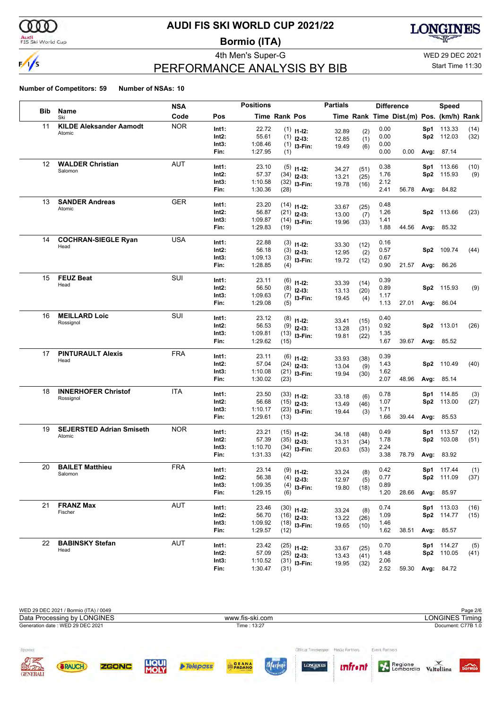

### Audi<br>FIS Ski World Cup

## **AUDI FIS SKI WORLD CUP 2021/22**

**Bormio (ITA)**



## PERFORMANCE ANALYSIS BY BIB

4th Men's Super-G WED 29 DEC 2021

## Start Time 11:30

|                   |                                 | <b>NSA</b> |          | <b>Positions</b> |                      |                               | <b>Partials</b> |              |      | <b>Difference</b>                        |     | Speed             |      |
|-------------------|---------------------------------|------------|----------|------------------|----------------------|-------------------------------|-----------------|--------------|------|------------------------------------------|-----|-------------------|------|
| <b>Bib</b>        | Name<br>Ski                     | Code       | Pos      |                  | <b>Time Rank Pos</b> |                               |                 |              |      | Time Rank Time Dist.(m) Pos. (km/h) Rank |     |                   |      |
| 11                | <b>KILDE Aleksander Aamodt</b>  | <b>NOR</b> | Int1:    | 22.72            |                      | $(1)$ 11-12:                  | 32.89           | (2)          | 0.00 |                                          |     | Sp1 113.33        | (14) |
|                   | Atomic                          |            | Int2:    | 55.61            |                      | $(1)$ 12-13:                  | 12.85           | (1)          | 0.00 |                                          |     | Sp2 112.03        | (32) |
|                   |                                 |            | Int3:    | 1:08.46          |                      | $(1)$ 13-Fin:                 | 19.49           | (6)          | 0.00 |                                          |     |                   |      |
|                   |                                 |            | Fin:     | 1:27.95          | (1)                  |                               |                 |              | 0.00 | 0.00                                     |     | Avg: 87.14        |      |
| $12 \overline{ }$ | <b>WALDER Christian</b>         | <b>AUT</b> | Int1:    | 23.10            |                      | $(5)$ 11-12:                  | 34.27           | (51)         | 0.38 |                                          |     | Sp1 113.66        | (10) |
|                   | Salomon                         |            | Int2:    | 57.37            |                      | $(34)$ 12-13:                 | 13.21           | (25)         | 1.76 |                                          | Sp2 | 115.93            | (9)  |
|                   |                                 |            | Int3:    | 1:10.58          |                      | $(32)$ 13-Fin:                | 19.78           | (16)         | 2.12 |                                          |     |                   |      |
|                   |                                 |            | Fin:     | 1:30.36          | (28)                 |                               |                 |              | 2.41 | 56.78                                    |     | <b>Avg: 84.82</b> |      |
| 13                | <b>SANDER Andreas</b>           | <b>GER</b> | Int1:    | 23.20            |                      | $(14)$ 11-12:                 | 33.67           | (25)         | 0.48 |                                          |     |                   |      |
|                   | Atomic                          |            | Int2:    | 56.87            |                      | $(21)$ 12-13:                 | 13.00           | (7)          | 1.26 |                                          |     | Sp2 113.66        | (23) |
|                   |                                 |            | Int3:    | 1:09.87          |                      | $(14)$ 13-Fin:                | 19.96           | (33)         | 1.41 |                                          |     |                   |      |
|                   |                                 |            | Fin:     | 1:29.83          | (19)                 |                               |                 |              | 1.88 | 44.56                                    |     | <b>Avg: 85.32</b> |      |
| 14                | <b>COCHRAN-SIEGLE Ryan</b>      | <b>USA</b> | Int1:    | 22.88            |                      | $(3)$ 11-12:                  | 33.30           | (12)         | 0.16 |                                          |     |                   |      |
|                   | Head                            |            | Int2:    | 56.18            | (3)                  | $12-13:$                      | 12.95           | (2)          | 0.57 |                                          | Sp2 | 109.74            | (44) |
|                   |                                 |            | Int3:    | 1:09.13          |                      | $(3)$ 13-Fin:                 | 19.72           | (12)         | 0.67 |                                          |     |                   |      |
|                   |                                 |            | Fin:     | 1:28.85          | (4)                  |                               |                 |              | 0.90 | 21.57                                    |     | Avg: 86.26        |      |
| 15                | <b>FEUZ Beat</b>                | SUI        | Int1:    | 23.11            |                      | $(6)$ 11-12:                  |                 |              | 0.39 |                                          |     |                   |      |
|                   | Head                            |            | Int2:    | 56.50            |                      | $(8)$ 12-13:                  | 33.39<br>13.13  | (14)<br>(20) | 0.89 |                                          |     | Sp2 115.93        | (9)  |
|                   |                                 |            | Int3:    | 1:09.63          |                      | $(7)$ 13-Fin:                 | 19.45           | (4)          | 1.17 |                                          |     |                   |      |
|                   |                                 |            | Fin:     | 1:29.08          | (5)                  |                               |                 |              | 1.13 | 27.01                                    |     | Avg: 86.04        |      |
| 16                | <b>MEILLARD Loic</b>            | SUI        | Int1:    | 23.12            |                      |                               |                 |              | 0.40 |                                          |     |                   |      |
|                   | Rossianol                       |            | Int2:    | 56.53            |                      | $(8)$ 11-12:<br>$(9)$ 12-13:  | 33.41           | (15)         | 0.92 |                                          | Sp2 | 113.01            | (26) |
|                   |                                 |            | Int3:    | 1:09.81          |                      | $(13)$ 13-Fin:                | 13.28<br>19.81  | (31)<br>(22) | 1.35 |                                          |     |                   |      |
|                   |                                 |            | Fin:     | 1:29.62          | (15)                 |                               |                 |              | 1.67 | 39.67                                    |     | Avg: 85.52        |      |
| 17                | <b>PINTURAULT Alexis</b>        | <b>FRA</b> | Int1:    | 23.11            |                      |                               |                 |              | 0.39 |                                          |     |                   |      |
|                   | Head                            |            | Int2:    | 57.04            |                      | $(6)$ 11-12:<br>$(24)$ 12-13: | 33.93           | (38)         | 1.43 |                                          |     | Sp2 110.49        | (40) |
|                   |                                 |            | Int3:    | 1:10.08          |                      | $(21)$ 13-Fin:                | 13.04<br>19.94  | (9)<br>(30)  | 1.62 |                                          |     |                   |      |
|                   |                                 |            | Fin:     | 1:30.02          | (23)                 |                               |                 |              | 2.07 | 48.96                                    |     | Avg: 85.14        |      |
| 18                | <b>INNERHOFER Christof</b>      | ITA        | Int1:    | 23.50            |                      | $(33)$ 11-12:                 |                 |              | 0.78 |                                          |     | Sp1 114.85        | (3)  |
|                   | Rossignol                       |            | Int2:    | 56.68            |                      | $(15)$ 12-13:                 | 33.18<br>13.49  | (6)          | 1.07 |                                          | Sp2 | 113.00            | (27) |
|                   |                                 |            | Int3:    | 1:10.17          |                      | $(23)$ 13-Fin:                | 19.44           | (46)<br>(3)  | 1.71 |                                          |     |                   |      |
|                   |                                 |            | Fin:     | 1:29.61          | (13)                 |                               |                 |              | 1.66 | 39.44                                    |     | <b>Avg: 85.53</b> |      |
| 19                | <b>SEJERSTED Adrian Smiseth</b> | <b>NOR</b> | Int1:    | 23.21            |                      | $(15)$ 11-12:                 |                 |              | 0.49 |                                          | Sp1 | 113.57            | (12) |
|                   | Atomic                          |            | Int2:    | 57.39            |                      | $(35)$ 12-13:                 | 34.18<br>13.31  | (48)<br>(34) | 1.78 |                                          | Sp2 | 103.08            | (51) |
|                   |                                 |            | Int3:    | 1:10.70          |                      | $(34)$ 13-Fin:                | 20.63           | (53)         | 2.24 |                                          |     |                   |      |
|                   |                                 |            | Fin:     | 1:31.33          | (42)                 |                               |                 |              | 3.38 | 78.79                                    |     | Avg: 83.92        |      |
| 20                | <b>BAILET Matthieu</b>          | <b>FRA</b> | Int1:    | 23.14            |                      | $(9)$ 11-12:                  | 33.24           | (8)          | 0.42 |                                          |     | Sp1 117.44        | (1)  |
|                   | Salomon                         |            | $Int2$ : | 56.38            |                      | $(4)$ 12-13:                  | 12.97           | (5)          | 0.77 |                                          |     | Sp2 111.09        | (37) |
|                   |                                 |            | Int3:    | 1:09.35          |                      | $(4)$ 13-Fin:                 | 19.80           | (18)         | 0.89 |                                          |     |                   |      |
|                   |                                 |            | Fin:     | 1:29.15          | (6)                  |                               |                 |              | 1.20 | 28.66                                    |     | Avg: 85.97        |      |
| 21                | <b>FRANZ Max</b>                | <b>AUT</b> | Int1:    | 23.46            |                      | $(30)$ 11-12:                 | 33.24           | (8)          | 0.74 |                                          |     | Sp1 113.03        | (16) |
|                   | Fischer                         |            | Int2:    | 56.70            |                      | $(16)$ 12-13:                 | 13.22           | (26)         | 1.09 |                                          |     | Sp2 114.77        | (15) |
|                   |                                 |            | Int3:    | 1:09.92          |                      | $(18)$ 13-Fin:                | 19.65           | (10)         | 1.46 |                                          |     |                   |      |
|                   |                                 |            | Fin:     | 1:29.57          | (12)                 |                               |                 |              | 1.62 | 38.51                                    |     | Avg: 85.57        |      |
| 22                | <b>BABINSKY Stefan</b>          | AUT        | Int1:    | 23.42            |                      | $(25)$ 11-12:                 | 33.67           | (25)         | 0.70 |                                          |     | Sp1 114.27        | (5)  |
|                   | Head                            |            | Int2:    | 57.09            |                      | $(25)$ 12-13:                 | 13.43           | (41)         | 1.48 |                                          |     | Sp2 110.05        | (41) |
|                   |                                 |            | Int3:    | 1:10.52          |                      | $(31)$ 13-Fin:                | 19.95           | (32)         | 2.06 |                                          |     |                   |      |
|                   |                                 |            | Fin:     | 1:30.47          | (31)                 |                               |                 |              | 2.52 |                                          |     | 59.30 Avg: 84.72  |      |

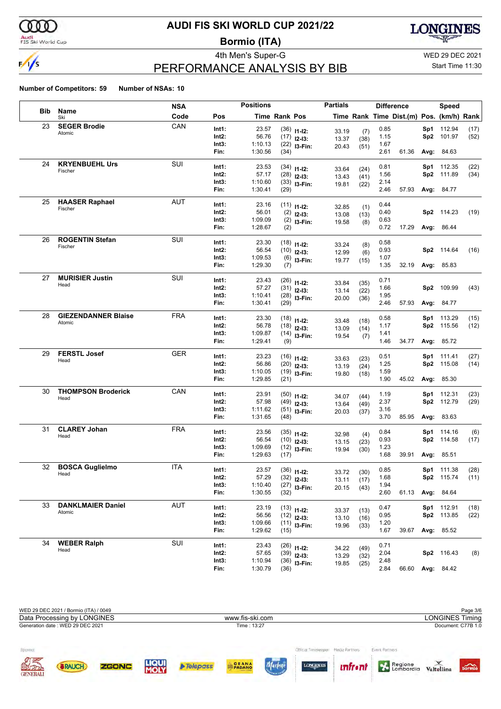

### Audi<br>FIS Ski World Cup

## **AUDI FIS SKI WORLD CUP 2021/22**

**Bormio (ITA)**



## PERFORMANCE ANALYSIS BY BIB

4th Men's Super-G WED 29 DEC 2021

### Start Time 11:30

|            |                            | <b>NSA</b> |          | <b>Positions</b> |                      |                  | <b>Partials</b> |              |      | <b>Difference</b>                        |      | <b>Speed</b>      |      |
|------------|----------------------------|------------|----------|------------------|----------------------|------------------|-----------------|--------------|------|------------------------------------------|------|-------------------|------|
| <b>Bib</b> | Name<br>Ski                | Code       | Pos      |                  | <b>Time Rank Pos</b> |                  |                 |              |      | Time Rank Time Dist.(m) Pos. (km/h) Rank |      |                   |      |
| 23         | <b>SEGER Brodie</b>        | CAN        | Int1:    | 23.57            |                      | $(36)$ 11-12:    | 33.19           | (7)          | 0.85 |                                          | Sp1  | 112.94            | (17) |
|            | Atomic                     |            | Int2:    | 56.76            |                      | $(17)$ 12-13:    | 13.37           | (38)         | 1.15 |                                          | Sp2  | 101.97            | (52) |
|            |                            |            | Int3:    | 1:10.13          |                      | $(22)$ 13-Fin:   | 20.43           | (51)         | 1.67 |                                          |      |                   |      |
|            |                            |            | Fin:     | 1:30.56          | (34)                 |                  |                 |              | 2.61 | 61.36                                    |      | Avg: 84.63        |      |
| 24         | <b>KRYENBUEHL Urs</b>      | <b>SUI</b> | Int1:    | 23.53            |                      | $(34)$ 11-12:    |                 |              | 0.81 |                                          |      | Sp1 112.35        | (22) |
|            | Fischer                    |            | Int2:    | 57.17            |                      | $(28)$ 12-13:    | 33.64<br>13.43  | (24)<br>(41) | 1.56 |                                          | Sp2  | 111.89            | (34) |
|            |                            |            | Int3:    | 1:10.60          |                      | $(33)$ 13-Fin:   | 19.81           | (22)         | 2.14 |                                          |      |                   |      |
|            |                            |            | Fin:     | 1:30.41          | (29)                 |                  |                 |              | 2.46 | 57.93                                    |      | <b>Avg: 84.77</b> |      |
| 25         | <b>HAASER Raphael</b>      | <b>AUT</b> | Int1:    | 23.16            |                      | $(11)$ $11$ -12: | 32.85           | (1)          | 0.44 |                                          |      |                   |      |
|            | Fischer                    |            | Int2:    | 56.01            |                      | $(2)$ 12-13:     | 13.08           | (13)         | 0.40 |                                          |      | Sp2 114.23        | (19) |
|            |                            |            | Int3:    | 1:09.09          |                      | $(2)$ 13-Fin:    | 19.58           | (8)          | 0.63 |                                          |      |                   |      |
|            |                            |            | Fin:     | 1:28.67          | (2)                  |                  |                 |              | 0.72 | 17.29                                    |      | Avg: 86.44        |      |
| 26         | <b>ROGENTIN Stefan</b>     | <b>SUI</b> | Int1:    | 23.30            |                      | $(18)$ 11-12:    | 33.24           | (8)          | 0.58 |                                          |      |                   |      |
|            | Fischer                    |            | Int2:    | 56.54            |                      | $(10)$ 12-13:    | 12.99           | (6)          | 0.93 |                                          |      | Sp2 114.64        | (16) |
|            |                            |            | Int3:    | 1:09.53          |                      | $(6)$ 13-Fin:    | 19.77           | (15)         | 1.07 |                                          |      |                   |      |
|            |                            |            | Fin:     | 1:29.30          | (7)                  |                  |                 |              | 1.35 | 32.19                                    |      | <b>Avg: 85.83</b> |      |
| 27         | <b>MURISIER Justin</b>     | SUI        | Int1:    | 23.43            |                      | $(26)$ 11-12:    |                 |              | 0.71 |                                          |      |                   |      |
|            | Head                       |            | Int2:    | 57.27            |                      | $(31)$ 12-13:    | 33.84<br>13.14  | (35)<br>(22) | 1.66 |                                          |      | Sp2 109.99        | (43) |
|            |                            |            | Int3:    | 1:10.41          |                      | $(28)$ 13-Fin:   | 20.00           | (36)         | 1.95 |                                          |      |                   |      |
|            |                            |            | Fin:     | 1:30.41          | (29)                 |                  |                 |              | 2.46 | 57.93                                    |      | <b>Avg: 84.77</b> |      |
| 28         | <b>GIEZENDANNER Blaise</b> | <b>FRA</b> | Int1:    | 23.30            |                      | $(18)$ 11-12:    |                 |              | 0.58 |                                          | Sp1  | 113.29            | (15) |
|            | Atomic                     |            | Int2:    | 56.78            |                      | $(18)$ 12-13:    | 33.48<br>13.09  | (18)         | 1.17 |                                          | Sp2  | 115.56            | (12) |
|            |                            |            | Int3:    | 1:09.87          |                      | $(14)$ 13-Fin:   | 19.54           | (14)<br>(7)  | 1.41 |                                          |      |                   |      |
|            |                            |            | Fin:     | 1:29.41          | (9)                  |                  |                 |              | 1.46 | 34.77                                    |      | Avg: 85.72        |      |
| 29         | <b>FERSTL Josef</b>        | <b>GER</b> | Int1:    | 23.23            |                      | $(16)$ 11-12:    |                 |              | 0.51 |                                          | Sp1  | 111.41            | (27) |
|            | Head                       |            | Int2:    | 56.86            |                      | $(20)$ 12-13:    | 33.63           | (23)         | 1.25 |                                          | Sp2  | 115.08            | (14) |
|            |                            |            | Int3:    | 1:10.05          |                      | $(19)$ 13-Fin:   | 13.19<br>19.80  | (24)<br>(18) | 1.59 |                                          |      |                   |      |
|            |                            |            | Fin:     | 1:29.85          | (21)                 |                  |                 |              | 1.90 | 45.02                                    |      | Avg: 85.30        |      |
| 30         | <b>THOMPSON Broderick</b>  | CAN        | Int1:    | 23.91            |                      | $(50)$ 11-12:    |                 |              | 1.19 |                                          |      | Sp1 112.31        | (23) |
|            | Head                       |            | Int2:    | 57.98            |                      | $(49)$ 12-13:    | 34.07<br>13.64  | (44)         | 2.37 |                                          | Sp2  | 112.79            | (29) |
|            |                            |            | Int3:    | 1:11.62          |                      | $(51)$ 13-Fin:   | 20.03           | (49)<br>(37) | 3.16 |                                          |      |                   |      |
|            |                            |            | Fin:     | 1:31.65          | (48)                 |                  |                 |              | 3.70 | 85.95                                    | Avg: | 83.63             |      |
| 31         | <b>CLAREY Johan</b>        | <b>FRA</b> | Int1:    | 23.56            |                      | $(35)$ 11-12:    |                 |              | 0.84 |                                          | Sp1  | 114.16            | (6)  |
|            | Head                       |            | Int2:    | 56.54            |                      | $(10)$ 12-13:    | 32.98<br>13.15  | (4)<br>(23)  | 0.93 |                                          |      | Sp2 114.58        | (17) |
|            |                            |            | Int3:    | 1:09.69          |                      | $(12)$ 13-Fin:   | 19.94           | (30)         | 1.23 |                                          |      |                   |      |
|            |                            |            | Fin:     | 1:29.63          | (17)                 |                  |                 |              | 1.68 | 39.91                                    |      | Avg: 85.51        |      |
| 32         | <b>BOSCA Guglielmo</b>     | ITA        | Int1:    | 23.57            |                      | $(36)$ 11-12:    | 33.72           | (30)         | 0.85 |                                          |      | Sp1 111.38        | (28) |
|            | Head                       |            | $Int2$ : | 57.29            |                      | $(32)$ 12-13:    | 13.11           | (17)         | 1.68 |                                          |      | Sp2 115.74        | (11) |
|            |                            |            | Int3:    | 1:10.40          |                      | $(27)$ 13-Fin:   | 20.15           | (43)         | 1.94 |                                          |      |                   |      |
|            |                            |            | Fin:     | 1:30.55          | (32)                 |                  |                 |              | 2.60 | 61.13 Avg: 84.64                         |      |                   |      |
| 33         | <b>DANKLMAIER Daniel</b>   | AUT        | Int1:    | 23.19            |                      | $(13)$ $11-12$ : | 33.37           | (13)         | 0.47 |                                          |      | Sp1 112.91        | (18) |
|            | Atomic                     |            | Int2:    | 56.56            |                      | $(12)$ 12-13:    | 13.10           | (16)         | 0.95 |                                          |      | Sp2 113.85        | (22) |
|            |                            |            | Int3:    | 1:09.66          |                      | $(11)$ 13-Fin:   | 19.96           | (33)         | 1.20 |                                          |      |                   |      |
|            |                            |            | Fin:     | 1:29.62          | (15)                 |                  |                 |              | 1.67 | 39.67                                    |      | Avg: 85.52        |      |
| 34         | <b>WEBER Ralph</b>         | SUI        | Int1:    | 23.43            |                      | $(26)$ 11-12:    | 34.22           | (49)         | 0.71 |                                          |      |                   |      |
|            | Head                       |            | Int2:    | 57.65            |                      | $(39)$ 12-13:    | 13.29           | (32)         | 2.04 |                                          |      | Sp2 116.43        | (8)  |
|            |                            |            | Int3:    | 1:10.94          |                      | $(36)$ 13-Fin:   | 19.85           | (25)         | 2.48 |                                          |      |                   |      |
|            |                            |            | Fin:     | 1:30.79          | (36)                 |                  |                 |              | 2.84 |                                          |      | 66.60 Avg: 84.42  |      |

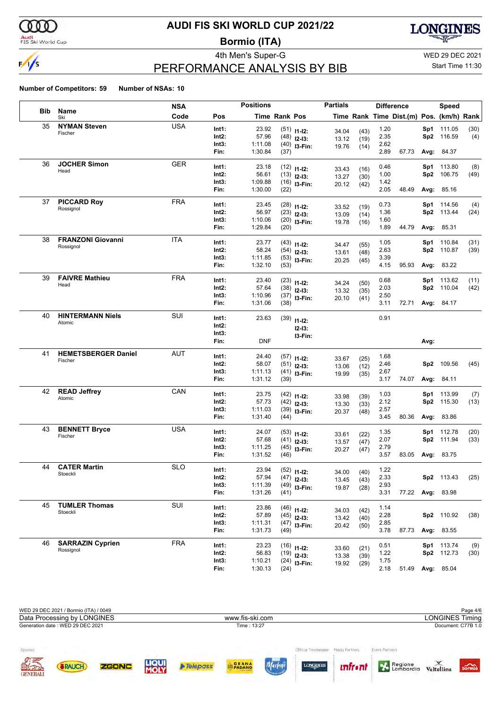

### Audi<br>FIS Ski World Cup

## **AUDI FIS SKI WORLD CUP 2021/22**

**Bormio (ITA)**



## PERFORMANCE ANALYSIS BY BIB

4th Men's Super-G WED 29 DEC 2021

### Start Time 11:30

|            |                            | <b>NSA</b> |          | <b>Positions</b> |               |                  | <b>Partials</b> |              |      | <b>Difference</b>                        |      | <b>Speed</b>      |      |
|------------|----------------------------|------------|----------|------------------|---------------|------------------|-----------------|--------------|------|------------------------------------------|------|-------------------|------|
| <b>Bib</b> | Name<br>Ski                | Code       | Pos      |                  | Time Rank Pos |                  |                 |              |      | Time Rank Time Dist.(m) Pos. (km/h) Rank |      |                   |      |
| 35         | <b>NYMAN Steven</b>        | <b>USA</b> | Int1:    | 23.92            |               | $(51)$ 11-12:    | 34.04           | (43)         | 1.20 |                                          |      | Sp1 111.05        | (30) |
|            | Fischer                    |            | Int2:    | 57.96            |               | $(48)$ 12-13:    | 13.12           | (19)         | 2.35 |                                          |      | Sp2 116.59        | (4)  |
|            |                            |            | Int3:    | 1:11.08          |               | $(40)$ 13-Fin:   | 19.76           | (14)         | 2.62 |                                          |      |                   |      |
|            |                            |            | Fin:     | 1:30.84          | (37)          |                  |                 |              | 2.89 | 67.73                                    |      | <b>Avg: 84.37</b> |      |
| 36         | <b>JOCHER Simon</b>        | <b>GER</b> | Int1:    | 23.18            |               | $(12)$ $11-12$ : |                 |              | 0.46 |                                          |      | Sp1 113.80        | (8)  |
|            | Head                       |            | Int2:    | 56.61            |               | $(13)$ 12-13:    | 33.43<br>13.27  | (16)<br>(30) | 1.00 |                                          | Sp2  | 106.75            | (49) |
|            |                            |            | Int3:    | 1:09.88          |               | $(16)$ 13-Fin:   | 20.12           | (42)         | 1.42 |                                          |      |                   |      |
|            |                            |            | Fin:     | 1:30.00          | (22)          |                  |                 |              | 2.05 | 48.49                                    |      | Avg: 85.16        |      |
| 37         | <b>PICCARD Roy</b>         | <b>FRA</b> | Int1:    | 23.45            |               | $(28)$ 11-12:    | 33.52           | (19)         | 0.73 |                                          |      | Sp1 114.56        | (4)  |
|            | Rossignol                  |            | Int2:    | 56.97            |               | $(23)$ 12-13:    | 13.09           | (14)         | 1.36 |                                          |      | Sp2 113.44        | (24) |
|            |                            |            | Int3:    | 1:10.06          |               | $(20)$ 13-Fin:   | 19.78           | (16)         | 1.60 |                                          |      |                   |      |
|            |                            |            | Fin:     | 1:29.84          | (20)          |                  |                 |              | 1.89 | 44.79                                    |      | Avg: 85.31        |      |
| 38         | <b>FRANZONI Giovanni</b>   | ITA        | Int1:    | 23.77            |               | $(43)$ 11-12:    | 34.47           | (55)         | 1.05 |                                          |      | Sp1 110.84        | (31) |
|            | Rossignol                  |            | Int2:    | 58.24            |               | $(54)$ 12-13:    | 13.61           | (48)         | 2.63 |                                          |      | Sp2 110.87        | (39) |
|            |                            |            | Int3:    | 1:11.85          |               | $(53)$ 13-Fin:   | 20.25           | (45)         | 3.39 |                                          |      |                   |      |
|            |                            |            | Fin:     | 1:32.10          | (53)          |                  |                 |              | 4.15 | 95.93                                    |      | Avg: 83.22        |      |
| 39         | <b>FAIVRE Mathieu</b>      | FRA        | Int1:    | 23.40            |               | $(23)$ 11-12:    |                 |              | 0.68 |                                          |      | Sp1 113.62        | (11) |
|            | Head                       |            | Int2:    | 57.64            |               | $(38)$ 12-13:    | 34.24<br>13.32  | (50)<br>(35) | 2.03 |                                          |      | Sp2 110.04        | (42) |
|            |                            |            | Int3:    | 1:10.96          |               | $(37)$ 13-Fin:   | 20.10           | (41)         | 2.50 |                                          |      |                   |      |
|            |                            |            | Fin:     | 1:31.06          | (38)          |                  |                 |              | 3.11 | 72.71                                    |      | Avg: 84.17        |      |
| 40         | <b>HINTERMANN Niels</b>    | SUI        | Int1:    | 23.63            |               | $(39)$ 11-12:    |                 |              | 0.91 |                                          |      |                   |      |
|            | Atomic                     |            | Int2:    |                  |               | $12-13:$         |                 |              |      |                                          |      |                   |      |
|            |                            |            | Int3:    |                  |               | I3-Fin:          |                 |              |      |                                          |      |                   |      |
|            |                            |            | Fin:     | <b>DNF</b>       |               |                  |                 |              |      |                                          | Avg: |                   |      |
| 41         | <b>HEMETSBERGER Daniel</b> | AUT        | Int1:    | 24.40            |               | $(57)$ 11-12:    |                 |              | 1.68 |                                          |      |                   |      |
|            | Fischer                    |            | Int2:    | 58.07            |               | $(51)$ 12-13:    | 33.67<br>13.06  | (25)<br>(12) | 2.46 |                                          |      | Sp2 109.56        | (45) |
|            |                            |            | Int3:    | 1:11.13          |               | $(41)$ 13-Fin:   | 19.99           | (35)         | 2.67 |                                          |      |                   |      |
|            |                            |            | Fin:     | 1:31.12          | (39)          |                  |                 |              | 3.17 | 74.07                                    |      | Avg: 84.11        |      |
| 42         | <b>READ Jeffrey</b>        | CAN        | Int1:    | 23.75            |               | $(42)$ 11-12:    |                 |              | 1.03 |                                          |      | Sp1 113.99        | (7)  |
|            | Atomic                     |            | Int2:    | 57.73            |               | $(42)$ 12-13:    | 33.98<br>13.30  | (39)<br>(33) | 2.12 |                                          |      | Sp2 115.30        | (13) |
|            |                            |            | Int3:    | 1:11.03          |               | $(39)$ 13-Fin:   | 20.37           | (48)         | 2.57 |                                          |      |                   |      |
|            |                            |            | Fin:     | 1:31.40          | (44)          |                  |                 |              | 3.45 | 80.36                                    |      | <b>Avg: 83.86</b> |      |
| 43         | <b>BENNETT Bryce</b>       | <b>USA</b> | Int1:    | 24.07            |               | $(53)$ 11-12:    |                 |              | 1.35 |                                          |      | Sp1 112.78        | (20) |
|            | Fischer                    |            | Int2:    | 57.68            |               | $(41)$ 12-13:    | 33.61<br>13.57  | (22)<br>(47) | 2.07 |                                          |      | Sp2 111.94        | (33) |
|            |                            |            | Int3:    | 1:11.25          |               | $(45)$ 13-Fin:   | 20.27           | (47)         | 2.79 |                                          |      |                   |      |
|            |                            |            | Fin:     | 1:31.52          | (46)          |                  |                 |              | 3.57 | 83.05                                    |      | Avg: 83.75        |      |
| 44         | <b>CATER Martin</b>        | <b>SLO</b> | Int1:    | 23.94            |               | $(52)$ 11-12:    |                 |              | 1.22 |                                          |      |                   |      |
|            | Stoeckli                   |            | $Int2$ : | 57.94            |               | $(47)$ 12-13:    | 34.00<br>13.45  | (40)<br>(43) | 2.33 |                                          |      | Sp2 113.43        | (25) |
|            |                            |            | Int3:    | 1:11.39          |               | $(49)$ 13-Fin:   | 19.87           | (28)         | 2.93 |                                          |      |                   |      |
|            |                            |            | Fin:     | 1:31.26          | (41)          |                  |                 |              | 3.31 | 77.22 Avg: 83.98                         |      |                   |      |
| 45         | <b>TUMLER Thomas</b>       | SUI        | Int1:    | 23.86            |               | $(46)$ 11-12:    |                 |              | 1.14 |                                          |      |                   |      |
|            | Stoeckli                   |            | Int2:    | 57.89            |               | $(45)$ 12-13:    | 34.03<br>13.42  | (42)<br>(40) | 2.28 |                                          |      | Sp2 110.92        | (38) |
|            |                            |            | Int3:    | 1:11.31          |               | $(47)$ 13-Fin:   | 20.42           | (50)         | 2.85 |                                          |      |                   |      |
|            |                            |            | Fin:     | 1:31.73          | (49)          |                  |                 |              | 3.78 | 87.73                                    |      | <b>Avg: 83.55</b> |      |
| 46         | <b>SARRAZIN Cyprien</b>    | <b>FRA</b> | Int1:    | 23.23            |               | $(16)$ 11-12:    |                 |              | 0.51 |                                          |      | Sp1 113.74        | (9)  |
|            | Rossignol                  |            | Int2:    | 56.83            |               | $(19)$ 12-13:    | 33.60<br>13.38  | (21)<br>(39) | 1.22 |                                          |      | Sp2 112.73        | (30) |
|            |                            |            | Int3:    | 1:10.21          |               | $(24)$ 13-Fin:   | 19.92           | (29)         | 1.75 |                                          |      |                   |      |
|            |                            |            | Fin:     | 1:30.13          | (24)          |                  |                 |              | 2.18 | 51.49                                    |      | <b>Avg: 85.04</b> |      |

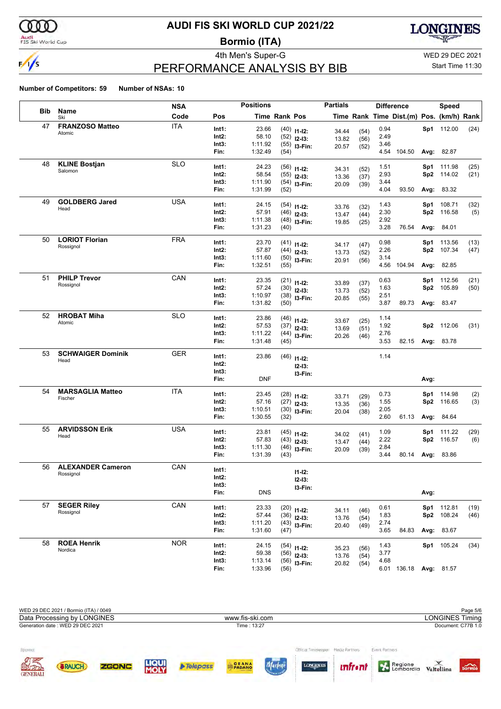

### Audi<br>FIS Ski World Cup

## **AUDI FIS SKI WORLD CUP 2021/22**

**Bormio (ITA)**



## PERFORMANCE ANALYSIS BY BIB

4th Men's Super-G WED 29 DEC 2021

### Start Time 11:30

|            |                          | <b>NSA</b> |          | <b>Positions</b> |                      |                     | <b>Partials</b> |              |      | <b>Difference</b>                        |      | <b>Speed</b>      |      |
|------------|--------------------------|------------|----------|------------------|----------------------|---------------------|-----------------|--------------|------|------------------------------------------|------|-------------------|------|
| <b>Bib</b> | Name<br>Ski              | Code       | Pos      |                  | <b>Time Rank Pos</b> |                     |                 |              |      | Time Rank Time Dist.(m) Pos. (km/h) Rank |      |                   |      |
| 47         | <b>FRANZOSO Matteo</b>   | <b>ITA</b> | Int1:    | 23.66            |                      | $(40)$ 11-12:       | 34.44           | (54)         | 0.94 |                                          |      | Sp1 112.00        | (24) |
|            | Atomic                   |            | Int2:    | 58.10            |                      | $(52)$ 12-13:       | 13.82           | (56)         | 2.49 |                                          |      |                   |      |
|            |                          |            | Int3:    | 1:11.92          |                      | $(55)$ 13-Fin:      | 20.57           | (52)         | 3.46 |                                          |      |                   |      |
|            |                          |            | Fin:     | 1:32.49          | (54)                 |                     |                 |              |      | 4.54 104.50                              |      | Avg: 82.87        |      |
| 48         | <b>KLINE Bostjan</b>     | <b>SLO</b> | Int1:    | 24.23            |                      | $(56)$ 11-12:       |                 |              | 1.51 |                                          |      | Sp1 111.98        | (25) |
|            | Salomon                  |            | Int2:    | 58.54            |                      | $(55)$ 12-13:       | 34.31           | (52)         | 2.93 |                                          |      | Sp2 114.02        | (21) |
|            |                          |            | Int3:    | 1:11.90          |                      | $(54)$ 13-Fin:      | 13.36<br>20.09  | (37)<br>(39) | 3.44 |                                          |      |                   |      |
|            |                          |            | Fin:     | 1:31.99          | (52)                 |                     |                 |              | 4.04 | 93.50                                    |      | <b>Avg: 83.32</b> |      |
| 49         | <b>GOLDBERG Jared</b>    | USA        | Int1:    | 24.15            |                      | $(54)$ 11-12:       | 33.76           | (32)         | 1.43 |                                          | Sp1  | 108.71            | (32) |
|            | Head                     |            | Int2:    | 57.91            |                      | $(46)$ 12-13:       | 13.47           | (44)         | 2.30 |                                          |      | Sp2 116.58        | (5)  |
|            |                          |            | Int3:    | 1:11.38          |                      | $(48)$ 13-Fin:      | 19.85           | (25)         | 2.92 |                                          |      |                   |      |
|            |                          |            | Fin:     | 1:31.23          | (40)                 |                     |                 |              | 3.28 | 76.54                                    |      | <b>Avg: 84.01</b> |      |
| 50         | <b>LORIOT Florian</b>    | <b>FRA</b> | Int1:    | 23.70            |                      | $(41)$ 11-12:       |                 |              | 0.98 |                                          |      | Sp1 113.56        | (13) |
|            | Rossignol                |            | Int2:    | 57.87            |                      | $(44)$ 12-13:       | 34.17<br>13.73  | (47)<br>(52) | 2.26 |                                          |      | Sp2 107.34        | (47) |
|            |                          |            | Int3:    | 1:11.60          |                      | $(50)$ 13-Fin:      | 20.91           | (56)         | 3.14 |                                          |      |                   |      |
|            |                          |            | Fin:     | 1:32.51          | (55)                 |                     |                 |              |      | 4.56 104.94                              |      | Avg: 82.85        |      |
| 51         | <b>PHILP Trevor</b>      | CAN        | Int1:    | 23.35            |                      | $(21)$ 11-12:       |                 |              | 0.63 |                                          |      | Sp1 112.56        | (21) |
|            | Rossignol                |            | Int2:    | 57.24            |                      | $(30)$ 12-13:       | 33.89           | (37)         | 1.63 |                                          |      | Sp2 105.89        | (50) |
|            |                          |            | Int3:    | 1:10.97          |                      | $(38)$ 13-Fin:      | 13.73<br>20.85  | (52)<br>(55) | 2.51 |                                          |      |                   |      |
|            |                          |            | Fin:     | 1:31.82          | (50)                 |                     |                 |              | 3.87 | 89.73                                    |      | Avg: 83.47        |      |
| 52         | <b>HROBAT Miha</b>       | <b>SLO</b> | Int1:    | 23.86            |                      | $(46)$ 11-12:       |                 |              | 1.14 |                                          |      |                   |      |
|            | Atomic                   |            | Int2:    | 57.53            |                      | $(37)$ 12-13:       | 33.67           | (25)         | 1.92 |                                          |      | Sp2 112.06        | (31) |
|            |                          |            | Int3:    | 1:11.22          |                      | $(44)$ 13-Fin:      | 13.69<br>20.26  | (51)<br>(46) | 2.76 |                                          |      |                   |      |
|            |                          |            | Fin:     | 1:31.48          | (45)                 |                     |                 |              | 3.53 | 82.15 Avg: 83.78                         |      |                   |      |
| 53         | <b>SCHWAIGER Dominik</b> | <b>GER</b> | Int1:    | 23.86            |                      | $(46)$ 11-12:       |                 |              | 1.14 |                                          |      |                   |      |
|            | Head                     |            | Int2:    |                  |                      |                     |                 |              |      |                                          |      |                   |      |
|            |                          |            | Int3:    |                  |                      | $12-13:$<br>I3-Fin: |                 |              |      |                                          |      |                   |      |
|            |                          |            | Fin:     | <b>DNF</b>       |                      |                     |                 |              |      |                                          | Avg: |                   |      |
| 54         | <b>MARSAGLIA Matteo</b>  | <b>ITA</b> | Int1:    | 23.45            |                      | $(28)$ 11-12:       |                 |              | 0.73 |                                          |      | Sp1 114.98        | (2)  |
|            | Fischer                  |            | Int2:    | 57.16            |                      | $(27)$ 12-13:       | 33.71           | (29)         | 1.55 |                                          |      | Sp2 116.65        | (3)  |
|            |                          |            | Int3:    | 1:10.51          |                      | $(30)$ 13-Fin:      | 13.35<br>20.04  | (36)<br>(38) | 2.05 |                                          |      |                   |      |
|            |                          |            | Fin:     | 1:30.55          | (32)                 |                     |                 |              | 2.60 | 61.13                                    |      | <b>Avg: 84.64</b> |      |
| 55         | <b>ARVIDSSON Erik</b>    | <b>USA</b> | Int1:    | 23.81            |                      | $(45)$ 11-12:       |                 |              | 1.09 |                                          |      | Sp1 111.22        | (29) |
|            | Head                     |            | Int2:    | 57.83            |                      | $(43)$ 12-13:       | 34.02<br>13.47  | (41)<br>(44) | 2.22 |                                          |      | Sp2 116.57        | (6)  |
|            |                          |            | Int3:    | 1:11.30          |                      | $(46)$ 13-Fin:      | 20.09           | (39)         | 2.84 |                                          |      |                   |      |
|            |                          |            | Fin:     | 1:31.39          | (43)                 |                     |                 |              | 3.44 | 80.14                                    |      | Avg: 83.86        |      |
| 56         | <b>ALEXANDER Cameron</b> | CAN        | Int1:    |                  |                      | $11 - 12$ :         |                 |              |      |                                          |      |                   |      |
|            | Rossignol                |            | $Int2$ : |                  |                      | $12-13:$            |                 |              |      |                                          |      |                   |      |
|            |                          |            | Int3:    |                  |                      | I3-Fin:             |                 |              |      |                                          |      |                   |      |
|            |                          |            | Fin:     | <b>DNS</b>       |                      |                     |                 |              |      |                                          | Avg: |                   |      |
| 57         | <b>SEGER Riley</b>       | CAN        | Int1:    | 23.33            |                      | $(20)$ 11-12:       |                 |              | 0.61 |                                          |      | Sp1 112.81        | (19) |
|            | Rossignol                |            | Int2:    | 57.44            |                      | $(36)$ 12-13:       | 34.11<br>13.76  | (46)<br>(54) | 1.83 |                                          |      | Sp2 108.24        | (46) |
|            |                          |            | Int3:    | 1:11.20          |                      | $(43)$ 13-Fin:      | 20.40           | (49)         | 2.74 |                                          |      |                   |      |
|            |                          |            | Fin:     | 1:31.60          | (47)                 |                     |                 |              | 3.65 | 84.83                                    |      | Avg: 83.67        |      |
| 58         | <b>ROEA Henrik</b>       | <b>NOR</b> | Int1:    | 24.15            |                      | $(54)$ 11-12:       |                 |              | 1.43 |                                          |      | Sp1 105.24        | (34) |
|            | Nordica                  |            | Int2:    | 59.38            |                      | $(56)$ 12-13:       | 35.23<br>13.76  | (56)<br>(54) | 3.77 |                                          |      |                   |      |
|            |                          |            | Int3:    | 1:13.14          |                      | $(56)$ 13-Fin:      | 20.82           | (54)         | 4.68 |                                          |      |                   |      |
|            |                          |            | Fin:     | 1:33.96          | (56)                 |                     |                 |              |      | 6.01 136.18 Avg: 81.57                   |      |                   |      |

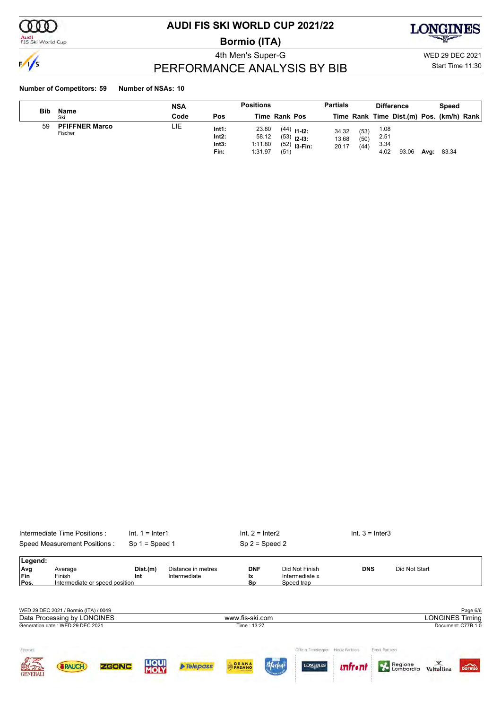

Audi<br>FIS Ski World Cup

## **AUDI FIS SKI WORLD CUP 2021/22**

**Bormio (ITA)**



PERFORMANCE ANALYSIS BY BIB

4th Men's Super-G WED 29 DEC 2021 Start Time 11:30

|     |                                  | NSA  |                                 | <b>Positions</b>                     |      |                                                  | <b>Partials</b>         |                      |                              | <b>Difference</b>                        |      | Speed |  |
|-----|----------------------------------|------|---------------------------------|--------------------------------------|------|--------------------------------------------------|-------------------------|----------------------|------------------------------|------------------------------------------|------|-------|--|
| Bib | Name<br>Ski                      | Code | Pos                             | <b>Time Rank Pos</b>                 |      |                                                  |                         |                      |                              | Time Rank Time Dist.(m) Pos. (km/h) Rank |      |       |  |
| 59  | <b>PFIFFNER Marco</b><br>Fischer | LIE  | Int1:<br>Int2:<br>Int3:<br>Fin: | 23.80<br>58.12<br>1:11.80<br>1:31.97 | (51) | $(44)$ 11-12:<br>$(53)$ 12-13:<br>$(52)$ 13-Fin: | 34.32<br>13.68<br>20.17 | (53)<br>(50)<br>(44) | 1.08<br>2.51<br>3.34<br>4.02 | 93.06                                    | Avg: | 83.34 |  |

|            | Intermediate Time Positions:          | $Int. 1 = Inter1$    |                                    | $Int. 2 = Inter2$      |                                   | $Int. 3 = Inter3$                |                        |
|------------|---------------------------------------|----------------------|------------------------------------|------------------------|-----------------------------------|----------------------------------|------------------------|
|            | <b>Speed Measurement Positions:</b>   | $Sp 1 = Speed 1$     |                                    | $Sp 2 = Speed 2$       |                                   |                                  |                        |
| Legend:    |                                       |                      |                                    |                        |                                   |                                  |                        |
| Avg<br>Fin | Average<br>Finish                     | Dist.(m)<br>Int      | Distance in metres<br>Intermediate | <b>DNF</b><br>Ιx       | Did Not Finish<br>Intermediate x  | <b>DNS</b>                       | Did Not Start          |
| Pos.       | Intermediate or speed position        |                      |                                    | Sp                     | Speed trap                        |                                  |                        |
|            |                                       |                      |                                    |                        |                                   |                                  |                        |
|            | WED 29 DEC 2021 / Bormio (ITA) / 0049 |                      |                                    |                        |                                   |                                  | Page 6/6               |
|            | Data Processing by LONGINES           |                      |                                    | www.fis-ski.com        |                                   |                                  | <b>LONGINES Timing</b> |
|            | Generation date: WED 29 DEC 2021      |                      |                                    | Time: 13:27            |                                   |                                  | Document: C77B 1.0     |
|            |                                       |                      |                                    |                        |                                   |                                  |                        |
|            |                                       |                      |                                    |                        |                                   |                                  |                        |
| Sponsor    |                                       |                      |                                    |                        | Official Timelreeper              | Media Partners<br>Event Partners |                        |
| 国北方        | <b>ZGONC</b><br><b>&amp;RAUCH</b>     | <b>LIQUI</b><br>MOLY | <b>Telepass</b>                    | GRANA<br><b>PADANO</b> | <b>LONGINES</b><br><b>Marlene</b> | <u>infron</u>                    | Regione<br>bormio      |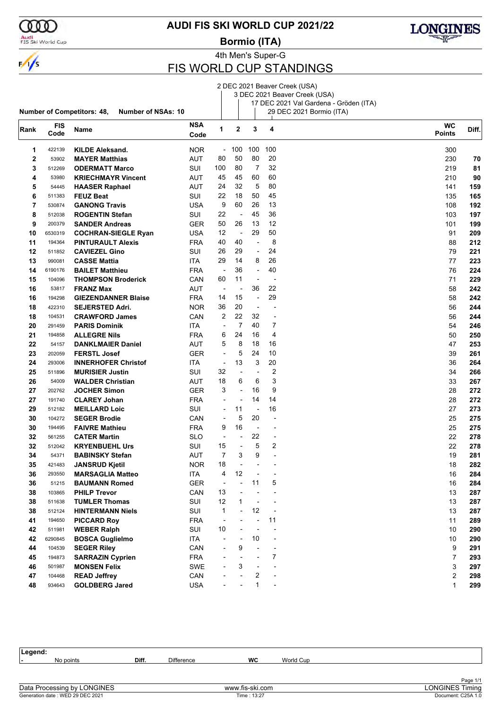

 $\frac{1}{\sqrt{2}}$ 

Audi<br>FIS Ski World Cup

**AUDI FIS SKI WORLD CUP 2021/22**

**Bormio (ITA)**



4th Men's Super-G

## FIS WORLD CUP STANDINGS

|      |                    |                                                                |                    |                          |                          |                          |                          | 2 DEC 2021 Beaver Creek (USA)<br>3 DEC 2021 Beaver Creek (USA)<br>17 DEC 2021 Val Gardena - Gröden (ITA) |                            |       |
|------|--------------------|----------------------------------------------------------------|--------------------|--------------------------|--------------------------|--------------------------|--------------------------|----------------------------------------------------------------------------------------------------------|----------------------------|-------|
|      |                    | <b>Number of Competitors: 48,</b><br><b>Number of NSAs: 10</b> |                    |                          |                          |                          |                          | 29 DEC 2021 Bormio (ITA)                                                                                 |                            |       |
| Rank | <b>FIS</b><br>Code | Name                                                           | <b>NSA</b><br>Code | 1                        | $\mathbf 2$              | 3                        | 4                        |                                                                                                          | <b>WC</b><br><b>Points</b> | Diff. |
| 1    | 422139             | <b>KILDE Aleksand.</b>                                         | <b>NOR</b>         |                          | $-100$                   | 100                      | 100                      |                                                                                                          | 300                        |       |
| 2    | 53902              | <b>MAYER Matthias</b>                                          | AUT                | 80                       | 50                       | 80                       | 20                       |                                                                                                          | 230                        | 70    |
| 3    | 512269             | <b>ODERMATT Marco</b>                                          | SUI                | 100                      | 80                       | 7                        | 32                       |                                                                                                          | 219                        | 81    |
| 4    | 53980              | <b>KRIECHMAYR Vincent</b>                                      | <b>AUT</b>         | 45                       | 45                       | 60                       | 60                       |                                                                                                          | 210                        | 90    |
| 5    | 54445              | <b>HAASER Raphael</b>                                          | AUT                | 24                       | 32                       | 5                        | 80                       |                                                                                                          | 141                        | 159   |
| 6    | 511383             | <b>FEUZ Beat</b>                                               | SUI                | 22                       | 18                       | 50                       | 45                       |                                                                                                          | 135                        | 165   |
| 7    | 530874             | <b>GANONG Travis</b>                                           | USA                | 9                        | 60                       | 26                       | 13                       |                                                                                                          | 108                        | 192   |
| 8    | 512038             | <b>ROGENTIN Stefan</b>                                         | SUI                | 22                       | ÷,                       | 45                       | 36                       |                                                                                                          | 103                        | 197   |
| 9    | 200379             | <b>SANDER Andreas</b>                                          | <b>GER</b>         | 50                       | 26                       | 13                       | 12                       |                                                                                                          | 101                        | 199   |
| 10   | 6530319            | <b>COCHRAN-SIEGLE Ryan</b>                                     | <b>USA</b>         | 12                       | $\overline{\phantom{a}}$ | 29                       | 50                       |                                                                                                          | 91                         | 209   |
|      | 194364             |                                                                |                    | 40                       | 40                       | $\overline{\phantom{a}}$ | 8                        |                                                                                                          |                            |       |
| 11   |                    | <b>PINTURAULT Alexis</b>                                       | <b>FRA</b>         | 26                       | 29                       |                          | 24                       |                                                                                                          | 88<br>79                   | 212   |
| 12   | 511852             | <b>CAVIEZEL Gino</b>                                           | SUI                |                          |                          | $\blacksquare$           |                          |                                                                                                          |                            | 221   |
| 13   | 990081             | <b>CASSE Mattia</b>                                            | ITA                | 29                       | 14                       | 8                        | 26                       |                                                                                                          | 77                         | 223   |
| 14   | 6190176            | <b>BAILET Matthieu</b>                                         | <b>FRA</b>         | $\overline{\phantom{a}}$ | 36                       | $\overline{\phantom{a}}$ | 40                       |                                                                                                          | 76                         | 224   |
| 15   | 104096             | <b>THOMPSON Broderick</b>                                      | CAN                | 60                       | 11                       | ÷,                       |                          |                                                                                                          | 71                         | 229   |
| 16   | 53817              | <b>FRANZ Max</b>                                               | <b>AUT</b>         | $\overline{\phantom{a}}$ | $\overline{a}$           | 36                       | 22                       |                                                                                                          | 58                         | 242   |
| 16   | 194298             | <b>GIEZENDANNER Blaise</b>                                     | <b>FRA</b>         | 14                       | 15                       | $\overline{\phantom{a}}$ | 29                       |                                                                                                          | 58                         | 242   |
| 18   | 422310             | <b>SEJERSTED Adri.</b>                                         | <b>NOR</b>         | 36                       | 20                       | $\overline{\phantom{a}}$ |                          |                                                                                                          | 56                         | 244   |
| 18   | 104531             | <b>CRAWFORD James</b>                                          | CAN                | 2                        | 22                       | 32                       | $\overline{\phantom{a}}$ |                                                                                                          | 56                         | 244   |
| 20   | 291459             | <b>PARIS Dominik</b>                                           | ITA                | $\overline{\phantom{a}}$ | 7                        | 40                       | 7                        |                                                                                                          | 54                         | 246   |
| 21   | 194858             | <b>ALLEGRE Nils</b>                                            | <b>FRA</b>         | 6                        | 24                       | 16                       | 4                        |                                                                                                          | 50                         | 250   |
| 22   | 54157              | <b>DANKLMAIER Daniel</b>                                       | <b>AUT</b>         | 5                        | 8                        | 18                       | 16                       |                                                                                                          | 47                         | 253   |
| 23   | 202059             | <b>FERSTL Josef</b>                                            | <b>GER</b>         | $\overline{\phantom{a}}$ | 5                        | 24                       | 10                       |                                                                                                          | 39                         | 261   |
| 24   | 293006             | <b>INNERHOFER Christof</b>                                     | ITA                | $\overline{\phantom{a}}$ | 13                       | 3                        | 20                       |                                                                                                          | 36                         | 264   |
| 25   | 511896             | <b>MURISIER Justin</b>                                         | SUI                | 32                       | $\overline{a}$           | $\overline{\phantom{a}}$ | 2                        |                                                                                                          | 34                         | 266   |
| 26   | 54009              | <b>WALDER Christian</b>                                        | AUT                | 18                       | 6                        | 6                        | 3                        |                                                                                                          | 33                         | 267   |
| 27   | 202762             | <b>JOCHER Simon</b>                                            | <b>GER</b>         | 3                        | $\overline{a}$           | 16                       | 9                        |                                                                                                          | 28                         | 272   |
| 27   | 191740             | <b>CLAREY Johan</b>                                            | <b>FRA</b>         | $\blacksquare$           | $\overline{a}$           | 14                       | 14                       |                                                                                                          | 28                         | 272   |
| 29   | 512182             | <b>MEILLARD Loic</b>                                           | SUI                | $\overline{\phantom{a}}$ | 11                       | $\overline{\phantom{a}}$ | 16                       |                                                                                                          | 27                         | 273   |
| 30   | 104272             | <b>SEGER Brodie</b>                                            | CAN                | $\overline{\phantom{a}}$ | 5                        | 20                       | ÷,                       |                                                                                                          | 25                         | 275   |
| 30   | 194495             | <b>FAIVRE Mathieu</b>                                          | <b>FRA</b>         | 9                        | 16                       | $\overline{\phantom{a}}$ | $\overline{a}$           |                                                                                                          | 25                         | 275   |
| 32   | 561255             | <b>CATER Martin</b>                                            | <b>SLO</b>         | $\overline{\phantom{a}}$ | ٠                        | 22                       | $\overline{a}$           |                                                                                                          | 22                         | 278   |
| 32   | 512042             | <b>KRYENBUEHL Urs</b>                                          | SUI                | 15                       |                          | 5                        | 2                        |                                                                                                          | 22                         | 278   |
| 34   | 54371              | <b>BABINSKY Stefan</b>                                         | AUT                | $\overline{7}$           | 3                        | 9                        |                          |                                                                                                          | 19                         | 281   |
| 35   | 421483             | <b>JANSRUD Kjetil</b>                                          | NOR.               | 18                       |                          |                          |                          |                                                                                                          | 18                         | 282   |
| 36   | 293550             | <b>MARSAGLIA Matteo</b>                                        | ITA                | 4                        | 12                       |                          |                          |                                                                                                          | 16                         | 284   |
| 36   | 51215              | <b>BAUMANN Romed</b>                                           | <b>GER</b>         | $\overline{\phantom{a}}$ |                          | 11                       | 5                        |                                                                                                          | 16                         | 284   |
| 38   | 103865             | <b>PHILP Trevor</b>                                            | CAN                | 13                       |                          |                          |                          |                                                                                                          | 13                         | 287   |
| 38   | 511638             | <b>TUMLER Thomas</b>                                           | SUI                | 12                       | 1                        |                          |                          |                                                                                                          | 13                         | 287   |
|      |                    |                                                                |                    | $\mathbf{1}$             |                          | 12                       |                          |                                                                                                          |                            |       |
| 38   | 512124<br>194650   | <b>HINTERMANN Niels</b>                                        | SUI                | $\overline{\phantom{a}}$ |                          | $\overline{a}$           | 11                       |                                                                                                          | 13                         | 287   |
| 41   |                    | <b>PICCARD Roy</b>                                             | <b>FRA</b>         |                          |                          |                          |                          |                                                                                                          | 11                         | 289   |
| 42   | 511981             | <b>WEBER Ralph</b>                                             | SUI                | 10                       |                          |                          |                          |                                                                                                          | 10                         | 290   |
| 42   | 6290845            | <b>BOSCA Guglielmo</b>                                         | ITA                | ÷                        |                          | 10                       |                          |                                                                                                          | 10                         | 290   |
| 44   | 104539             | <b>SEGER Riley</b>                                             | CAN                |                          | 9                        | ÷,                       | $\overline{\phantom{a}}$ |                                                                                                          | 9                          | 291   |
| 45   | 194873             | <b>SARRAZIN Cyprien</b>                                        | <b>FRA</b>         |                          |                          |                          | $\overline{7}$           |                                                                                                          | 7                          | 293   |
| 46   | 501987             | <b>MONSEN Felix</b>                                            | <b>SWE</b>         |                          | 3                        | ÷                        |                          |                                                                                                          | 3                          | 297   |
| 47   | 104468             | <b>READ Jeffrey</b>                                            | CAN                |                          |                          | 2                        |                          |                                                                                                          | 2                          | 298   |
| 48   | 934643             | <b>GOLDBERG Jared</b>                                          | <b>USA</b>         |                          |                          | 1                        |                          |                                                                                                          | $\mathbf{1}$               | 299   |

| Legend:                          |       |                   |                 |           |                        |
|----------------------------------|-------|-------------------|-----------------|-----------|------------------------|
| No points                        | Diff. | <b>Difference</b> | <b>WC</b>       | World Cup |                        |
|                                  |       |                   |                 |           |                        |
|                                  |       |                   |                 |           | Page 1/1               |
| Data Processing by LONGINES      |       |                   | www.fis-ski.com |           | <b>LONGINES Timing</b> |
| Generation date: WED 29 DEC 2021 |       |                   | Time: 13:27     |           | Document: C25A 1.0     |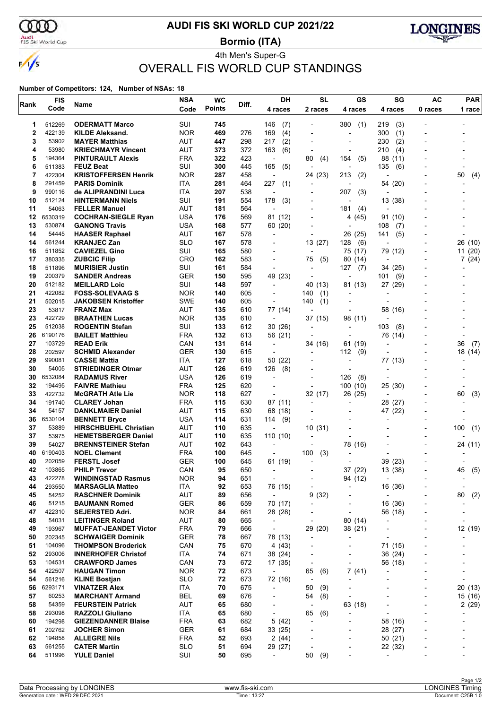

## **AUDI FIS SKI WORLD CUP 2021/22**

**Bormio (ITA)**



4th Men's Super-G OVERALL FIS WORLD CUP STANDINGS

| <b>Points</b><br>Code<br>2 races<br>4 races<br>4 races<br>4 races<br>0 races<br><b>ODERMATT Marco</b><br>SUI<br>512269<br>745<br>146<br>(7)<br>380<br>(1)<br>219<br>(3)<br>1<br>2<br><b>NOR</b><br>422139<br>469<br>276<br>169<br>(4)<br>300<br><b>KILDE Aleksand.</b><br>(1)<br>$\overline{a}$<br>3<br>53902<br>AUT<br>447<br>298<br>217<br>(2)<br>230<br>(2)<br><b>MAYER Matthias</b><br>٠<br>53980<br>AUT<br>372<br>4<br><b>KRIECHMAYR Vincent</b><br>373<br>163<br>(6)<br>210<br>(4)<br>٠<br>5<br>194364<br><b>FRA</b><br>322<br>423<br>88<br><b>PINTURAULT Alexis</b><br>80<br>(4)<br>154<br>(5)<br>(11)<br>$\overline{\phantom{a}}$<br>511383<br><b>FEUZ Beat</b><br>SUI<br>300<br>445<br>165<br>135<br>6<br>(5)<br>(6)<br>$\overline{a}$<br>7<br>422304<br><b>KRISTOFFERSEN Henrik</b><br><b>NOR</b><br>24 (23)<br>287<br>458<br>213<br>(2)<br>50<br>$\overline{\phantom{a}}$<br>8<br>ITA<br>281<br>227<br>291459<br><b>PARIS Dominik</b><br>464<br>(1)<br>54 (20)<br>9<br>990116<br>ITA<br>207<br>538<br>207<br>de ALIPRANDINI Luca<br>(3)<br>÷<br>SUI<br>191<br>10<br>512124<br><b>HINTERMANN Niels</b><br>554<br>178<br>(3)<br>13 (38)<br><b>AUT</b><br>11<br>54063<br>181<br>564<br><b>FELLER Manuel</b><br>181<br>(4)<br>$\overline{\phantom{a}}$<br>12<br>6530319<br><b>COCHRAN-SIEGLE Ryan</b><br>USA<br>176<br>569<br>91 (10)<br>81 (12)<br>4 (45)<br>13<br>530874<br><b>GANONG Travis</b><br>USA<br>168<br>577<br>60 (20)<br>108<br>(7)<br>$\overline{a}$<br>14<br>54445<br><b>AUT</b><br>167<br>578<br><b>HAASER Raphael</b><br>26 (25)<br>141<br>(5)<br>$\overline{\phantom{a}}$<br>14<br>561244<br><b>SLO</b><br>167<br>13(27)<br><b>KRANJEC Zan</b><br>578<br>128<br>(6)<br>$\overline{a}$<br>511852<br>SUI<br>580<br>16<br><b>CAVIEZEL Gino</b><br>165<br>75 (17)<br>79 (12)<br>17<br>380335<br><b>CRO</b><br>162<br>583<br><b>ZUBCIC Filip</b><br>75<br>(5)<br>80 (14)<br>$\blacksquare$<br>18<br>511896<br><b>MURISIER Justin</b><br>SUI<br>161<br>584<br>127<br>(7)<br>34 (25)<br>L,<br>$\overline{a}$<br>19<br>200379<br><b>GER</b><br>595<br>49 (23)<br><b>SANDER Andreas</b><br>150<br>(9)<br>101<br>÷,<br>$\overline{\phantom{a}}$<br>20<br>SUI<br>597<br>512182<br><b>MEILLARD Loic</b><br>148<br>40 (13)<br>81 (13)<br>27 (29)<br>$\overline{\phantom{a}}$<br>21<br>422082<br><b>FOSS-SOLEVAAG S</b><br><b>NOR</b><br>605<br>140<br>140<br>(1)<br>$\overline{a}$<br>$\overline{a}$<br>$\overline{\phantom{a}}$<br>21<br>502015<br><b>SWE</b><br><b>JAKOBSEN Kristoffer</b><br>140<br>605<br>140<br>(1)<br>$\overline{a}$<br>$\overline{a}$<br>23<br>53817<br><b>FRANZ Max</b><br><b>AUT</b><br>135<br>610<br>77 (14)<br>58 (16)<br>23<br>422729<br><b>BRAATHEN Lucas</b><br><b>NOR</b><br>135<br>610<br>37 (15)<br>98 (11)<br>$\overline{\phantom{a}}$<br>25<br>512038<br>SUI<br>133<br><b>ROGENTIN Stefan</b><br>612<br>30(26)<br>103<br>(8)<br>$\overline{a}$<br>$\overline{a}$<br>26<br>6190176<br><b>FRA</b><br>132<br>76 (14)<br><b>BAILET Matthieu</b><br>613<br>56 (21)<br>27<br>103729<br>CAN<br>131<br>36<br><b>READ Erik</b><br>614<br>34 (16)<br>61 (19)<br>$\overline{\phantom{a}}$<br>$\overline{a}$<br>28<br>202597<br><b>GER</b><br><b>SCHMID Alexander</b><br>130<br>615<br>112<br>(9)<br>$\overline{a}$<br>$\overline{a}$<br>29<br><b>CASSE Mattia</b><br><b>ITA</b><br>127<br>990081<br>618<br>50 (22)<br>77 (13)<br>$\overline{a}$<br>30<br>54005<br><b>STRIEDINGER Otmar</b><br>AUT<br>126<br>619<br>126<br>(8)<br>$\overline{a}$<br>$\overline{a}$<br>30<br>6532084<br>USA<br>126<br><b>RADAMUS River</b><br>619<br>126<br>(8)<br>÷<br>32<br><b>FRA</b><br>125<br>620<br>194495<br><b>FAIVRE Mathieu</b><br>100<br>(10)<br>25 (30)<br>33<br>422732<br><b>NOR</b><br>118<br>627<br>32 (17)<br>26 (25)<br><b>McGRATH Atle Lie</b><br>60<br>$\overline{\phantom{a}}$<br>$\overline{a}$<br>34<br><b>FRA</b><br>630<br>191740<br><b>CLAREY Johan</b><br>115<br>87 (11)<br>28 (27)<br>$\blacksquare$<br>$\overline{a}$<br>34<br><b>AUT</b><br>115<br>630<br>47 (22)<br>54157<br><b>DANKLMAIER Daniel</b><br>68 (18)<br>6530104<br>USA<br>631<br>36<br><b>BENNETT Bryce</b><br>114<br>114<br>(9)<br>37<br>AUT<br>635<br>53889<br><b>HIRSCHBUEHL Christian</b><br>110<br>10(31)<br>100<br>÷,<br>37<br>AUT<br>635<br>110<br>110(10)<br>53975<br><b>HEMETSBERGER Daniel</b><br>$\blacksquare$<br>39<br>54027<br><b>AUT</b><br><b>BRENNSTEINER Stefan</b><br>102<br>643<br>78 (16)<br>÷<br><b>FRA</b><br>40<br>6190403<br><b>NOEL Clement</b><br>100<br>645<br>100<br>(3)<br>$\overline{a}$<br>40<br><b>FERSTL Josef</b><br><b>GER</b><br>100<br>39 (23)<br>202059<br>645<br>61 (19)<br>37 (22)<br>42<br>103865<br><b>PHILP Trevor</b><br>CAN<br>95<br>650<br>13 (38)<br>45<br>422278<br>94<br>43<br><b>WINDINGSTAD Rasmus</b><br><b>NOR</b><br>651<br>94 (12)<br>$\overline{\phantom{a}}$<br>$\overline{\phantom{a}}$<br>$\overline{\phantom{a}}$<br>44<br>ITA<br>92<br>653<br>76 (15)<br>293550<br><b>MARSAGLIA Matteo</b><br>16 (36)<br>45<br>54252<br>AUT<br>89<br>9(32)<br>80<br><b>RASCHNER Dominik</b><br>656<br>$\overline{\phantom{a}}$<br>$\overline{\phantom{a}}$<br>$\overline{a}$<br>16 (36)<br>46<br>51215<br><b>BAUMANN Romed</b><br>GER<br>86<br>659<br>70 (17)<br>-<br>47<br><b>NOR</b><br>422310<br><b>SEJERSTED Adri.</b><br>84<br>661<br>28 (28)<br>56 (18)<br>$\overline{a}$<br>48<br>AUT<br>80 (14)<br>54031<br>80<br>665<br><b>LEITINGER Roland</b><br>$\overline{\phantom{a}}$<br>$\overline{\phantom{a}}$<br>49<br><b>FRA</b><br>193967<br><b>MUFFAT-JEANDET Victor</b><br>79<br>666<br>29 (20)<br>38 (21)<br>$\overline{\phantom{a}}$<br>$\overline{a}$<br>50<br><b>GER</b><br>202345<br><b>SCHWAIGER Dominik</b><br>78<br>667<br>78 (13)<br>$\blacksquare$<br>$\overline{\phantom{0}}$<br>$\overline{\phantom{a}}$<br>CAN<br>75<br>51<br>104096<br><b>THOMPSON Broderick</b><br>670<br>4 (43)<br>71 (15)<br>$\overline{a}$<br>52<br>293006<br><b>INNERHOFER Christof</b><br>ITA<br>74<br>671<br>38 (24)<br>36 (24)<br>-<br>53<br>CAN<br>73<br>104531<br><b>CRAWFORD James</b><br>672<br>17 (35)<br>56 (18)<br>$\overline{a}$<br>54<br><b>NOR</b><br>72<br>7(41)<br>422507<br><b>HAUGAN Timon</b><br>673<br>65<br>(6)<br>$\overline{\phantom{a}}$<br>54<br>561216<br><b>KLINE Bostjan</b><br>SLO<br>72<br>673<br>72 (16)<br>$\overline{a}$<br>56<br>6293171<br><b>VINATZER Alex</b><br>ITA<br>70<br>675<br>50<br>(9)<br>$\overline{\phantom{a}}$<br>$\overline{\phantom{a}}$<br>57<br><b>BEL</b><br>69<br>60253<br><b>MARCHANT Armand</b><br>676<br>54<br>(8)<br>$\overline{\phantom{a}}$<br>٠<br>٠<br>58<br>63 (18)<br>54359<br><b>FEURSTEIN Patrick</b><br>AUT<br>65<br>680<br>٠<br>$\overline{a}$<br>58<br>ITA<br>65<br>293098<br><b>RAZZOLI Giuliano</b><br>680<br>65<br>(6)<br>$\overline{\phantom{a}}$<br>$\overline{a}$<br><b>FRA</b><br>63<br>5(42)<br>60<br>194298<br><b>GIEZENDANNER Blaise</b><br>682<br>58 (16)<br>$\overline{a}$<br>٠<br>-<br>61<br>202762<br><b>JOCHER Simon</b><br>GER<br>61<br>684<br>33(25)<br>28 (27)<br>-<br>62<br>194858<br><b>ALLEGRE Nils</b><br><b>FRA</b><br>52<br>50 (21)<br>693<br>2(44)<br>63<br>561255<br><b>SLO</b><br>51<br>22 (32)<br><b>CATER Martin</b><br>694<br>29 (27)<br>٠<br>64<br>511996<br><b>YULE Daniel</b><br>SUI<br>50<br>695<br>50<br>(9)<br>$\overline{\phantom{a}}$<br>÷, | Rank | <b>FIS</b> | Name | <b>NSA</b> | <b>WC</b> | Diff. | DН | <b>SL</b> | GS | SG | <b>AC</b> | <b>PAR</b> |
|------------------------------------------------------------------------------------------------------------------------------------------------------------------------------------------------------------------------------------------------------------------------------------------------------------------------------------------------------------------------------------------------------------------------------------------------------------------------------------------------------------------------------------------------------------------------------------------------------------------------------------------------------------------------------------------------------------------------------------------------------------------------------------------------------------------------------------------------------------------------------------------------------------------------------------------------------------------------------------------------------------------------------------------------------------------------------------------------------------------------------------------------------------------------------------------------------------------------------------------------------------------------------------------------------------------------------------------------------------------------------------------------------------------------------------------------------------------------------------------------------------------------------------------------------------------------------------------------------------------------------------------------------------------------------------------------------------------------------------------------------------------------------------------------------------------------------------------------------------------------------------------------------------------------------------------------------------------------------------------------------------------------------------------------------------------------------------------------------------------------------------------------------------------------------------------------------------------------------------------------------------------------------------------------------------------------------------------------------------------------------------------------------------------------------------------------------------------------------------------------------------------------------------------------------------------------------------------------------------------------------------------------------------------------------------------------------------------------------------------------------------------------------------------------------------------------------------------------------------------------------------------------------------------------------------------------------------------------------------------------------------------------------------------------------------------------------------------------------------------------------------------------------------------------------------------------------------------------------------------------------------------------------------------------------------------------------------------------------------------------------------------------------------------------------------------------------------------------------------------------------------------------------------------------------------------------------------------------------------------------------------------------------------------------------------------------------------------------------------------------------------------------------------------------------------------------------------------------------------------------------------------------------------------------------------------------------------------------------------------------------------------------------------------------------------------------------------------------------------------------------------------------------------------------------------------------------------------------------------------------------------------------------------------------------------------------------------------------------------------------------------------------------------------------------------------------------------------------------------------------------------------------------------------------------------------------------------------------------------------------------------------------------------------------------------------------------------------------------------------------------------------------------------------------------------------------------------------------------------------------------------------------------------------------------------------------------------------------------------------------------------------------------------------------------------------------------------------------------------------------------------------------------------------------------------------------------------------------------------------------------------------------------------------------------------------------------------------------------------------------------------------------------------------------------------------------------------------------------------------------------------------------------------------------------------------------------------------------------------------------------------------------------------------------------------------------------------------------------------------------------------------------------------------------------------------------------------------------------------------------------------------------------------------------------------------------------------------------------------------------------------------------------------------------------------------------------------------------------------------------------------------------------------------------------------------------------------------------------------------------------------------------------------------------------------------------------------------------------------------------------------------------------------------------------------------------------------------------------------------------------------------------------------------------------------------------------------------------------------------------------------------------------------------------------------------------------------------------------------------------------------------------------------------------------------------------------------------------------------------------------------------------------------------------------------------------------------------------------------------------------------------------------------------------------------------------------------------------------------------------------------------------------------------------------------------------------------------------------------------------------------------------------------------------------------|------|------------|------|------------|-----------|-------|----|-----------|----|----|-----------|------------|
|                                                                                                                                                                                                                                                                                                                                                                                                                                                                                                                                                                                                                                                                                                                                                                                                                                                                                                                                                                                                                                                                                                                                                                                                                                                                                                                                                                                                                                                                                                                                                                                                                                                                                                                                                                                                                                                                                                                                                                                                                                                                                                                                                                                                                                                                                                                                                                                                                                                                                                                                                                                                                                                                                                                                                                                                                                                                                                                                                                                                                                                                                                                                                                                                                                                                                                                                                                                                                                                                                                                                                                                                                                                                                                                                                                                                                                                                                                                                                                                                                                                                                                                                                                                                                                                                                                                                                                                                                                                                                                                                                                                                                                                                                                                                                                                                                                                                                                                                                                                                                                                                                                                                                                                                                                                                                                                                                                                                                                                                                                                                                                                                                                                                                                                                                                                                                                                                                                                                                                                                                                                                                                                                                                                                                                                                                                                                                                                                                                                                                                                                                                                                                                                                                                                                                                                                                                                                                                                                                                                                                                                                                                                                                                                                                                                                                                            |      | Code       |      |            |           |       |    |           |    |    |           | 1 race     |
|                                                                                                                                                                                                                                                                                                                                                                                                                                                                                                                                                                                                                                                                                                                                                                                                                                                                                                                                                                                                                                                                                                                                                                                                                                                                                                                                                                                                                                                                                                                                                                                                                                                                                                                                                                                                                                                                                                                                                                                                                                                                                                                                                                                                                                                                                                                                                                                                                                                                                                                                                                                                                                                                                                                                                                                                                                                                                                                                                                                                                                                                                                                                                                                                                                                                                                                                                                                                                                                                                                                                                                                                                                                                                                                                                                                                                                                                                                                                                                                                                                                                                                                                                                                                                                                                                                                                                                                                                                                                                                                                                                                                                                                                                                                                                                                                                                                                                                                                                                                                                                                                                                                                                                                                                                                                                                                                                                                                                                                                                                                                                                                                                                                                                                                                                                                                                                                                                                                                                                                                                                                                                                                                                                                                                                                                                                                                                                                                                                                                                                                                                                                                                                                                                                                                                                                                                                                                                                                                                                                                                                                                                                                                                                                                                                                                                                            |      |            |      |            |           |       |    |           |    |    |           |            |
|                                                                                                                                                                                                                                                                                                                                                                                                                                                                                                                                                                                                                                                                                                                                                                                                                                                                                                                                                                                                                                                                                                                                                                                                                                                                                                                                                                                                                                                                                                                                                                                                                                                                                                                                                                                                                                                                                                                                                                                                                                                                                                                                                                                                                                                                                                                                                                                                                                                                                                                                                                                                                                                                                                                                                                                                                                                                                                                                                                                                                                                                                                                                                                                                                                                                                                                                                                                                                                                                                                                                                                                                                                                                                                                                                                                                                                                                                                                                                                                                                                                                                                                                                                                                                                                                                                                                                                                                                                                                                                                                                                                                                                                                                                                                                                                                                                                                                                                                                                                                                                                                                                                                                                                                                                                                                                                                                                                                                                                                                                                                                                                                                                                                                                                                                                                                                                                                                                                                                                                                                                                                                                                                                                                                                                                                                                                                                                                                                                                                                                                                                                                                                                                                                                                                                                                                                                                                                                                                                                                                                                                                                                                                                                                                                                                                                                            |      |            |      |            |           |       |    |           |    |    |           |            |
|                                                                                                                                                                                                                                                                                                                                                                                                                                                                                                                                                                                                                                                                                                                                                                                                                                                                                                                                                                                                                                                                                                                                                                                                                                                                                                                                                                                                                                                                                                                                                                                                                                                                                                                                                                                                                                                                                                                                                                                                                                                                                                                                                                                                                                                                                                                                                                                                                                                                                                                                                                                                                                                                                                                                                                                                                                                                                                                                                                                                                                                                                                                                                                                                                                                                                                                                                                                                                                                                                                                                                                                                                                                                                                                                                                                                                                                                                                                                                                                                                                                                                                                                                                                                                                                                                                                                                                                                                                                                                                                                                                                                                                                                                                                                                                                                                                                                                                                                                                                                                                                                                                                                                                                                                                                                                                                                                                                                                                                                                                                                                                                                                                                                                                                                                                                                                                                                                                                                                                                                                                                                                                                                                                                                                                                                                                                                                                                                                                                                                                                                                                                                                                                                                                                                                                                                                                                                                                                                                                                                                                                                                                                                                                                                                                                                                                            |      |            |      |            |           |       |    |           |    |    |           |            |
|                                                                                                                                                                                                                                                                                                                                                                                                                                                                                                                                                                                                                                                                                                                                                                                                                                                                                                                                                                                                                                                                                                                                                                                                                                                                                                                                                                                                                                                                                                                                                                                                                                                                                                                                                                                                                                                                                                                                                                                                                                                                                                                                                                                                                                                                                                                                                                                                                                                                                                                                                                                                                                                                                                                                                                                                                                                                                                                                                                                                                                                                                                                                                                                                                                                                                                                                                                                                                                                                                                                                                                                                                                                                                                                                                                                                                                                                                                                                                                                                                                                                                                                                                                                                                                                                                                                                                                                                                                                                                                                                                                                                                                                                                                                                                                                                                                                                                                                                                                                                                                                                                                                                                                                                                                                                                                                                                                                                                                                                                                                                                                                                                                                                                                                                                                                                                                                                                                                                                                                                                                                                                                                                                                                                                                                                                                                                                                                                                                                                                                                                                                                                                                                                                                                                                                                                                                                                                                                                                                                                                                                                                                                                                                                                                                                                                                            |      |            |      |            |           |       |    |           |    |    |           |            |
|                                                                                                                                                                                                                                                                                                                                                                                                                                                                                                                                                                                                                                                                                                                                                                                                                                                                                                                                                                                                                                                                                                                                                                                                                                                                                                                                                                                                                                                                                                                                                                                                                                                                                                                                                                                                                                                                                                                                                                                                                                                                                                                                                                                                                                                                                                                                                                                                                                                                                                                                                                                                                                                                                                                                                                                                                                                                                                                                                                                                                                                                                                                                                                                                                                                                                                                                                                                                                                                                                                                                                                                                                                                                                                                                                                                                                                                                                                                                                                                                                                                                                                                                                                                                                                                                                                                                                                                                                                                                                                                                                                                                                                                                                                                                                                                                                                                                                                                                                                                                                                                                                                                                                                                                                                                                                                                                                                                                                                                                                                                                                                                                                                                                                                                                                                                                                                                                                                                                                                                                                                                                                                                                                                                                                                                                                                                                                                                                                                                                                                                                                                                                                                                                                                                                                                                                                                                                                                                                                                                                                                                                                                                                                                                                                                                                                                            |      |            |      |            |           |       |    |           |    |    |           |            |
|                                                                                                                                                                                                                                                                                                                                                                                                                                                                                                                                                                                                                                                                                                                                                                                                                                                                                                                                                                                                                                                                                                                                                                                                                                                                                                                                                                                                                                                                                                                                                                                                                                                                                                                                                                                                                                                                                                                                                                                                                                                                                                                                                                                                                                                                                                                                                                                                                                                                                                                                                                                                                                                                                                                                                                                                                                                                                                                                                                                                                                                                                                                                                                                                                                                                                                                                                                                                                                                                                                                                                                                                                                                                                                                                                                                                                                                                                                                                                                                                                                                                                                                                                                                                                                                                                                                                                                                                                                                                                                                                                                                                                                                                                                                                                                                                                                                                                                                                                                                                                                                                                                                                                                                                                                                                                                                                                                                                                                                                                                                                                                                                                                                                                                                                                                                                                                                                                                                                                                                                                                                                                                                                                                                                                                                                                                                                                                                                                                                                                                                                                                                                                                                                                                                                                                                                                                                                                                                                                                                                                                                                                                                                                                                                                                                                                                            |      |            |      |            |           |       |    |           |    |    |           |            |
|                                                                                                                                                                                                                                                                                                                                                                                                                                                                                                                                                                                                                                                                                                                                                                                                                                                                                                                                                                                                                                                                                                                                                                                                                                                                                                                                                                                                                                                                                                                                                                                                                                                                                                                                                                                                                                                                                                                                                                                                                                                                                                                                                                                                                                                                                                                                                                                                                                                                                                                                                                                                                                                                                                                                                                                                                                                                                                                                                                                                                                                                                                                                                                                                                                                                                                                                                                                                                                                                                                                                                                                                                                                                                                                                                                                                                                                                                                                                                                                                                                                                                                                                                                                                                                                                                                                                                                                                                                                                                                                                                                                                                                                                                                                                                                                                                                                                                                                                                                                                                                                                                                                                                                                                                                                                                                                                                                                                                                                                                                                                                                                                                                                                                                                                                                                                                                                                                                                                                                                                                                                                                                                                                                                                                                                                                                                                                                                                                                                                                                                                                                                                                                                                                                                                                                                                                                                                                                                                                                                                                                                                                                                                                                                                                                                                                                            |      |            |      |            |           |       |    |           |    |    |           | (4)        |
|                                                                                                                                                                                                                                                                                                                                                                                                                                                                                                                                                                                                                                                                                                                                                                                                                                                                                                                                                                                                                                                                                                                                                                                                                                                                                                                                                                                                                                                                                                                                                                                                                                                                                                                                                                                                                                                                                                                                                                                                                                                                                                                                                                                                                                                                                                                                                                                                                                                                                                                                                                                                                                                                                                                                                                                                                                                                                                                                                                                                                                                                                                                                                                                                                                                                                                                                                                                                                                                                                                                                                                                                                                                                                                                                                                                                                                                                                                                                                                                                                                                                                                                                                                                                                                                                                                                                                                                                                                                                                                                                                                                                                                                                                                                                                                                                                                                                                                                                                                                                                                                                                                                                                                                                                                                                                                                                                                                                                                                                                                                                                                                                                                                                                                                                                                                                                                                                                                                                                                                                                                                                                                                                                                                                                                                                                                                                                                                                                                                                                                                                                                                                                                                                                                                                                                                                                                                                                                                                                                                                                                                                                                                                                                                                                                                                                                            |      |            |      |            |           |       |    |           |    |    |           |            |
|                                                                                                                                                                                                                                                                                                                                                                                                                                                                                                                                                                                                                                                                                                                                                                                                                                                                                                                                                                                                                                                                                                                                                                                                                                                                                                                                                                                                                                                                                                                                                                                                                                                                                                                                                                                                                                                                                                                                                                                                                                                                                                                                                                                                                                                                                                                                                                                                                                                                                                                                                                                                                                                                                                                                                                                                                                                                                                                                                                                                                                                                                                                                                                                                                                                                                                                                                                                                                                                                                                                                                                                                                                                                                                                                                                                                                                                                                                                                                                                                                                                                                                                                                                                                                                                                                                                                                                                                                                                                                                                                                                                                                                                                                                                                                                                                                                                                                                                                                                                                                                                                                                                                                                                                                                                                                                                                                                                                                                                                                                                                                                                                                                                                                                                                                                                                                                                                                                                                                                                                                                                                                                                                                                                                                                                                                                                                                                                                                                                                                                                                                                                                                                                                                                                                                                                                                                                                                                                                                                                                                                                                                                                                                                                                                                                                                                            |      |            |      |            |           |       |    |           |    |    |           |            |
|                                                                                                                                                                                                                                                                                                                                                                                                                                                                                                                                                                                                                                                                                                                                                                                                                                                                                                                                                                                                                                                                                                                                                                                                                                                                                                                                                                                                                                                                                                                                                                                                                                                                                                                                                                                                                                                                                                                                                                                                                                                                                                                                                                                                                                                                                                                                                                                                                                                                                                                                                                                                                                                                                                                                                                                                                                                                                                                                                                                                                                                                                                                                                                                                                                                                                                                                                                                                                                                                                                                                                                                                                                                                                                                                                                                                                                                                                                                                                                                                                                                                                                                                                                                                                                                                                                                                                                                                                                                                                                                                                                                                                                                                                                                                                                                                                                                                                                                                                                                                                                                                                                                                                                                                                                                                                                                                                                                                                                                                                                                                                                                                                                                                                                                                                                                                                                                                                                                                                                                                                                                                                                                                                                                                                                                                                                                                                                                                                                                                                                                                                                                                                                                                                                                                                                                                                                                                                                                                                                                                                                                                                                                                                                                                                                                                                                            |      |            |      |            |           |       |    |           |    |    |           |            |
|                                                                                                                                                                                                                                                                                                                                                                                                                                                                                                                                                                                                                                                                                                                                                                                                                                                                                                                                                                                                                                                                                                                                                                                                                                                                                                                                                                                                                                                                                                                                                                                                                                                                                                                                                                                                                                                                                                                                                                                                                                                                                                                                                                                                                                                                                                                                                                                                                                                                                                                                                                                                                                                                                                                                                                                                                                                                                                                                                                                                                                                                                                                                                                                                                                                                                                                                                                                                                                                                                                                                                                                                                                                                                                                                                                                                                                                                                                                                                                                                                                                                                                                                                                                                                                                                                                                                                                                                                                                                                                                                                                                                                                                                                                                                                                                                                                                                                                                                                                                                                                                                                                                                                                                                                                                                                                                                                                                                                                                                                                                                                                                                                                                                                                                                                                                                                                                                                                                                                                                                                                                                                                                                                                                                                                                                                                                                                                                                                                                                                                                                                                                                                                                                                                                                                                                                                                                                                                                                                                                                                                                                                                                                                                                                                                                                                                            |      |            |      |            |           |       |    |           |    |    |           |            |
|                                                                                                                                                                                                                                                                                                                                                                                                                                                                                                                                                                                                                                                                                                                                                                                                                                                                                                                                                                                                                                                                                                                                                                                                                                                                                                                                                                                                                                                                                                                                                                                                                                                                                                                                                                                                                                                                                                                                                                                                                                                                                                                                                                                                                                                                                                                                                                                                                                                                                                                                                                                                                                                                                                                                                                                                                                                                                                                                                                                                                                                                                                                                                                                                                                                                                                                                                                                                                                                                                                                                                                                                                                                                                                                                                                                                                                                                                                                                                                                                                                                                                                                                                                                                                                                                                                                                                                                                                                                                                                                                                                                                                                                                                                                                                                                                                                                                                                                                                                                                                                                                                                                                                                                                                                                                                                                                                                                                                                                                                                                                                                                                                                                                                                                                                                                                                                                                                                                                                                                                                                                                                                                                                                                                                                                                                                                                                                                                                                                                                                                                                                                                                                                                                                                                                                                                                                                                                                                                                                                                                                                                                                                                                                                                                                                                                                            |      |            |      |            |           |       |    |           |    |    |           |            |
|                                                                                                                                                                                                                                                                                                                                                                                                                                                                                                                                                                                                                                                                                                                                                                                                                                                                                                                                                                                                                                                                                                                                                                                                                                                                                                                                                                                                                                                                                                                                                                                                                                                                                                                                                                                                                                                                                                                                                                                                                                                                                                                                                                                                                                                                                                                                                                                                                                                                                                                                                                                                                                                                                                                                                                                                                                                                                                                                                                                                                                                                                                                                                                                                                                                                                                                                                                                                                                                                                                                                                                                                                                                                                                                                                                                                                                                                                                                                                                                                                                                                                                                                                                                                                                                                                                                                                                                                                                                                                                                                                                                                                                                                                                                                                                                                                                                                                                                                                                                                                                                                                                                                                                                                                                                                                                                                                                                                                                                                                                                                                                                                                                                                                                                                                                                                                                                                                                                                                                                                                                                                                                                                                                                                                                                                                                                                                                                                                                                                                                                                                                                                                                                                                                                                                                                                                                                                                                                                                                                                                                                                                                                                                                                                                                                                                                            |      |            |      |            |           |       |    |           |    |    |           |            |
|                                                                                                                                                                                                                                                                                                                                                                                                                                                                                                                                                                                                                                                                                                                                                                                                                                                                                                                                                                                                                                                                                                                                                                                                                                                                                                                                                                                                                                                                                                                                                                                                                                                                                                                                                                                                                                                                                                                                                                                                                                                                                                                                                                                                                                                                                                                                                                                                                                                                                                                                                                                                                                                                                                                                                                                                                                                                                                                                                                                                                                                                                                                                                                                                                                                                                                                                                                                                                                                                                                                                                                                                                                                                                                                                                                                                                                                                                                                                                                                                                                                                                                                                                                                                                                                                                                                                                                                                                                                                                                                                                                                                                                                                                                                                                                                                                                                                                                                                                                                                                                                                                                                                                                                                                                                                                                                                                                                                                                                                                                                                                                                                                                                                                                                                                                                                                                                                                                                                                                                                                                                                                                                                                                                                                                                                                                                                                                                                                                                                                                                                                                                                                                                                                                                                                                                                                                                                                                                                                                                                                                                                                                                                                                                                                                                                                                            |      |            |      |            |           |       |    |           |    |    |           | 26 (10)    |
|                                                                                                                                                                                                                                                                                                                                                                                                                                                                                                                                                                                                                                                                                                                                                                                                                                                                                                                                                                                                                                                                                                                                                                                                                                                                                                                                                                                                                                                                                                                                                                                                                                                                                                                                                                                                                                                                                                                                                                                                                                                                                                                                                                                                                                                                                                                                                                                                                                                                                                                                                                                                                                                                                                                                                                                                                                                                                                                                                                                                                                                                                                                                                                                                                                                                                                                                                                                                                                                                                                                                                                                                                                                                                                                                                                                                                                                                                                                                                                                                                                                                                                                                                                                                                                                                                                                                                                                                                                                                                                                                                                                                                                                                                                                                                                                                                                                                                                                                                                                                                                                                                                                                                                                                                                                                                                                                                                                                                                                                                                                                                                                                                                                                                                                                                                                                                                                                                                                                                                                                                                                                                                                                                                                                                                                                                                                                                                                                                                                                                                                                                                                                                                                                                                                                                                                                                                                                                                                                                                                                                                                                                                                                                                                                                                                                                                            |      |            |      |            |           |       |    |           |    |    |           | 11(20)     |
|                                                                                                                                                                                                                                                                                                                                                                                                                                                                                                                                                                                                                                                                                                                                                                                                                                                                                                                                                                                                                                                                                                                                                                                                                                                                                                                                                                                                                                                                                                                                                                                                                                                                                                                                                                                                                                                                                                                                                                                                                                                                                                                                                                                                                                                                                                                                                                                                                                                                                                                                                                                                                                                                                                                                                                                                                                                                                                                                                                                                                                                                                                                                                                                                                                                                                                                                                                                                                                                                                                                                                                                                                                                                                                                                                                                                                                                                                                                                                                                                                                                                                                                                                                                                                                                                                                                                                                                                                                                                                                                                                                                                                                                                                                                                                                                                                                                                                                                                                                                                                                                                                                                                                                                                                                                                                                                                                                                                                                                                                                                                                                                                                                                                                                                                                                                                                                                                                                                                                                                                                                                                                                                                                                                                                                                                                                                                                                                                                                                                                                                                                                                                                                                                                                                                                                                                                                                                                                                                                                                                                                                                                                                                                                                                                                                                                                            |      |            |      |            |           |       |    |           |    |    |           | 7(24)      |
|                                                                                                                                                                                                                                                                                                                                                                                                                                                                                                                                                                                                                                                                                                                                                                                                                                                                                                                                                                                                                                                                                                                                                                                                                                                                                                                                                                                                                                                                                                                                                                                                                                                                                                                                                                                                                                                                                                                                                                                                                                                                                                                                                                                                                                                                                                                                                                                                                                                                                                                                                                                                                                                                                                                                                                                                                                                                                                                                                                                                                                                                                                                                                                                                                                                                                                                                                                                                                                                                                                                                                                                                                                                                                                                                                                                                                                                                                                                                                                                                                                                                                                                                                                                                                                                                                                                                                                                                                                                                                                                                                                                                                                                                                                                                                                                                                                                                                                                                                                                                                                                                                                                                                                                                                                                                                                                                                                                                                                                                                                                                                                                                                                                                                                                                                                                                                                                                                                                                                                                                                                                                                                                                                                                                                                                                                                                                                                                                                                                                                                                                                                                                                                                                                                                                                                                                                                                                                                                                                                                                                                                                                                                                                                                                                                                                                                            |      |            |      |            |           |       |    |           |    |    |           |            |
|                                                                                                                                                                                                                                                                                                                                                                                                                                                                                                                                                                                                                                                                                                                                                                                                                                                                                                                                                                                                                                                                                                                                                                                                                                                                                                                                                                                                                                                                                                                                                                                                                                                                                                                                                                                                                                                                                                                                                                                                                                                                                                                                                                                                                                                                                                                                                                                                                                                                                                                                                                                                                                                                                                                                                                                                                                                                                                                                                                                                                                                                                                                                                                                                                                                                                                                                                                                                                                                                                                                                                                                                                                                                                                                                                                                                                                                                                                                                                                                                                                                                                                                                                                                                                                                                                                                                                                                                                                                                                                                                                                                                                                                                                                                                                                                                                                                                                                                                                                                                                                                                                                                                                                                                                                                                                                                                                                                                                                                                                                                                                                                                                                                                                                                                                                                                                                                                                                                                                                                                                                                                                                                                                                                                                                                                                                                                                                                                                                                                                                                                                                                                                                                                                                                                                                                                                                                                                                                                                                                                                                                                                                                                                                                                                                                                                                            |      |            |      |            |           |       |    |           |    |    |           |            |
|                                                                                                                                                                                                                                                                                                                                                                                                                                                                                                                                                                                                                                                                                                                                                                                                                                                                                                                                                                                                                                                                                                                                                                                                                                                                                                                                                                                                                                                                                                                                                                                                                                                                                                                                                                                                                                                                                                                                                                                                                                                                                                                                                                                                                                                                                                                                                                                                                                                                                                                                                                                                                                                                                                                                                                                                                                                                                                                                                                                                                                                                                                                                                                                                                                                                                                                                                                                                                                                                                                                                                                                                                                                                                                                                                                                                                                                                                                                                                                                                                                                                                                                                                                                                                                                                                                                                                                                                                                                                                                                                                                                                                                                                                                                                                                                                                                                                                                                                                                                                                                                                                                                                                                                                                                                                                                                                                                                                                                                                                                                                                                                                                                                                                                                                                                                                                                                                                                                                                                                                                                                                                                                                                                                                                                                                                                                                                                                                                                                                                                                                                                                                                                                                                                                                                                                                                                                                                                                                                                                                                                                                                                                                                                                                                                                                                                            |      |            |      |            |           |       |    |           |    |    |           |            |
|                                                                                                                                                                                                                                                                                                                                                                                                                                                                                                                                                                                                                                                                                                                                                                                                                                                                                                                                                                                                                                                                                                                                                                                                                                                                                                                                                                                                                                                                                                                                                                                                                                                                                                                                                                                                                                                                                                                                                                                                                                                                                                                                                                                                                                                                                                                                                                                                                                                                                                                                                                                                                                                                                                                                                                                                                                                                                                                                                                                                                                                                                                                                                                                                                                                                                                                                                                                                                                                                                                                                                                                                                                                                                                                                                                                                                                                                                                                                                                                                                                                                                                                                                                                                                                                                                                                                                                                                                                                                                                                                                                                                                                                                                                                                                                                                                                                                                                                                                                                                                                                                                                                                                                                                                                                                                                                                                                                                                                                                                                                                                                                                                                                                                                                                                                                                                                                                                                                                                                                                                                                                                                                                                                                                                                                                                                                                                                                                                                                                                                                                                                                                                                                                                                                                                                                                                                                                                                                                                                                                                                                                                                                                                                                                                                                                                                            |      |            |      |            |           |       |    |           |    |    |           |            |
|                                                                                                                                                                                                                                                                                                                                                                                                                                                                                                                                                                                                                                                                                                                                                                                                                                                                                                                                                                                                                                                                                                                                                                                                                                                                                                                                                                                                                                                                                                                                                                                                                                                                                                                                                                                                                                                                                                                                                                                                                                                                                                                                                                                                                                                                                                                                                                                                                                                                                                                                                                                                                                                                                                                                                                                                                                                                                                                                                                                                                                                                                                                                                                                                                                                                                                                                                                                                                                                                                                                                                                                                                                                                                                                                                                                                                                                                                                                                                                                                                                                                                                                                                                                                                                                                                                                                                                                                                                                                                                                                                                                                                                                                                                                                                                                                                                                                                                                                                                                                                                                                                                                                                                                                                                                                                                                                                                                                                                                                                                                                                                                                                                                                                                                                                                                                                                                                                                                                                                                                                                                                                                                                                                                                                                                                                                                                                                                                                                                                                                                                                                                                                                                                                                                                                                                                                                                                                                                                                                                                                                                                                                                                                                                                                                                                                                            |      |            |      |            |           |       |    |           |    |    |           |            |
|                                                                                                                                                                                                                                                                                                                                                                                                                                                                                                                                                                                                                                                                                                                                                                                                                                                                                                                                                                                                                                                                                                                                                                                                                                                                                                                                                                                                                                                                                                                                                                                                                                                                                                                                                                                                                                                                                                                                                                                                                                                                                                                                                                                                                                                                                                                                                                                                                                                                                                                                                                                                                                                                                                                                                                                                                                                                                                                                                                                                                                                                                                                                                                                                                                                                                                                                                                                                                                                                                                                                                                                                                                                                                                                                                                                                                                                                                                                                                                                                                                                                                                                                                                                                                                                                                                                                                                                                                                                                                                                                                                                                                                                                                                                                                                                                                                                                                                                                                                                                                                                                                                                                                                                                                                                                                                                                                                                                                                                                                                                                                                                                                                                                                                                                                                                                                                                                                                                                                                                                                                                                                                                                                                                                                                                                                                                                                                                                                                                                                                                                                                                                                                                                                                                                                                                                                                                                                                                                                                                                                                                                                                                                                                                                                                                                                                            |      |            |      |            |           |       |    |           |    |    |           |            |
|                                                                                                                                                                                                                                                                                                                                                                                                                                                                                                                                                                                                                                                                                                                                                                                                                                                                                                                                                                                                                                                                                                                                                                                                                                                                                                                                                                                                                                                                                                                                                                                                                                                                                                                                                                                                                                                                                                                                                                                                                                                                                                                                                                                                                                                                                                                                                                                                                                                                                                                                                                                                                                                                                                                                                                                                                                                                                                                                                                                                                                                                                                                                                                                                                                                                                                                                                                                                                                                                                                                                                                                                                                                                                                                                                                                                                                                                                                                                                                                                                                                                                                                                                                                                                                                                                                                                                                                                                                                                                                                                                                                                                                                                                                                                                                                                                                                                                                                                                                                                                                                                                                                                                                                                                                                                                                                                                                                                                                                                                                                                                                                                                                                                                                                                                                                                                                                                                                                                                                                                                                                                                                                                                                                                                                                                                                                                                                                                                                                                                                                                                                                                                                                                                                                                                                                                                                                                                                                                                                                                                                                                                                                                                                                                                                                                                                            |      |            |      |            |           |       |    |           |    |    |           |            |
|                                                                                                                                                                                                                                                                                                                                                                                                                                                                                                                                                                                                                                                                                                                                                                                                                                                                                                                                                                                                                                                                                                                                                                                                                                                                                                                                                                                                                                                                                                                                                                                                                                                                                                                                                                                                                                                                                                                                                                                                                                                                                                                                                                                                                                                                                                                                                                                                                                                                                                                                                                                                                                                                                                                                                                                                                                                                                                                                                                                                                                                                                                                                                                                                                                                                                                                                                                                                                                                                                                                                                                                                                                                                                                                                                                                                                                                                                                                                                                                                                                                                                                                                                                                                                                                                                                                                                                                                                                                                                                                                                                                                                                                                                                                                                                                                                                                                                                                                                                                                                                                                                                                                                                                                                                                                                                                                                                                                                                                                                                                                                                                                                                                                                                                                                                                                                                                                                                                                                                                                                                                                                                                                                                                                                                                                                                                                                                                                                                                                                                                                                                                                                                                                                                                                                                                                                                                                                                                                                                                                                                                                                                                                                                                                                                                                                                            |      |            |      |            |           |       |    |           |    |    |           |            |
|                                                                                                                                                                                                                                                                                                                                                                                                                                                                                                                                                                                                                                                                                                                                                                                                                                                                                                                                                                                                                                                                                                                                                                                                                                                                                                                                                                                                                                                                                                                                                                                                                                                                                                                                                                                                                                                                                                                                                                                                                                                                                                                                                                                                                                                                                                                                                                                                                                                                                                                                                                                                                                                                                                                                                                                                                                                                                                                                                                                                                                                                                                                                                                                                                                                                                                                                                                                                                                                                                                                                                                                                                                                                                                                                                                                                                                                                                                                                                                                                                                                                                                                                                                                                                                                                                                                                                                                                                                                                                                                                                                                                                                                                                                                                                                                                                                                                                                                                                                                                                                                                                                                                                                                                                                                                                                                                                                                                                                                                                                                                                                                                                                                                                                                                                                                                                                                                                                                                                                                                                                                                                                                                                                                                                                                                                                                                                                                                                                                                                                                                                                                                                                                                                                                                                                                                                                                                                                                                                                                                                                                                                                                                                                                                                                                                                                            |      |            |      |            |           |       |    |           |    |    |           | (7)        |
|                                                                                                                                                                                                                                                                                                                                                                                                                                                                                                                                                                                                                                                                                                                                                                                                                                                                                                                                                                                                                                                                                                                                                                                                                                                                                                                                                                                                                                                                                                                                                                                                                                                                                                                                                                                                                                                                                                                                                                                                                                                                                                                                                                                                                                                                                                                                                                                                                                                                                                                                                                                                                                                                                                                                                                                                                                                                                                                                                                                                                                                                                                                                                                                                                                                                                                                                                                                                                                                                                                                                                                                                                                                                                                                                                                                                                                                                                                                                                                                                                                                                                                                                                                                                                                                                                                                                                                                                                                                                                                                                                                                                                                                                                                                                                                                                                                                                                                                                                                                                                                                                                                                                                                                                                                                                                                                                                                                                                                                                                                                                                                                                                                                                                                                                                                                                                                                                                                                                                                                                                                                                                                                                                                                                                                                                                                                                                                                                                                                                                                                                                                                                                                                                                                                                                                                                                                                                                                                                                                                                                                                                                                                                                                                                                                                                                                            |      |            |      |            |           |       |    |           |    |    |           | 18 (14)    |
|                                                                                                                                                                                                                                                                                                                                                                                                                                                                                                                                                                                                                                                                                                                                                                                                                                                                                                                                                                                                                                                                                                                                                                                                                                                                                                                                                                                                                                                                                                                                                                                                                                                                                                                                                                                                                                                                                                                                                                                                                                                                                                                                                                                                                                                                                                                                                                                                                                                                                                                                                                                                                                                                                                                                                                                                                                                                                                                                                                                                                                                                                                                                                                                                                                                                                                                                                                                                                                                                                                                                                                                                                                                                                                                                                                                                                                                                                                                                                                                                                                                                                                                                                                                                                                                                                                                                                                                                                                                                                                                                                                                                                                                                                                                                                                                                                                                                                                                                                                                                                                                                                                                                                                                                                                                                                                                                                                                                                                                                                                                                                                                                                                                                                                                                                                                                                                                                                                                                                                                                                                                                                                                                                                                                                                                                                                                                                                                                                                                                                                                                                                                                                                                                                                                                                                                                                                                                                                                                                                                                                                                                                                                                                                                                                                                                                                            |      |            |      |            |           |       |    |           |    |    |           |            |
|                                                                                                                                                                                                                                                                                                                                                                                                                                                                                                                                                                                                                                                                                                                                                                                                                                                                                                                                                                                                                                                                                                                                                                                                                                                                                                                                                                                                                                                                                                                                                                                                                                                                                                                                                                                                                                                                                                                                                                                                                                                                                                                                                                                                                                                                                                                                                                                                                                                                                                                                                                                                                                                                                                                                                                                                                                                                                                                                                                                                                                                                                                                                                                                                                                                                                                                                                                                                                                                                                                                                                                                                                                                                                                                                                                                                                                                                                                                                                                                                                                                                                                                                                                                                                                                                                                                                                                                                                                                                                                                                                                                                                                                                                                                                                                                                                                                                                                                                                                                                                                                                                                                                                                                                                                                                                                                                                                                                                                                                                                                                                                                                                                                                                                                                                                                                                                                                                                                                                                                                                                                                                                                                                                                                                                                                                                                                                                                                                                                                                                                                                                                                                                                                                                                                                                                                                                                                                                                                                                                                                                                                                                                                                                                                                                                                                                            |      |            |      |            |           |       |    |           |    |    |           |            |
|                                                                                                                                                                                                                                                                                                                                                                                                                                                                                                                                                                                                                                                                                                                                                                                                                                                                                                                                                                                                                                                                                                                                                                                                                                                                                                                                                                                                                                                                                                                                                                                                                                                                                                                                                                                                                                                                                                                                                                                                                                                                                                                                                                                                                                                                                                                                                                                                                                                                                                                                                                                                                                                                                                                                                                                                                                                                                                                                                                                                                                                                                                                                                                                                                                                                                                                                                                                                                                                                                                                                                                                                                                                                                                                                                                                                                                                                                                                                                                                                                                                                                                                                                                                                                                                                                                                                                                                                                                                                                                                                                                                                                                                                                                                                                                                                                                                                                                                                                                                                                                                                                                                                                                                                                                                                                                                                                                                                                                                                                                                                                                                                                                                                                                                                                                                                                                                                                                                                                                                                                                                                                                                                                                                                                                                                                                                                                                                                                                                                                                                                                                                                                                                                                                                                                                                                                                                                                                                                                                                                                                                                                                                                                                                                                                                                                                            |      |            |      |            |           |       |    |           |    |    |           |            |
|                                                                                                                                                                                                                                                                                                                                                                                                                                                                                                                                                                                                                                                                                                                                                                                                                                                                                                                                                                                                                                                                                                                                                                                                                                                                                                                                                                                                                                                                                                                                                                                                                                                                                                                                                                                                                                                                                                                                                                                                                                                                                                                                                                                                                                                                                                                                                                                                                                                                                                                                                                                                                                                                                                                                                                                                                                                                                                                                                                                                                                                                                                                                                                                                                                                                                                                                                                                                                                                                                                                                                                                                                                                                                                                                                                                                                                                                                                                                                                                                                                                                                                                                                                                                                                                                                                                                                                                                                                                                                                                                                                                                                                                                                                                                                                                                                                                                                                                                                                                                                                                                                                                                                                                                                                                                                                                                                                                                                                                                                                                                                                                                                                                                                                                                                                                                                                                                                                                                                                                                                                                                                                                                                                                                                                                                                                                                                                                                                                                                                                                                                                                                                                                                                                                                                                                                                                                                                                                                                                                                                                                                                                                                                                                                                                                                                                            |      |            |      |            |           |       |    |           |    |    |           | (3)        |
|                                                                                                                                                                                                                                                                                                                                                                                                                                                                                                                                                                                                                                                                                                                                                                                                                                                                                                                                                                                                                                                                                                                                                                                                                                                                                                                                                                                                                                                                                                                                                                                                                                                                                                                                                                                                                                                                                                                                                                                                                                                                                                                                                                                                                                                                                                                                                                                                                                                                                                                                                                                                                                                                                                                                                                                                                                                                                                                                                                                                                                                                                                                                                                                                                                                                                                                                                                                                                                                                                                                                                                                                                                                                                                                                                                                                                                                                                                                                                                                                                                                                                                                                                                                                                                                                                                                                                                                                                                                                                                                                                                                                                                                                                                                                                                                                                                                                                                                                                                                                                                                                                                                                                                                                                                                                                                                                                                                                                                                                                                                                                                                                                                                                                                                                                                                                                                                                                                                                                                                                                                                                                                                                                                                                                                                                                                                                                                                                                                                                                                                                                                                                                                                                                                                                                                                                                                                                                                                                                                                                                                                                                                                                                                                                                                                                                                            |      |            |      |            |           |       |    |           |    |    |           |            |
|                                                                                                                                                                                                                                                                                                                                                                                                                                                                                                                                                                                                                                                                                                                                                                                                                                                                                                                                                                                                                                                                                                                                                                                                                                                                                                                                                                                                                                                                                                                                                                                                                                                                                                                                                                                                                                                                                                                                                                                                                                                                                                                                                                                                                                                                                                                                                                                                                                                                                                                                                                                                                                                                                                                                                                                                                                                                                                                                                                                                                                                                                                                                                                                                                                                                                                                                                                                                                                                                                                                                                                                                                                                                                                                                                                                                                                                                                                                                                                                                                                                                                                                                                                                                                                                                                                                                                                                                                                                                                                                                                                                                                                                                                                                                                                                                                                                                                                                                                                                                                                                                                                                                                                                                                                                                                                                                                                                                                                                                                                                                                                                                                                                                                                                                                                                                                                                                                                                                                                                                                                                                                                                                                                                                                                                                                                                                                                                                                                                                                                                                                                                                                                                                                                                                                                                                                                                                                                                                                                                                                                                                                                                                                                                                                                                                                                            |      |            |      |            |           |       |    |           |    |    |           |            |
|                                                                                                                                                                                                                                                                                                                                                                                                                                                                                                                                                                                                                                                                                                                                                                                                                                                                                                                                                                                                                                                                                                                                                                                                                                                                                                                                                                                                                                                                                                                                                                                                                                                                                                                                                                                                                                                                                                                                                                                                                                                                                                                                                                                                                                                                                                                                                                                                                                                                                                                                                                                                                                                                                                                                                                                                                                                                                                                                                                                                                                                                                                                                                                                                                                                                                                                                                                                                                                                                                                                                                                                                                                                                                                                                                                                                                                                                                                                                                                                                                                                                                                                                                                                                                                                                                                                                                                                                                                                                                                                                                                                                                                                                                                                                                                                                                                                                                                                                                                                                                                                                                                                                                                                                                                                                                                                                                                                                                                                                                                                                                                                                                                                                                                                                                                                                                                                                                                                                                                                                                                                                                                                                                                                                                                                                                                                                                                                                                                                                                                                                                                                                                                                                                                                                                                                                                                                                                                                                                                                                                                                                                                                                                                                                                                                                                                            |      |            |      |            |           |       |    |           |    |    |           |            |
|                                                                                                                                                                                                                                                                                                                                                                                                                                                                                                                                                                                                                                                                                                                                                                                                                                                                                                                                                                                                                                                                                                                                                                                                                                                                                                                                                                                                                                                                                                                                                                                                                                                                                                                                                                                                                                                                                                                                                                                                                                                                                                                                                                                                                                                                                                                                                                                                                                                                                                                                                                                                                                                                                                                                                                                                                                                                                                                                                                                                                                                                                                                                                                                                                                                                                                                                                                                                                                                                                                                                                                                                                                                                                                                                                                                                                                                                                                                                                                                                                                                                                                                                                                                                                                                                                                                                                                                                                                                                                                                                                                                                                                                                                                                                                                                                                                                                                                                                                                                                                                                                                                                                                                                                                                                                                                                                                                                                                                                                                                                                                                                                                                                                                                                                                                                                                                                                                                                                                                                                                                                                                                                                                                                                                                                                                                                                                                                                                                                                                                                                                                                                                                                                                                                                                                                                                                                                                                                                                                                                                                                                                                                                                                                                                                                                                                            |      |            |      |            |           |       |    |           |    |    |           | (1)        |
|                                                                                                                                                                                                                                                                                                                                                                                                                                                                                                                                                                                                                                                                                                                                                                                                                                                                                                                                                                                                                                                                                                                                                                                                                                                                                                                                                                                                                                                                                                                                                                                                                                                                                                                                                                                                                                                                                                                                                                                                                                                                                                                                                                                                                                                                                                                                                                                                                                                                                                                                                                                                                                                                                                                                                                                                                                                                                                                                                                                                                                                                                                                                                                                                                                                                                                                                                                                                                                                                                                                                                                                                                                                                                                                                                                                                                                                                                                                                                                                                                                                                                                                                                                                                                                                                                                                                                                                                                                                                                                                                                                                                                                                                                                                                                                                                                                                                                                                                                                                                                                                                                                                                                                                                                                                                                                                                                                                                                                                                                                                                                                                                                                                                                                                                                                                                                                                                                                                                                                                                                                                                                                                                                                                                                                                                                                                                                                                                                                                                                                                                                                                                                                                                                                                                                                                                                                                                                                                                                                                                                                                                                                                                                                                                                                                                                                            |      |            |      |            |           |       |    |           |    |    |           |            |
|                                                                                                                                                                                                                                                                                                                                                                                                                                                                                                                                                                                                                                                                                                                                                                                                                                                                                                                                                                                                                                                                                                                                                                                                                                                                                                                                                                                                                                                                                                                                                                                                                                                                                                                                                                                                                                                                                                                                                                                                                                                                                                                                                                                                                                                                                                                                                                                                                                                                                                                                                                                                                                                                                                                                                                                                                                                                                                                                                                                                                                                                                                                                                                                                                                                                                                                                                                                                                                                                                                                                                                                                                                                                                                                                                                                                                                                                                                                                                                                                                                                                                                                                                                                                                                                                                                                                                                                                                                                                                                                                                                                                                                                                                                                                                                                                                                                                                                                                                                                                                                                                                                                                                                                                                                                                                                                                                                                                                                                                                                                                                                                                                                                                                                                                                                                                                                                                                                                                                                                                                                                                                                                                                                                                                                                                                                                                                                                                                                                                                                                                                                                                                                                                                                                                                                                                                                                                                                                                                                                                                                                                                                                                                                                                                                                                                                            |      |            |      |            |           |       |    |           |    |    |           | 24 (11)    |
|                                                                                                                                                                                                                                                                                                                                                                                                                                                                                                                                                                                                                                                                                                                                                                                                                                                                                                                                                                                                                                                                                                                                                                                                                                                                                                                                                                                                                                                                                                                                                                                                                                                                                                                                                                                                                                                                                                                                                                                                                                                                                                                                                                                                                                                                                                                                                                                                                                                                                                                                                                                                                                                                                                                                                                                                                                                                                                                                                                                                                                                                                                                                                                                                                                                                                                                                                                                                                                                                                                                                                                                                                                                                                                                                                                                                                                                                                                                                                                                                                                                                                                                                                                                                                                                                                                                                                                                                                                                                                                                                                                                                                                                                                                                                                                                                                                                                                                                                                                                                                                                                                                                                                                                                                                                                                                                                                                                                                                                                                                                                                                                                                                                                                                                                                                                                                                                                                                                                                                                                                                                                                                                                                                                                                                                                                                                                                                                                                                                                                                                                                                                                                                                                                                                                                                                                                                                                                                                                                                                                                                                                                                                                                                                                                                                                                                            |      |            |      |            |           |       |    |           |    |    |           |            |
|                                                                                                                                                                                                                                                                                                                                                                                                                                                                                                                                                                                                                                                                                                                                                                                                                                                                                                                                                                                                                                                                                                                                                                                                                                                                                                                                                                                                                                                                                                                                                                                                                                                                                                                                                                                                                                                                                                                                                                                                                                                                                                                                                                                                                                                                                                                                                                                                                                                                                                                                                                                                                                                                                                                                                                                                                                                                                                                                                                                                                                                                                                                                                                                                                                                                                                                                                                                                                                                                                                                                                                                                                                                                                                                                                                                                                                                                                                                                                                                                                                                                                                                                                                                                                                                                                                                                                                                                                                                                                                                                                                                                                                                                                                                                                                                                                                                                                                                                                                                                                                                                                                                                                                                                                                                                                                                                                                                                                                                                                                                                                                                                                                                                                                                                                                                                                                                                                                                                                                                                                                                                                                                                                                                                                                                                                                                                                                                                                                                                                                                                                                                                                                                                                                                                                                                                                                                                                                                                                                                                                                                                                                                                                                                                                                                                                                            |      |            |      |            |           |       |    |           |    |    |           |            |
|                                                                                                                                                                                                                                                                                                                                                                                                                                                                                                                                                                                                                                                                                                                                                                                                                                                                                                                                                                                                                                                                                                                                                                                                                                                                                                                                                                                                                                                                                                                                                                                                                                                                                                                                                                                                                                                                                                                                                                                                                                                                                                                                                                                                                                                                                                                                                                                                                                                                                                                                                                                                                                                                                                                                                                                                                                                                                                                                                                                                                                                                                                                                                                                                                                                                                                                                                                                                                                                                                                                                                                                                                                                                                                                                                                                                                                                                                                                                                                                                                                                                                                                                                                                                                                                                                                                                                                                                                                                                                                                                                                                                                                                                                                                                                                                                                                                                                                                                                                                                                                                                                                                                                                                                                                                                                                                                                                                                                                                                                                                                                                                                                                                                                                                                                                                                                                                                                                                                                                                                                                                                                                                                                                                                                                                                                                                                                                                                                                                                                                                                                                                                                                                                                                                                                                                                                                                                                                                                                                                                                                                                                                                                                                                                                                                                                                            |      |            |      |            |           |       |    |           |    |    |           | (5)        |
|                                                                                                                                                                                                                                                                                                                                                                                                                                                                                                                                                                                                                                                                                                                                                                                                                                                                                                                                                                                                                                                                                                                                                                                                                                                                                                                                                                                                                                                                                                                                                                                                                                                                                                                                                                                                                                                                                                                                                                                                                                                                                                                                                                                                                                                                                                                                                                                                                                                                                                                                                                                                                                                                                                                                                                                                                                                                                                                                                                                                                                                                                                                                                                                                                                                                                                                                                                                                                                                                                                                                                                                                                                                                                                                                                                                                                                                                                                                                                                                                                                                                                                                                                                                                                                                                                                                                                                                                                                                                                                                                                                                                                                                                                                                                                                                                                                                                                                                                                                                                                                                                                                                                                                                                                                                                                                                                                                                                                                                                                                                                                                                                                                                                                                                                                                                                                                                                                                                                                                                                                                                                                                                                                                                                                                                                                                                                                                                                                                                                                                                                                                                                                                                                                                                                                                                                                                                                                                                                                                                                                                                                                                                                                                                                                                                                                                            |      |            |      |            |           |       |    |           |    |    |           |            |
|                                                                                                                                                                                                                                                                                                                                                                                                                                                                                                                                                                                                                                                                                                                                                                                                                                                                                                                                                                                                                                                                                                                                                                                                                                                                                                                                                                                                                                                                                                                                                                                                                                                                                                                                                                                                                                                                                                                                                                                                                                                                                                                                                                                                                                                                                                                                                                                                                                                                                                                                                                                                                                                                                                                                                                                                                                                                                                                                                                                                                                                                                                                                                                                                                                                                                                                                                                                                                                                                                                                                                                                                                                                                                                                                                                                                                                                                                                                                                                                                                                                                                                                                                                                                                                                                                                                                                                                                                                                                                                                                                                                                                                                                                                                                                                                                                                                                                                                                                                                                                                                                                                                                                                                                                                                                                                                                                                                                                                                                                                                                                                                                                                                                                                                                                                                                                                                                                                                                                                                                                                                                                                                                                                                                                                                                                                                                                                                                                                                                                                                                                                                                                                                                                                                                                                                                                                                                                                                                                                                                                                                                                                                                                                                                                                                                                                            |      |            |      |            |           |       |    |           |    |    |           | (2)        |
|                                                                                                                                                                                                                                                                                                                                                                                                                                                                                                                                                                                                                                                                                                                                                                                                                                                                                                                                                                                                                                                                                                                                                                                                                                                                                                                                                                                                                                                                                                                                                                                                                                                                                                                                                                                                                                                                                                                                                                                                                                                                                                                                                                                                                                                                                                                                                                                                                                                                                                                                                                                                                                                                                                                                                                                                                                                                                                                                                                                                                                                                                                                                                                                                                                                                                                                                                                                                                                                                                                                                                                                                                                                                                                                                                                                                                                                                                                                                                                                                                                                                                                                                                                                                                                                                                                                                                                                                                                                                                                                                                                                                                                                                                                                                                                                                                                                                                                                                                                                                                                                                                                                                                                                                                                                                                                                                                                                                                                                                                                                                                                                                                                                                                                                                                                                                                                                                                                                                                                                                                                                                                                                                                                                                                                                                                                                                                                                                                                                                                                                                                                                                                                                                                                                                                                                                                                                                                                                                                                                                                                                                                                                                                                                                                                                                                                            |      |            |      |            |           |       |    |           |    |    |           |            |
|                                                                                                                                                                                                                                                                                                                                                                                                                                                                                                                                                                                                                                                                                                                                                                                                                                                                                                                                                                                                                                                                                                                                                                                                                                                                                                                                                                                                                                                                                                                                                                                                                                                                                                                                                                                                                                                                                                                                                                                                                                                                                                                                                                                                                                                                                                                                                                                                                                                                                                                                                                                                                                                                                                                                                                                                                                                                                                                                                                                                                                                                                                                                                                                                                                                                                                                                                                                                                                                                                                                                                                                                                                                                                                                                                                                                                                                                                                                                                                                                                                                                                                                                                                                                                                                                                                                                                                                                                                                                                                                                                                                                                                                                                                                                                                                                                                                                                                                                                                                                                                                                                                                                                                                                                                                                                                                                                                                                                                                                                                                                                                                                                                                                                                                                                                                                                                                                                                                                                                                                                                                                                                                                                                                                                                                                                                                                                                                                                                                                                                                                                                                                                                                                                                                                                                                                                                                                                                                                                                                                                                                                                                                                                                                                                                                                                                            |      |            |      |            |           |       |    |           |    |    |           |            |
|                                                                                                                                                                                                                                                                                                                                                                                                                                                                                                                                                                                                                                                                                                                                                                                                                                                                                                                                                                                                                                                                                                                                                                                                                                                                                                                                                                                                                                                                                                                                                                                                                                                                                                                                                                                                                                                                                                                                                                                                                                                                                                                                                                                                                                                                                                                                                                                                                                                                                                                                                                                                                                                                                                                                                                                                                                                                                                                                                                                                                                                                                                                                                                                                                                                                                                                                                                                                                                                                                                                                                                                                                                                                                                                                                                                                                                                                                                                                                                                                                                                                                                                                                                                                                                                                                                                                                                                                                                                                                                                                                                                                                                                                                                                                                                                                                                                                                                                                                                                                                                                                                                                                                                                                                                                                                                                                                                                                                                                                                                                                                                                                                                                                                                                                                                                                                                                                                                                                                                                                                                                                                                                                                                                                                                                                                                                                                                                                                                                                                                                                                                                                                                                                                                                                                                                                                                                                                                                                                                                                                                                                                                                                                                                                                                                                                                            |      |            |      |            |           |       |    |           |    |    |           |            |
|                                                                                                                                                                                                                                                                                                                                                                                                                                                                                                                                                                                                                                                                                                                                                                                                                                                                                                                                                                                                                                                                                                                                                                                                                                                                                                                                                                                                                                                                                                                                                                                                                                                                                                                                                                                                                                                                                                                                                                                                                                                                                                                                                                                                                                                                                                                                                                                                                                                                                                                                                                                                                                                                                                                                                                                                                                                                                                                                                                                                                                                                                                                                                                                                                                                                                                                                                                                                                                                                                                                                                                                                                                                                                                                                                                                                                                                                                                                                                                                                                                                                                                                                                                                                                                                                                                                                                                                                                                                                                                                                                                                                                                                                                                                                                                                                                                                                                                                                                                                                                                                                                                                                                                                                                                                                                                                                                                                                                                                                                                                                                                                                                                                                                                                                                                                                                                                                                                                                                                                                                                                                                                                                                                                                                                                                                                                                                                                                                                                                                                                                                                                                                                                                                                                                                                                                                                                                                                                                                                                                                                                                                                                                                                                                                                                                                                            |      |            |      |            |           |       |    |           |    |    |           | 12 (19)    |
|                                                                                                                                                                                                                                                                                                                                                                                                                                                                                                                                                                                                                                                                                                                                                                                                                                                                                                                                                                                                                                                                                                                                                                                                                                                                                                                                                                                                                                                                                                                                                                                                                                                                                                                                                                                                                                                                                                                                                                                                                                                                                                                                                                                                                                                                                                                                                                                                                                                                                                                                                                                                                                                                                                                                                                                                                                                                                                                                                                                                                                                                                                                                                                                                                                                                                                                                                                                                                                                                                                                                                                                                                                                                                                                                                                                                                                                                                                                                                                                                                                                                                                                                                                                                                                                                                                                                                                                                                                                                                                                                                                                                                                                                                                                                                                                                                                                                                                                                                                                                                                                                                                                                                                                                                                                                                                                                                                                                                                                                                                                                                                                                                                                                                                                                                                                                                                                                                                                                                                                                                                                                                                                                                                                                                                                                                                                                                                                                                                                                                                                                                                                                                                                                                                                                                                                                                                                                                                                                                                                                                                                                                                                                                                                                                                                                                                            |      |            |      |            |           |       |    |           |    |    |           |            |
|                                                                                                                                                                                                                                                                                                                                                                                                                                                                                                                                                                                                                                                                                                                                                                                                                                                                                                                                                                                                                                                                                                                                                                                                                                                                                                                                                                                                                                                                                                                                                                                                                                                                                                                                                                                                                                                                                                                                                                                                                                                                                                                                                                                                                                                                                                                                                                                                                                                                                                                                                                                                                                                                                                                                                                                                                                                                                                                                                                                                                                                                                                                                                                                                                                                                                                                                                                                                                                                                                                                                                                                                                                                                                                                                                                                                                                                                                                                                                                                                                                                                                                                                                                                                                                                                                                                                                                                                                                                                                                                                                                                                                                                                                                                                                                                                                                                                                                                                                                                                                                                                                                                                                                                                                                                                                                                                                                                                                                                                                                                                                                                                                                                                                                                                                                                                                                                                                                                                                                                                                                                                                                                                                                                                                                                                                                                                                                                                                                                                                                                                                                                                                                                                                                                                                                                                                                                                                                                                                                                                                                                                                                                                                                                                                                                                                                            |      |            |      |            |           |       |    |           |    |    |           |            |
|                                                                                                                                                                                                                                                                                                                                                                                                                                                                                                                                                                                                                                                                                                                                                                                                                                                                                                                                                                                                                                                                                                                                                                                                                                                                                                                                                                                                                                                                                                                                                                                                                                                                                                                                                                                                                                                                                                                                                                                                                                                                                                                                                                                                                                                                                                                                                                                                                                                                                                                                                                                                                                                                                                                                                                                                                                                                                                                                                                                                                                                                                                                                                                                                                                                                                                                                                                                                                                                                                                                                                                                                                                                                                                                                                                                                                                                                                                                                                                                                                                                                                                                                                                                                                                                                                                                                                                                                                                                                                                                                                                                                                                                                                                                                                                                                                                                                                                                                                                                                                                                                                                                                                                                                                                                                                                                                                                                                                                                                                                                                                                                                                                                                                                                                                                                                                                                                                                                                                                                                                                                                                                                                                                                                                                                                                                                                                                                                                                                                                                                                                                                                                                                                                                                                                                                                                                                                                                                                                                                                                                                                                                                                                                                                                                                                                                            |      |            |      |            |           |       |    |           |    |    |           |            |
|                                                                                                                                                                                                                                                                                                                                                                                                                                                                                                                                                                                                                                                                                                                                                                                                                                                                                                                                                                                                                                                                                                                                                                                                                                                                                                                                                                                                                                                                                                                                                                                                                                                                                                                                                                                                                                                                                                                                                                                                                                                                                                                                                                                                                                                                                                                                                                                                                                                                                                                                                                                                                                                                                                                                                                                                                                                                                                                                                                                                                                                                                                                                                                                                                                                                                                                                                                                                                                                                                                                                                                                                                                                                                                                                                                                                                                                                                                                                                                                                                                                                                                                                                                                                                                                                                                                                                                                                                                                                                                                                                                                                                                                                                                                                                                                                                                                                                                                                                                                                                                                                                                                                                                                                                                                                                                                                                                                                                                                                                                                                                                                                                                                                                                                                                                                                                                                                                                                                                                                                                                                                                                                                                                                                                                                                                                                                                                                                                                                                                                                                                                                                                                                                                                                                                                                                                                                                                                                                                                                                                                                                                                                                                                                                                                                                                                            |      |            |      |            |           |       |    |           |    |    |           |            |
|                                                                                                                                                                                                                                                                                                                                                                                                                                                                                                                                                                                                                                                                                                                                                                                                                                                                                                                                                                                                                                                                                                                                                                                                                                                                                                                                                                                                                                                                                                                                                                                                                                                                                                                                                                                                                                                                                                                                                                                                                                                                                                                                                                                                                                                                                                                                                                                                                                                                                                                                                                                                                                                                                                                                                                                                                                                                                                                                                                                                                                                                                                                                                                                                                                                                                                                                                                                                                                                                                                                                                                                                                                                                                                                                                                                                                                                                                                                                                                                                                                                                                                                                                                                                                                                                                                                                                                                                                                                                                                                                                                                                                                                                                                                                                                                                                                                                                                                                                                                                                                                                                                                                                                                                                                                                                                                                                                                                                                                                                                                                                                                                                                                                                                                                                                                                                                                                                                                                                                                                                                                                                                                                                                                                                                                                                                                                                                                                                                                                                                                                                                                                                                                                                                                                                                                                                                                                                                                                                                                                                                                                                                                                                                                                                                                                                                            |      |            |      |            |           |       |    |           |    |    |           |            |
|                                                                                                                                                                                                                                                                                                                                                                                                                                                                                                                                                                                                                                                                                                                                                                                                                                                                                                                                                                                                                                                                                                                                                                                                                                                                                                                                                                                                                                                                                                                                                                                                                                                                                                                                                                                                                                                                                                                                                                                                                                                                                                                                                                                                                                                                                                                                                                                                                                                                                                                                                                                                                                                                                                                                                                                                                                                                                                                                                                                                                                                                                                                                                                                                                                                                                                                                                                                                                                                                                                                                                                                                                                                                                                                                                                                                                                                                                                                                                                                                                                                                                                                                                                                                                                                                                                                                                                                                                                                                                                                                                                                                                                                                                                                                                                                                                                                                                                                                                                                                                                                                                                                                                                                                                                                                                                                                                                                                                                                                                                                                                                                                                                                                                                                                                                                                                                                                                                                                                                                                                                                                                                                                                                                                                                                                                                                                                                                                                                                                                                                                                                                                                                                                                                                                                                                                                                                                                                                                                                                                                                                                                                                                                                                                                                                                                                            |      |            |      |            |           |       |    |           |    |    |           | 20 (13)    |
|                                                                                                                                                                                                                                                                                                                                                                                                                                                                                                                                                                                                                                                                                                                                                                                                                                                                                                                                                                                                                                                                                                                                                                                                                                                                                                                                                                                                                                                                                                                                                                                                                                                                                                                                                                                                                                                                                                                                                                                                                                                                                                                                                                                                                                                                                                                                                                                                                                                                                                                                                                                                                                                                                                                                                                                                                                                                                                                                                                                                                                                                                                                                                                                                                                                                                                                                                                                                                                                                                                                                                                                                                                                                                                                                                                                                                                                                                                                                                                                                                                                                                                                                                                                                                                                                                                                                                                                                                                                                                                                                                                                                                                                                                                                                                                                                                                                                                                                                                                                                                                                                                                                                                                                                                                                                                                                                                                                                                                                                                                                                                                                                                                                                                                                                                                                                                                                                                                                                                                                                                                                                                                                                                                                                                                                                                                                                                                                                                                                                                                                                                                                                                                                                                                                                                                                                                                                                                                                                                                                                                                                                                                                                                                                                                                                                                                            |      |            |      |            |           |       |    |           |    |    |           | 15 (16)    |
|                                                                                                                                                                                                                                                                                                                                                                                                                                                                                                                                                                                                                                                                                                                                                                                                                                                                                                                                                                                                                                                                                                                                                                                                                                                                                                                                                                                                                                                                                                                                                                                                                                                                                                                                                                                                                                                                                                                                                                                                                                                                                                                                                                                                                                                                                                                                                                                                                                                                                                                                                                                                                                                                                                                                                                                                                                                                                                                                                                                                                                                                                                                                                                                                                                                                                                                                                                                                                                                                                                                                                                                                                                                                                                                                                                                                                                                                                                                                                                                                                                                                                                                                                                                                                                                                                                                                                                                                                                                                                                                                                                                                                                                                                                                                                                                                                                                                                                                                                                                                                                                                                                                                                                                                                                                                                                                                                                                                                                                                                                                                                                                                                                                                                                                                                                                                                                                                                                                                                                                                                                                                                                                                                                                                                                                                                                                                                                                                                                                                                                                                                                                                                                                                                                                                                                                                                                                                                                                                                                                                                                                                                                                                                                                                                                                                                                            |      |            |      |            |           |       |    |           |    |    |           | 2(29)      |
|                                                                                                                                                                                                                                                                                                                                                                                                                                                                                                                                                                                                                                                                                                                                                                                                                                                                                                                                                                                                                                                                                                                                                                                                                                                                                                                                                                                                                                                                                                                                                                                                                                                                                                                                                                                                                                                                                                                                                                                                                                                                                                                                                                                                                                                                                                                                                                                                                                                                                                                                                                                                                                                                                                                                                                                                                                                                                                                                                                                                                                                                                                                                                                                                                                                                                                                                                                                                                                                                                                                                                                                                                                                                                                                                                                                                                                                                                                                                                                                                                                                                                                                                                                                                                                                                                                                                                                                                                                                                                                                                                                                                                                                                                                                                                                                                                                                                                                                                                                                                                                                                                                                                                                                                                                                                                                                                                                                                                                                                                                                                                                                                                                                                                                                                                                                                                                                                                                                                                                                                                                                                                                                                                                                                                                                                                                                                                                                                                                                                                                                                                                                                                                                                                                                                                                                                                                                                                                                                                                                                                                                                                                                                                                                                                                                                                                            |      |            |      |            |           |       |    |           |    |    |           |            |
|                                                                                                                                                                                                                                                                                                                                                                                                                                                                                                                                                                                                                                                                                                                                                                                                                                                                                                                                                                                                                                                                                                                                                                                                                                                                                                                                                                                                                                                                                                                                                                                                                                                                                                                                                                                                                                                                                                                                                                                                                                                                                                                                                                                                                                                                                                                                                                                                                                                                                                                                                                                                                                                                                                                                                                                                                                                                                                                                                                                                                                                                                                                                                                                                                                                                                                                                                                                                                                                                                                                                                                                                                                                                                                                                                                                                                                                                                                                                                                                                                                                                                                                                                                                                                                                                                                                                                                                                                                                                                                                                                                                                                                                                                                                                                                                                                                                                                                                                                                                                                                                                                                                                                                                                                                                                                                                                                                                                                                                                                                                                                                                                                                                                                                                                                                                                                                                                                                                                                                                                                                                                                                                                                                                                                                                                                                                                                                                                                                                                                                                                                                                                                                                                                                                                                                                                                                                                                                                                                                                                                                                                                                                                                                                                                                                                                                            |      |            |      |            |           |       |    |           |    |    |           |            |
|                                                                                                                                                                                                                                                                                                                                                                                                                                                                                                                                                                                                                                                                                                                                                                                                                                                                                                                                                                                                                                                                                                                                                                                                                                                                                                                                                                                                                                                                                                                                                                                                                                                                                                                                                                                                                                                                                                                                                                                                                                                                                                                                                                                                                                                                                                                                                                                                                                                                                                                                                                                                                                                                                                                                                                                                                                                                                                                                                                                                                                                                                                                                                                                                                                                                                                                                                                                                                                                                                                                                                                                                                                                                                                                                                                                                                                                                                                                                                                                                                                                                                                                                                                                                                                                                                                                                                                                                                                                                                                                                                                                                                                                                                                                                                                                                                                                                                                                                                                                                                                                                                                                                                                                                                                                                                                                                                                                                                                                                                                                                                                                                                                                                                                                                                                                                                                                                                                                                                                                                                                                                                                                                                                                                                                                                                                                                                                                                                                                                                                                                                                                                                                                                                                                                                                                                                                                                                                                                                                                                                                                                                                                                                                                                                                                                                                            |      |            |      |            |           |       |    |           |    |    |           |            |
|                                                                                                                                                                                                                                                                                                                                                                                                                                                                                                                                                                                                                                                                                                                                                                                                                                                                                                                                                                                                                                                                                                                                                                                                                                                                                                                                                                                                                                                                                                                                                                                                                                                                                                                                                                                                                                                                                                                                                                                                                                                                                                                                                                                                                                                                                                                                                                                                                                                                                                                                                                                                                                                                                                                                                                                                                                                                                                                                                                                                                                                                                                                                                                                                                                                                                                                                                                                                                                                                                                                                                                                                                                                                                                                                                                                                                                                                                                                                                                                                                                                                                                                                                                                                                                                                                                                                                                                                                                                                                                                                                                                                                                                                                                                                                                                                                                                                                                                                                                                                                                                                                                                                                                                                                                                                                                                                                                                                                                                                                                                                                                                                                                                                                                                                                                                                                                                                                                                                                                                                                                                                                                                                                                                                                                                                                                                                                                                                                                                                                                                                                                                                                                                                                                                                                                                                                                                                                                                                                                                                                                                                                                                                                                                                                                                                                                            |      |            |      |            |           |       |    |           |    |    |           |            |
|                                                                                                                                                                                                                                                                                                                                                                                                                                                                                                                                                                                                                                                                                                                                                                                                                                                                                                                                                                                                                                                                                                                                                                                                                                                                                                                                                                                                                                                                                                                                                                                                                                                                                                                                                                                                                                                                                                                                                                                                                                                                                                                                                                                                                                                                                                                                                                                                                                                                                                                                                                                                                                                                                                                                                                                                                                                                                                                                                                                                                                                                                                                                                                                                                                                                                                                                                                                                                                                                                                                                                                                                                                                                                                                                                                                                                                                                                                                                                                                                                                                                                                                                                                                                                                                                                                                                                                                                                                                                                                                                                                                                                                                                                                                                                                                                                                                                                                                                                                                                                                                                                                                                                                                                                                                                                                                                                                                                                                                                                                                                                                                                                                                                                                                                                                                                                                                                                                                                                                                                                                                                                                                                                                                                                                                                                                                                                                                                                                                                                                                                                                                                                                                                                                                                                                                                                                                                                                                                                                                                                                                                                                                                                                                                                                                                                                            |      |            |      |            |           |       |    |           |    |    |           |            |
|                                                                                                                                                                                                                                                                                                                                                                                                                                                                                                                                                                                                                                                                                                                                                                                                                                                                                                                                                                                                                                                                                                                                                                                                                                                                                                                                                                                                                                                                                                                                                                                                                                                                                                                                                                                                                                                                                                                                                                                                                                                                                                                                                                                                                                                                                                                                                                                                                                                                                                                                                                                                                                                                                                                                                                                                                                                                                                                                                                                                                                                                                                                                                                                                                                                                                                                                                                                                                                                                                                                                                                                                                                                                                                                                                                                                                                                                                                                                                                                                                                                                                                                                                                                                                                                                                                                                                                                                                                                                                                                                                                                                                                                                                                                                                                                                                                                                                                                                                                                                                                                                                                                                                                                                                                                                                                                                                                                                                                                                                                                                                                                                                                                                                                                                                                                                                                                                                                                                                                                                                                                                                                                                                                                                                                                                                                                                                                                                                                                                                                                                                                                                                                                                                                                                                                                                                                                                                                                                                                                                                                                                                                                                                                                                                                                                                                            |      |            |      |            |           |       |    |           |    |    |           |            |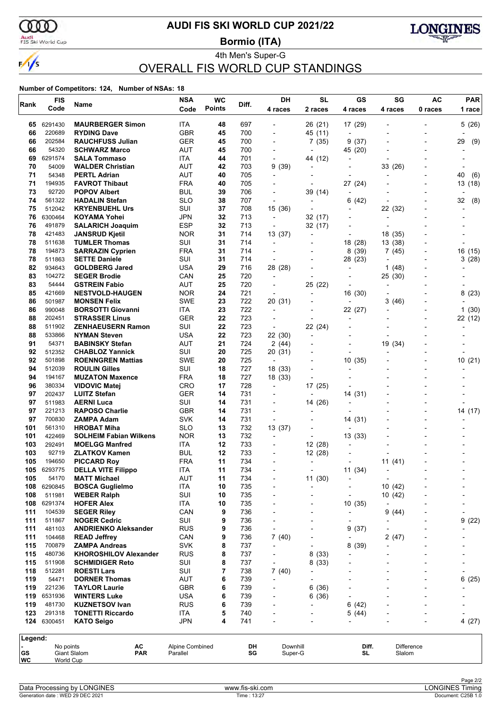

## **AUDI FIS SKI WORLD CUP 2021/22**

Audi<br>FIS Ski World Cup

4th Men's Super-G **Bormio (ITA)**



## OVERALL FIS WORLD CUP STANDINGS

| Rank       | <b>FIS</b>       | Name                                           | <b>NSA</b>               | <b>WC</b>     | Diff.      | DH                                                   | <b>SL</b>                           | GS                                  | SG                       | AC                       | <b>PAR</b>               |
|------------|------------------|------------------------------------------------|--------------------------|---------------|------------|------------------------------------------------------|-------------------------------------|-------------------------------------|--------------------------|--------------------------|--------------------------|
|            | Code             |                                                | Code                     | <b>Points</b> |            | 4 races                                              | 2 races                             | 4 races                             | 4 races                  | 0 races                  | 1 race                   |
| 65         | 6291430          | <b>MAURBERGER Simon</b>                        | ITA                      | 48            | 697        |                                                      | 26 (21)                             | 17 (29)                             |                          |                          | 5(26)                    |
| 66         | 220689           | <b>RYDING Dave</b>                             | <b>GBR</b>               | 45            | 700        | $\overline{\phantom{0}}$                             | 45 (11)                             | $\overline{\phantom{a}}$            |                          |                          |                          |
| 66         | 202584           | <b>RAUCHFUSS Julian</b>                        | GER                      | 45            | 700        | $\overline{\phantom{a}}$                             | 7(35)                               | 9(37)                               |                          | $\overline{\phantom{0}}$ | 29<br>(9)                |
| 66         | 54320            | <b>SCHWARZ Marco</b>                           | <b>AUT</b>               | 45            | 700        |                                                      | $\blacksquare$                      | 45 (20)                             |                          |                          |                          |
| 69         | 6291574          | <b>SALA Tommaso</b>                            | ITA                      | 44            | 701        | $\overline{\phantom{0}}$                             | 44 (12)                             | -                                   |                          |                          |                          |
| 70         | 54009            | <b>WALDER Christian</b>                        | <b>AUT</b>               | 42            | 703        | 9 (39)                                               | $\overline{a}$                      | $\overline{a}$                      | 33 (26)                  |                          |                          |
| 71<br>71   | 54348<br>194935  | <b>PERTL Adrian</b><br><b>FAVROT Thibaut</b>   | <b>AUT</b><br><b>FRA</b> | 40<br>40      | 705<br>705 | $\overline{\phantom{0}}$<br>$\blacksquare$           | $\overline{\phantom{a}}$            | $\overline{a}$                      |                          | $\overline{\phantom{a}}$ | 40<br>(6)                |
| 73         | 92720            | <b>POPOV Albert</b>                            | BUL                      | 39            | 706        | $\overline{\phantom{a}}$                             | 39 (14)                             | 27 (24)<br>÷,                       |                          | $\overline{\phantom{0}}$ | 13 (18)                  |
| 74         | 561322           | <b>HADALIN Stefan</b>                          | <b>SLO</b>               | 38            | 707        |                                                      |                                     | (42)<br>6                           |                          |                          | 32<br>(8)                |
| 75         | 512042           | <b>KRYENBUEHL Urs</b>                          | SUI                      | 37            | 708        | 15 (36)                                              |                                     | $\overline{\phantom{0}}$            | 22 (32)                  | $\overline{\phantom{0}}$ | $\overline{\phantom{a}}$ |
| 76         | 6300464          | <b>KOYAMA Yohei</b>                            | <b>JPN</b>               | 32            | 713        | $\overline{\phantom{a}}$                             | 32 (17)                             |                                     | $\overline{\phantom{a}}$ |                          |                          |
| 76         | 491879           | <b>SALARICH Joaquim</b>                        | <b>ESP</b>               | 32            | 713        |                                                      | 32 (17)                             |                                     |                          |                          |                          |
| 78         | 421483           | <b>JANSRUD Kjetil</b>                          | <b>NOR</b>               | 31            | 714        | 13 (37)                                              | $\overline{\phantom{a}}$            | $\overline{\phantom{0}}$            | 18 (35)                  |                          |                          |
| 78         | 511638           | <b>TUMLER Thomas</b>                           | SUI                      | 31            | 714        | $\overline{\phantom{a}}$                             |                                     | 18 (28)                             | 13 (38)                  |                          |                          |
| 78         | 194873           | <b>SARRAZIN Cyprien</b>                        | <b>FRA</b>               | 31            | 714        |                                                      |                                     | (39)<br>8                           | 7(45)                    |                          | 16 (15)                  |
| 78         | 511863           | <b>SETTE Daniele</b>                           | SUI                      | 31            | 714        | $\overline{a}$                                       |                                     | 28 (23)                             |                          | $\blacksquare$           | 3(28)                    |
| 82         | 934643           | <b>GOLDBERG Jared</b>                          | <b>USA</b>               | 29            | 716        | 28 (28)                                              |                                     | $\overline{\phantom{a}}$            | 1<br>(48)                |                          |                          |
| 83<br>83   | 104272<br>54444  | <b>SEGER Brodie</b>                            | CAN<br><b>AUT</b>        | 25<br>25      | 720<br>720 | $\overline{\phantom{a}}$                             |                                     |                                     | 25 (30)                  |                          |                          |
| 85         | 421669           | <b>GSTREIN Fabio</b><br><b>NESTVOLD-HAUGEN</b> | <b>NOR</b>               | 24            | 721        | $\overline{\phantom{a}}$<br>$\overline{\phantom{a}}$ | 25 (22)<br>$\overline{\phantom{a}}$ | $\overline{\phantom{0}}$<br>16 (30) | $\overline{a}$           |                          | 8(23)                    |
| 86         | 501987           | <b>MONSEN Felix</b>                            | <b>SWE</b>               | 23            | 722        | 20 (31)                                              |                                     | ٠                                   | 3<br>(46)                |                          |                          |
| 86         | 990048           | <b>BORSOTTI Giovanni</b>                       | <b>ITA</b>               | 23            | 722        | $\overline{\phantom{a}}$                             |                                     | 22 (27)                             |                          |                          | 1(30)                    |
| 88         | 202451           | <b>STRASSER Linus</b>                          | <b>GER</b>               | 22            | 723        | $\overline{a}$                                       | $\overline{a}$                      | $\overline{\phantom{a}}$            |                          | $\overline{\phantom{0}}$ | 22 (12)                  |
| 88         | 511902           | <b>ZENHAEUSERN Ramon</b>                       | SUI                      | 22            | 723        | $\overline{\phantom{a}}$                             | 22 (24)                             |                                     |                          |                          |                          |
| 88         | 533866           | <b>NYMAN Steven</b>                            | USA                      | 22            | 723        | 22 (30)                                              | $\overline{\phantom{a}}$            | $\overline{a}$                      |                          |                          |                          |
| 91         | 54371            | <b>BABINSKY Stefan</b>                         | AUT                      | 21            | 724        | 2(44)                                                |                                     | $\overline{\phantom{a}}$            | 19 (34)                  |                          |                          |
| 92         | 512352           | <b>CHABLOZ Yannick</b>                         | SUI                      | 20            | 725        | 20 (31)                                              |                                     |                                     |                          |                          |                          |
| 92         | 501898           | <b>ROENNGREN Mattias</b>                       | <b>SWE</b>               | 20            | 725        | $\overline{\phantom{a}}$                             |                                     | 10<br>(35)                          |                          |                          | 10(21)                   |
| 94         | 512039           | <b>ROULIN Gilles</b>                           | SUI                      | 18            | 727        | 18 (33)                                              |                                     | $\blacksquare$                      |                          | $\overline{\phantom{0}}$ |                          |
| 94         | 194167           | <b>MUZATON Maxence</b>                         | <b>FRA</b>               | 18            | 727        | 18 (33)                                              |                                     |                                     |                          |                          |                          |
| 96<br>97   | 380334<br>202437 | <b>VIDOVIC Matej</b><br><b>LUITZ Stefan</b>    | CRO<br>GER               | 17<br>14      | 728<br>731 | $\overline{\phantom{a}}$<br>$\overline{\phantom{a}}$ | 17 (25)                             | 14 (31)                             |                          |                          |                          |
| 97         | 511983           | <b>AERNI Luca</b>                              | SUI                      | 14            | 731        |                                                      | 14 (26)                             | $\overline{a}$                      |                          |                          |                          |
| 97         | 221213           | <b>RAPOSO Charlie</b>                          | <b>GBR</b>               | 14            | 731        | $\blacksquare$                                       |                                     |                                     |                          |                          | 14 (17)                  |
| 97         | 700830           | ZAMPA Adam                                     | <b>SVK</b>               | 14            | 731        | $\overline{\phantom{a}}$                             |                                     | 14 (31)                             |                          | $\overline{\phantom{0}}$ |                          |
| 101        | 561310           | <b>HROBAT Miha</b>                             | <b>SLO</b>               | 13            | 732        | 13 (37)                                              |                                     | $\overline{\phantom{a}}$            |                          |                          |                          |
| 101        | 422469           | <b>SOLHEIM Fabian Wilkens</b>                  | <b>NOR</b>               | 13            | 732        | $\overline{\phantom{a}}$                             | $\overline{\phantom{a}}$            | 13 (33)                             |                          |                          |                          |
| 103        | 292491           | <b>MOELGG Manfred</b>                          | ITA                      | 12            | 733        | $\overline{\phantom{a}}$                             | 12 (28)                             | $\blacksquare$                      |                          |                          |                          |
| 103        | 92719            | <b>ZLATKOV Kamen</b>                           | <b>BUL</b>               | 12            | 733        |                                                      | 12 (28)                             |                                     |                          |                          |                          |
| 105        | 194650           | <b>PICCARD Roy</b>                             | <b>FRA</b>               | 11            | 734        |                                                      | $\overline{\phantom{a}}$            |                                     | 11(41)                   |                          |                          |
|            | 105 6293775      | <b>DELLA VITE Filippo</b>                      | ITA                      | 11            | 734        |                                                      |                                     | 11 (34)                             |                          |                          |                          |
| 105<br>108 | 54170<br>6290845 | <b>MATT Michael</b><br><b>BOSCA Guglielmo</b>  | <b>AUT</b><br><b>ITA</b> | 11<br>10      | 734<br>735 |                                                      | 11(30)                              | -                                   | $\overline{a}$           |                          |                          |
| 108        | 511981           | <b>WEBER Ralph</b>                             | SUI                      | 10            | 735        | $\overline{\phantom{0}}$                             |                                     | $\overline{a}$                      | 10(42)<br>10(42)         |                          |                          |
| 108        | 6291374          | <b>HOFER Alex</b>                              | ITA                      | 10            | 735        |                                                      |                                     | 10(35)                              |                          |                          |                          |
| 111        | 104539           | <b>SEGER Riley</b>                             | CAN                      | 9             | 736        |                                                      |                                     |                                     | 9<br>(44)                |                          |                          |
| 111        | 511867           | <b>NOGER Cedric</b>                            | SUI                      | 9             | 736        | $\overline{\phantom{a}}$                             |                                     | $\overline{\phantom{0}}$            |                          |                          | 9<br>(22)                |
| 111        | 481103           | <b>ANDRIENKO Aleksander</b>                    | <b>RUS</b>               | 9             | 736        | ٠                                                    |                                     | 9<br>(37)                           |                          |                          |                          |
| 111        | 104468           | <b>READ Jeffrey</b>                            | CAN                      | 9             | 736        | 7(40)                                                |                                     |                                     | 2(47)                    |                          |                          |
| 115        | 700879           | <b>ZAMPA Andreas</b>                           | <b>SVK</b>               | 8             | 737        | $\overline{\phantom{a}}$                             |                                     | 8<br>(39)                           |                          |                          |                          |
| 115        | 480736           | <b>KHOROSHILOV Alexander</b>                   | <b>RUS</b>               | 8             | 737        |                                                      | 8(33)                               |                                     |                          |                          |                          |
| 115        | 511908           | <b>SCHMIDIGER Reto</b>                         | SUI                      | 8             | 737        |                                                      | 8(33)                               |                                     |                          |                          |                          |
| 118        | 512281           | <b>ROESTI Lars</b>                             | SUI                      | 7             | 738        | 7(40)                                                |                                     |                                     |                          |                          |                          |
| 119<br>119 | 54471<br>221236  | <b>DORNER Thomas</b><br><b>TAYLOR Laurie</b>   | AUT<br><b>GBR</b>        | 6<br>6        | 739<br>739 | $\overline{\phantom{a}}$                             | 6(36)                               |                                     |                          |                          | 6<br>(25)                |
| 119        | 6531936          | <b>WINTERS Luke</b>                            | <b>USA</b>               | 6             | 739        |                                                      | 6 (36)                              |                                     |                          |                          |                          |
| 119        | 481730           | <b>KUZNETSOV Ivan</b>                          | <b>RUS</b>               | 6             | 739        |                                                      |                                     | (42)<br>6                           |                          |                          |                          |
| 123        | 291318           | <b>TONETTI Riccardo</b>                        | ITA                      | 5             | 740        |                                                      |                                     | 5 (44)                              |                          |                          |                          |
|            | 124 6300451      | <b>KATO Seigo</b>                              | <b>JPN</b>               | 4             | 741        |                                                      |                                     |                                     |                          |                          | 4(27)                    |
|            |                  |                                                |                          |               |            |                                                      |                                     |                                     |                          |                          |                          |
| Legend:    | No points        | АC                                             | Alpine Combined          |               | DH         | Downhill                                             |                                     | Diff.                               | Difference               |                          |                          |
| GS         |                  | <b>Giant Slalom</b><br><b>PAR</b>              | Parallel                 |               | SG         | Super-G                                              |                                     | SL                                  | Slalom                   |                          |                          |
| WC         | World Cup        |                                                |                          |               |            |                                                      |                                     |                                     |                          |                          |                          |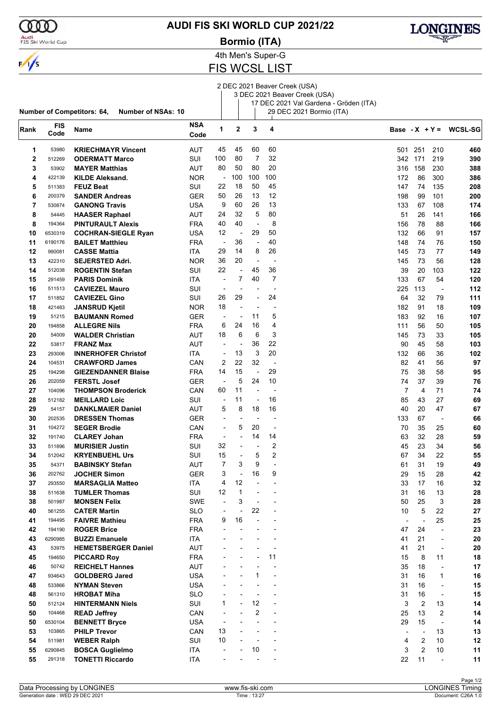

### **AUDI FIS SKI WORLD CUP 2021/22**

Audi<br>FIS Ski World Cup

**Number of Competitors: 64, Number of NSAs: 10**

# $\frac{1}{s}$

4th Men's Super-G **Bormio (ITA)**

## FIS WCSL LIST

2 DEC 2021 Beaver Creek (USA) 3 DEC 2021 Beaver Creek (USA)

17 DEC 2021 Val Gardena - Gröden (ITA) 29 DEC 2021 Bormio (ITA)

| Rank        | <b>FIS</b><br>Code | Name                       | <b>NSA</b><br>Code | 1                        | $\mathbf 2$              | 3                        | 4              |                          |                |                          | Base - $X + Y = WCSL-SG$ |
|-------------|--------------------|----------------------------|--------------------|--------------------------|--------------------------|--------------------------|----------------|--------------------------|----------------|--------------------------|--------------------------|
|             |                    |                            |                    |                          |                          |                          |                |                          |                |                          |                          |
| 1           | 53980              | <b>KRIECHMAYR Vincent</b>  | <b>AUT</b>         | 45                       | 45                       | 60                       | 60             | 501                      | 251            | 210                      | 460                      |
| $\mathbf 2$ | 512269             | <b>ODERMATT Marco</b>      | SUI                | 100                      | 80                       | 7                        | 32             | 342                      | 171            | 219                      | 390                      |
| 3           | 53902              | <b>MAYER Matthias</b>      | AUT                | 80                       | 50                       | 80                       | 20             | 316                      | 158            | 230                      | 388                      |
| 4           | 422139             | <b>KILDE Aleksand.</b>     | <b>NOR</b>         | $\overline{\phantom{a}}$ | 100                      | 100                      | 100            | 172                      | 86             | 300                      | 386                      |
| 5           | 511383             | <b>FEUZ Beat</b>           | SUI                | 22                       | 18                       | 50                       | 45             | 147                      | 74             | 135                      | 208                      |
| 6           | 200379             | <b>SANDER Andreas</b>      | <b>GER</b>         | 50                       | 26                       | 13                       | 12             | 198                      | 99             | 101                      | 200                      |
| 7           | 530874             | <b>GANONG Travis</b>       | <b>USA</b>         | 9                        | 60                       | 26                       | 13             | 133                      | 67             | 108                      | 174                      |
| 8           | 54445              | <b>HAASER Raphael</b>      | <b>AUT</b>         | 24                       | 32                       | 5                        | 80             | 51                       | 26             | 141                      | 166                      |
| 8           | 194364             | <b>PINTURAULT Alexis</b>   | <b>FRA</b>         | 40                       | 40                       | $\overline{\phantom{a}}$ | 8              | 156                      | 78             | 88                       | 166                      |
| 10          | 6530319            | <b>COCHRAN-SIEGLE Ryan</b> | <b>USA</b>         | 12                       | $\overline{\phantom{a}}$ | 29                       | 50             | 132                      | 66             | 91                       | 157                      |
| 11          | 6190176            | <b>BAILET Matthieu</b>     | <b>FRA</b>         | $\overline{\phantom{a}}$ | 36                       | $\overline{\phantom{a}}$ | 40             | 148                      | 74             | 76                       | 150                      |
| 12          | 990081             | <b>CASSE Mattia</b>        | ITA.               | 29                       | 14                       | 8                        | 26             | 145                      | 73             | 77                       | 149                      |
| 13          | 422310             | <b>SEJERSTED Adri.</b>     | <b>NOR</b>         | 36                       | 20                       | $\overline{a}$           | $\overline{a}$ | 145                      | 73             | 56                       | 128                      |
| 14          | 512038             | <b>ROGENTIN Stefan</b>     | SUI                | 22                       | $\overline{a}$           | 45                       | 36             | 39                       | 20             | 103                      | 122                      |
| 15          | 291459             | <b>PARIS Dominik</b>       | ITA                | ÷,                       | 7                        | 40                       | 7              | 133                      | 67             | 54                       | 120                      |
| 16          | 511513             | <b>CAVIEZEL Mauro</b>      | SUI                | $\overline{\phantom{a}}$ |                          |                          | $\overline{a}$ | 225                      | 113            | $\overline{\phantom{a}}$ | 112                      |
| 17          | 511852             | <b>CAVIEZEL Gino</b>       | SUI                | 26                       | 29                       | $\overline{\phantom{a}}$ | 24             | 64                       | 32             | 79                       | 111                      |
| 18          | 421483             | <b>JANSRUD Kjetil</b>      | <b>NOR</b>         | 18                       |                          | $\blacksquare$           |                | 182                      | 91             | 18                       | 109                      |
| 19          | 51215              | <b>BAUMANN Romed</b>       | <b>GER</b>         | $\overline{a}$           | $\overline{a}$           | 11                       | 5              | 183                      | 92             | 16                       | 107                      |
| 20          | 194858             | <b>ALLEGRE Nils</b>        | <b>FRA</b>         | 6                        | 24                       | 16                       | 4              | 111                      | 56             | 50                       | 105                      |
| 20          | 54009              | <b>WALDER Christian</b>    | AUT                | 18                       | 6                        | 6                        | 3              | 145                      | 73             | 33                       | 105                      |
| 22          | 53817              | <b>FRANZ Max</b>           | <b>AUT</b>         | $\overline{a}$           | $\overline{\phantom{a}}$ | 36                       | 22             | 90                       | 45             | 58                       | 103                      |
| 23          | 293006             | <b>INNERHOFER Christof</b> | ITA.               | $\overline{a}$           | 13                       | 3                        | 20             | 132                      | 66             | 36                       | 102                      |
| 24          | 104531             | <b>CRAWFORD James</b>      | CAN                | 2                        | 22                       | 32                       | $\overline{a}$ | 82                       | 41             | 56                       | 97                       |
| 25          | 194298             | <b>GIEZENDANNER Blaise</b> | <b>FRA</b>         | 14                       | 15                       | ÷,                       | 29             | 75                       | 38             | 58                       | 95                       |
| 26          | 202059             | <b>FERSTL Josef</b>        | <b>GER</b>         | $\overline{\phantom{a}}$ | 5                        | 24                       | 10             | 74                       | 37             | 39                       | 76                       |
| 27          | 104096             | <b>THOMPSON Broderick</b>  | CAN                | 60                       | 11                       | ÷,                       | $\overline{a}$ | $\overline{7}$           | 4              | 71                       | 74                       |
| 28          | 512182             | <b>MEILLARD Loic</b>       | SUI                | $\overline{a}$           | 11                       | $\overline{\phantom{a}}$ | 16             | 85                       | 43             | 27                       | 69                       |
| 29          | 54157              | <b>DANKLMAIER Daniel</b>   | AUT                | 5                        | 8                        | 18                       | 16             | 40                       | 20             | 47                       | 67                       |
| 30          | 202535             | <b>DRESSEN Thomas</b>      | <b>GER</b>         | $\overline{\phantom{a}}$ |                          | $\overline{a}$           | J.             | 133                      | 67             | $\overline{a}$           | 66                       |
| 31          | 104272             | <b>SEGER Brodie</b>        | CAN                | $\overline{\phantom{a}}$ | 5                        | 20                       | $\overline{a}$ | 70                       | 35             | 25                       | 60                       |
| 32          | 191740             | <b>CLAREY Johan</b>        | <b>FRA</b>         | ÷,                       | $\overline{\phantom{0}}$ | 14                       | 14             | 63                       | 32             | 28                       | 59                       |
| 33          | 511896             | <b>MURISIER Justin</b>     | SUI                | 32                       | $\overline{a}$           | $\blacksquare$           | 2              | 45                       | 23             | 34                       | 56                       |
| 34          | 512042             | <b>KRYENBUEHL Urs</b>      | SUI                | 15                       |                          | 5                        | 2              | 67                       | 34             | 22                       | 55                       |
| 35          | 54371              | <b>BABINSKY Stefan</b>     | AUT                | 7                        | 3                        | 9                        | ÷,             | 61                       | 31             | 19                       | 49                       |
| 36          | 202762             | <b>JOCHER Simon</b>        | <b>GER</b>         | 3                        |                          | 16                       | 9              | 29                       | 15             | 28                       | 42                       |
| 37          | 293550             | <b>MARSAGLIA Matteo</b>    | <b>ITA</b>         | 4                        | 12                       |                          |                | 33                       | 17             | 16                       | 32                       |
| 38          | 511638             | <b>TUMLER Thomas</b>       | SUI                | 12                       | 1                        | $\overline{a}$           | $\blacksquare$ | 31                       | 16             | 13                       | 28                       |
| 38          | 501987             | <b>MONSEN Felix</b>        | SWE                |                          | 3                        |                          |                | 50                       | 25             | 3                        | 28                       |
| 40          | 561255             | <b>CATER Martin</b>        | <b>SLO</b>         |                          |                          | 22                       |                | 10                       | 5              | 22                       | 27                       |
| 41          | 194495             | <b>FAIVRE Mathieu</b>      | <b>FRA</b>         | 9                        | 16                       | L,                       |                | $\overline{\phantom{a}}$ | $\overline{a}$ | 25                       | 25                       |
| 42          | 194190             | <b>ROGER Brice</b>         | <b>FRA</b>         |                          |                          |                          |                | 47                       | 24             | $\overline{\phantom{a}}$ | 23                       |
| 43          | 6290985            | <b>BUZZI Emanuele</b>      | ITA                |                          |                          |                          |                | 41                       | 21             | $\overline{\phantom{a}}$ | 20                       |
| 43          | 53975              | <b>HEMETSBERGER Daniel</b> | AUT                |                          |                          |                          |                | 41                       | 21             | $\blacksquare$           | 20                       |
| 45          | 194650             | <b>PICCARD Roy</b>         | <b>FRA</b>         |                          |                          |                          | 11             | 15                       | 8              | 11                       | 18                       |
| 46          | 50742              | <b>REICHELT Hannes</b>     | <b>AUT</b>         |                          |                          |                          |                | 35                       | 18             | $\overline{\phantom{a}}$ | 17                       |
| 47          | 934643             | <b>GOLDBERG Jared</b>      | <b>USA</b>         |                          |                          | 1                        | $\overline{a}$ | 31                       | 16             | 1                        | 16                       |
| 48          | 533866             | <b>NYMAN Steven</b>        | <b>USA</b>         |                          |                          |                          |                | 31                       | 16             | $\overline{\phantom{a}}$ | 15                       |
| 48          | 561310             | <b>HROBAT Miha</b>         | <b>SLO</b>         |                          |                          |                          |                | 31                       | 16             | $\overline{\phantom{a}}$ | 15                       |
| 50          | 512124             | <b>HINTERMANN Niels</b>    | SUI                | 1                        |                          | 12                       |                | 3                        | $\overline{2}$ | 13                       | 14                       |
| 50          | 104468             | <b>READ Jeffrey</b>        | CAN                | $\overline{\phantom{a}}$ |                          | $\overline{c}$           | $\overline{a}$ | 25                       | 13             | $\overline{2}$           | 14                       |
| 50          | 6530104            | <b>BENNETT Bryce</b>       | <b>USA</b>         | $\overline{a}$           |                          |                          | $\overline{a}$ | 29                       | 15             | $\blacksquare$           | 14                       |
| 53          | 103865             | <b>PHILP Trevor</b>        | CAN                | 13                       |                          | ÷                        |                |                          | $\blacksquare$ | 13                       | 13                       |
|             |                    |                            |                    | 10                       |                          | $\blacksquare$           |                | $\overline{\phantom{a}}$ |                |                          |                          |
| 54<br>55    | 511981             | <b>WEBER Ralph</b>         | SUI                |                          |                          | 10                       |                | 4                        | 2<br>2         | 10<br>10                 | 12                       |
|             | 6290845            | <b>BOSCA Guglielmo</b>     | ITA                |                          |                          |                          |                | 3                        | 11             |                          | 11                       |
| 55          | 291318             | <b>TONETTI Riccardo</b>    | ITA                |                          |                          |                          |                | 22                       |                | $\overline{\phantom{a}}$ | 11                       |

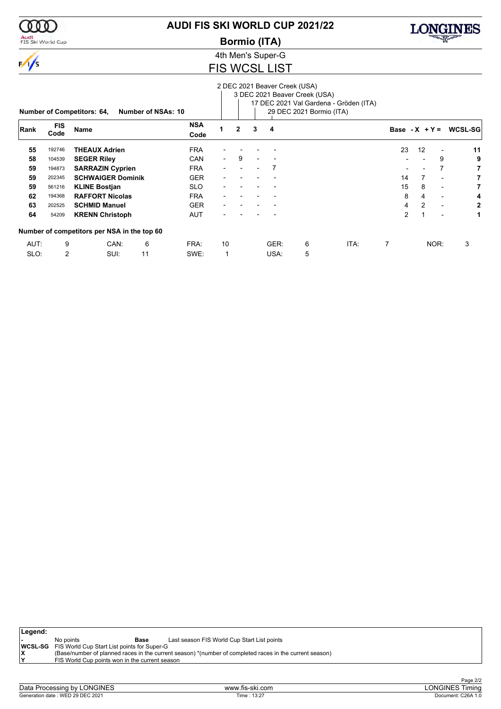

 $\frac{1}{\sqrt{2}}$ 

Audi<br>FIS Ski World Cup

## **AUDI FIS SKI WORLD CUP 2021/22**

**Bormio (ITA)**



4th Men's Super-G

### FIS WCSL LIST

|      |                    | <b>Number of Competitors: 64,</b>           | <b>Number of NSAs: 10</b> |                    |                          |              |                          | 2 DEC 2021 Beaver Creek (USA) | 3 DEC 2021 Beaver Creek (USA)<br>29 DEC 2021 Bormio (ITA) | 17 DEC 2021 Val Gardena - Gröden (ITA) |                 |                |                          |         |
|------|--------------------|---------------------------------------------|---------------------------|--------------------|--------------------------|--------------|--------------------------|-------------------------------|-----------------------------------------------------------|----------------------------------------|-----------------|----------------|--------------------------|---------|
| Rank | <b>FIS</b><br>Code | <b>Name</b>                                 |                           | <b>NSA</b><br>Code |                          | $\mathbf{2}$ | 3                        | 4                             |                                                           |                                        | Base $-X + Y =$ |                |                          | WCSL-SG |
| 55   | 192746             | <b>THEAUX Adrien</b>                        |                           | <b>FRA</b>         |                          |              |                          |                               |                                                           |                                        | 23              | 12             |                          | 11      |
| 58   | 104539             | <b>SEGER Riley</b>                          |                           | <b>CAN</b>         | $\overline{\phantom{0}}$ | 9            | $\overline{\phantom{a}}$ |                               |                                                           |                                        |                 |                | 9                        | 9       |
| 59   | 194873             | <b>SARRAZIN Cyprien</b>                     |                           | <b>FRA</b>         |                          |              |                          |                               |                                                           |                                        |                 |                | 7                        | 7       |
| 59   | 202345             | <b>SCHWAIGER Dominik</b>                    |                           | <b>GER</b>         |                          |              |                          |                               |                                                           |                                        | 14              | $\overline{7}$ | $\blacksquare$           | 7       |
| 59   | 561216             | <b>KLINE Bostjan</b>                        |                           | <b>SLO</b>         |                          |              |                          |                               |                                                           |                                        | 15              | 8              | $\overline{\phantom{0}}$ | 7       |
| 62   | 194368             | <b>RAFFORT Nicolas</b>                      |                           | <b>FRA</b>         |                          |              |                          |                               |                                                           |                                        | 8               | 4              | $\overline{\phantom{0}}$ | 4       |
| 63   | 202525             | <b>SCHMID Manuel</b>                        |                           | <b>GER</b>         |                          |              |                          |                               |                                                           |                                        | 4               | 2              | $\overline{\phantom{0}}$ | 2       |
| 64   | 54209              | <b>KRENN Christoph</b>                      |                           | <b>AUT</b>         |                          |              |                          |                               |                                                           |                                        | $\overline{2}$  | 1              | $\overline{\phantom{0}}$ | 1       |
|      |                    | Number of competitors per NSA in the top 60 |                           |                    |                          |              |                          |                               |                                                           |                                        |                 |                |                          |         |
| AUT: | 9                  | CAN:                                        | 6                         | FRA:               | 10                       |              |                          | GER:                          | 6                                                         | ITA:                                   | 7               |                | NOR:                     | 3       |
| SLO: | 2                  | SUI:                                        | 11                        | SWE:               |                          |              |                          | USA:                          | 5                                                         |                                        |                 |                |                          |         |

| Legend: |                                                            |                                                                                                         |  |
|---------|------------------------------------------------------------|---------------------------------------------------------------------------------------------------------|--|
|         | No points                                                  | Last season FIS World Cup Start List points<br>Base                                                     |  |
|         | <b>WCSL-SG</b> FIS World Cup Start List points for Super-G |                                                                                                         |  |
|         |                                                            | (Base/number of planned races in the current season) *(number of completed races in the current season) |  |
| ١Y      | FIS World Cup points won in the current season             |                                                                                                         |  |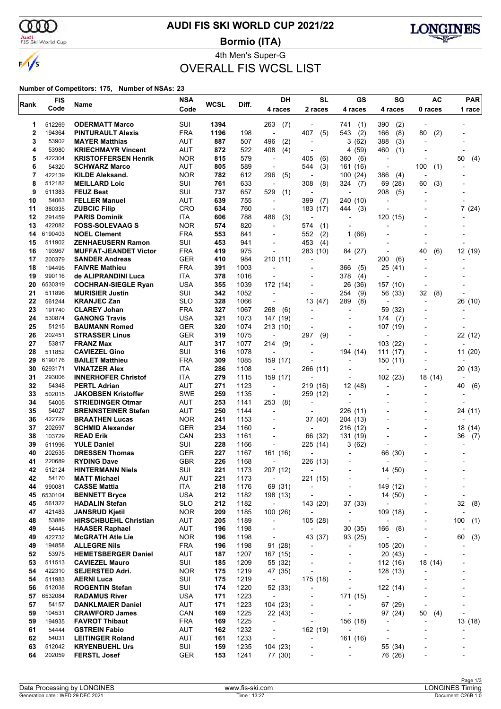ഞ

 $\frac{1}{s}$ 

## **AUDI FIS SKI WORLD CUP 2021/22**

Audi<br>FIS Ski World Cup

**Bormio (ITA)**



## 4th Men's Super-G OVERALL FIS WCSL LIST

| Rank        | <b>FIS</b>        | Name                                                 | <b>NSA</b>        | <b>WCSL</b> | Diff.        | DH                                   | <b>SL</b>                                      | GS                                         | SG                                     | <b>AC</b>                | <b>PAR</b>               |
|-------------|-------------------|------------------------------------------------------|-------------------|-------------|--------------|--------------------------------------|------------------------------------------------|--------------------------------------------|----------------------------------------|--------------------------|--------------------------|
|             | Code              |                                                      | Code              |             |              | 4 races                              | 2 races                                        | 4 races                                    | 4 races                                | 0 races                  | 1 race                   |
| 1           | 512269            | <b>ODERMATT Marco</b>                                | SUI               | 1394        |              | 263<br>(7)                           |                                                | 741<br>(1)                                 | 390<br>(2)                             |                          |                          |
| $\mathbf 2$ | 194364            | <b>PINTURAULT Alexis</b>                             | <b>FRA</b>        | 1196        | 198          | ÷,                                   | 407<br>(5)                                     | 543<br>(2)                                 | 166<br>(8)                             | (2)<br>80                |                          |
| 3           | 53902             | <b>MAYER Matthias</b>                                | AUT               | 887         | 507          | 496<br>(2)                           | $\overline{a}$                                 | 3<br>(62)                                  | 388<br>(3)                             |                          |                          |
| 4           | 53980             | <b>KRIECHMAYR Vincent</b>                            | AUT               | 872         | 522          | 408<br>(4)                           | $\overline{\phantom{a}}$                       | 4(59)                                      | 460<br>(1)                             |                          |                          |
| 5           | 422304            | <b>KRISTOFFERSEN Henrik</b>                          | <b>NOR</b>        | 815         | 579          | $\overline{\phantom{a}}$             | 405<br>(6)                                     | 360<br>(6)                                 | $\overline{\phantom{a}}$               |                          | 50<br>(4)                |
| 6           | 54320             | <b>SCHWARZ Marco</b>                                 | <b>AUT</b>        | 805         | 589          | $\overline{\phantom{a}}$             | (3)<br>544                                     | 161 (16)                                   | $\overline{\phantom{a}}$               | 100<br>(1)               |                          |
| 7           | 422139            | <b>KILDE Aleksand.</b>                               | <b>NOR</b>        | 782         | 612          | 296<br>(5)                           | $\overline{a}$                                 | 100(24)                                    | 386<br>(4)                             |                          |                          |
| 8           | 512182            | <b>MEILLARD Loic</b>                                 | SUI               | 761         | 633          | $\overline{a}$                       | 308<br>(8)                                     | 324<br>(7)                                 | 69 (28)                                | (3)<br>60                |                          |
| 9<br>10     | 511383<br>54063   | <b>FEUZ Beat</b><br><b>FELLER Manuel</b>             | SUI<br>AUT        | 737<br>639  | 657<br>755   | 529<br>(1)<br>$\blacksquare$         | 399<br>(7)                                     | 240 (10)                                   | 208<br>(5)<br>$\overline{\phantom{a}}$ |                          |                          |
| 11          | 380335            | <b>ZUBCIC Filip</b>                                  | <b>CRO</b>        | 634         | 760          | $\overline{a}$                       | 183 (17)                                       | 444<br>(3)                                 |                                        |                          | 7(24)                    |
| 12          | 291459            | <b>PARIS Dominik</b>                                 | ITA               | 606         | 788          | 486<br>(3)                           | ÷,                                             | $\overline{\phantom{a}}$                   | 120 (15)                               |                          |                          |
| 13          | 422082            | <b>FOSS-SOLEVAAG S</b>                               | <b>NOR</b>        | 574         | 820          |                                      | 574<br>(1)                                     |                                            |                                        |                          |                          |
| 14          | 6190403           | <b>NOEL Clement</b>                                  | <b>FRA</b>        | 553         | 841          | $\overline{\phantom{a}}$             | 552<br>(2)                                     | (66)<br>1                                  |                                        |                          |                          |
| 15          | 511902            | ZENHAEUSERN Ramon                                    | SUI               | 453         | 941          | $\blacksquare$                       | 453<br>(4)                                     |                                            |                                        |                          |                          |
| 16          | 193967            | <b>MUFFAT-JEANDET Victor</b>                         | <b>FRA</b>        | 419         | 975          |                                      | 283 (10)                                       | 84 (27)                                    |                                        | 40<br>(6)                | 12 (19)                  |
| 17          | 200379            | <b>SANDER Andreas</b>                                | GER               | 410         | 984          | 210 (11)                             | $\overline{a}$                                 | $\overline{\phantom{a}}$                   | 200<br>(6)                             |                          |                          |
| 18          | 194495            | <b>FAIVRE Mathieu</b>                                | <b>FRA</b>        | 391         | 1003         |                                      |                                                | 366<br>(5)                                 | 25 (41)                                |                          |                          |
| 19          | 990116            | de ALIPRANDINI Luca                                  | ITA               | 378         | 1016         |                                      |                                                | 378<br>(4)                                 | $\overline{\phantom{a}}$               |                          |                          |
| 20<br>21    | 6530319<br>511896 | <b>COCHRAN-SIEGLE Ryan</b><br><b>MURISIER Justin</b> | <b>USA</b><br>SUI | 355<br>342  | 1039<br>1052 | 172 (14)                             | $\overline{a}$<br>$\overline{a}$               | 26 (36)<br>254                             | 157 (10)                               |                          |                          |
| 22          | 561244            | <b>KRANJEC Zan</b>                                   | <b>SLO</b>        | 328         | 1066         |                                      | 13 (47)                                        | (9)<br>289<br>(8)                          | 56 (33)<br>$\overline{\phantom{a}}$    | 32<br>(8)                | 26 (10)                  |
| 23          | 191740            | <b>CLAREY Johan</b>                                  | <b>FRA</b>        | 327         | 1067         | 268<br>(6)                           | $\overline{\phantom{0}}$                       | $\blacksquare$                             | 59 (32)                                |                          |                          |
| 24          | 530874            | <b>GANONG Travis</b>                                 | <b>USA</b>        | 321         | 1073         | 147 (19)                             | L,                                             | $\overline{a}$                             | 174 (7)                                |                          |                          |
| 25          | 51215             | <b>BAUMANN Romed</b>                                 | <b>GER</b>        | 320         | 1074         | 213 (10)                             |                                                |                                            | 107 (19)                               |                          |                          |
| 26          | 202451            | <b>STRASSER Linus</b>                                | <b>GER</b>        | 319         | 1075         | $\overline{\phantom{a}}$             | 297<br>(9)                                     |                                            | $\overline{\phantom{a}}$               |                          | 22 (12)                  |
| 27          | 53817             | <b>FRANZ Max</b>                                     | AUT               | 317         | 1077         | 214<br>(9)                           |                                                |                                            | 103 (22)                               |                          |                          |
| 28          | 511852            | <b>CAVIEZEL Gino</b>                                 | SUI               | 316         | 1078         | $\overline{a}$                       |                                                | 194 (14)                                   | 111(17)                                |                          | 11 (20)                  |
| 29          | 6190176           | <b>BAILET Matthieu</b>                               | <b>FRA</b>        | 309         | 1085         | 159 (17)                             |                                                | $\overline{a}$                             | 150 (11)                               |                          |                          |
| 30          | 6293171           | <b>VINATZER Alex</b>                                 | ITA               | 286         | 1108         | $\overline{\phantom{a}}$             | 266 (11)                                       | $\overline{\phantom{a}}$                   | ÷                                      |                          | 20 (13)                  |
| 31<br>32    | 293006<br>54348   | <b>INNERHOFER Christof</b><br><b>PERTL Adrian</b>    | ITA<br>AUT        | 279<br>271  | 1115         | 159 (17)<br>$\overline{\phantom{a}}$ | 219 (16)                                       |                                            | 102 (23)<br>$\overline{\phantom{a}}$   | 18 (14)                  |                          |
| 33          | 502015            | <b>JAKOBSEN Kristoffer</b>                           | <b>SWE</b>        | 259         | 1123<br>1135 | $\overline{\phantom{a}}$             | 259 (12)                                       | 12 (48)                                    |                                        |                          | (6)<br>40                |
| 34          | 54005             | <b>STRIEDINGER Otmar</b>                             | AUT               | 253         | 1141         | 253<br>(8)                           |                                                |                                            |                                        |                          |                          |
| 35          | 54027             | <b>BRENNSTEINER Stefan</b>                           | AUT               | 250         | 1144         | $\overline{a}$                       | $\overline{a}$                                 | 226 (11)                                   |                                        |                          | 24 (11)                  |
| 36          | 422729            | <b>BRAATHEN Lucas</b>                                | <b>NOR</b>        | 241         | 1153         | $\overline{\phantom{0}}$             | 37 (40)                                        | 204 (13)                                   |                                        |                          | $\overline{a}$           |
| 37          | 202597            | <b>SCHMID Alexander</b>                              | <b>GER</b>        | 234         | 1160         |                                      | $\overline{\phantom{a}}$                       | 216(12)                                    |                                        |                          | 18 (14)                  |
| 38          | 103729            | <b>READ Erik</b>                                     | CAN               | 233         | 1161         |                                      | 66 (32)                                        | 131 (19)                                   |                                        |                          | 36<br>(7)                |
| 39          | 511996            | <b>YULE Daniel</b>                                   | SUI               | 228         | 1166         | $\overline{a}$                       | 225 (14)                                       | 3 (62)                                     |                                        |                          |                          |
| 40          | 202535            | <b>DRESSEN Thomas</b>                                | <b>GER</b>        | 227         | 1167         | 161 (16)                             |                                                |                                            | 66 (30)                                |                          |                          |
| 41          | 220689            | <b>RYDING Dave</b>                                   | <b>GBR</b>        | 226         | 1168         | $\overline{\phantom{a}}$             | 226 (13)                                       |                                            |                                        |                          |                          |
| 42<br>42    | 512124<br>54170   | <b>HINTERMANN Niels</b><br><b>MATT Michael</b>       | SUI<br>AUT        | 221<br>221  | 1173<br>1173 | 207 (12)<br>$\overline{\phantom{a}}$ | 221 (15)                                       |                                            | 14 (50)<br>$\overline{\phantom{a}}$    |                          |                          |
| 44          | 990081            | <b>CASSE Mattia</b>                                  | ITA               | 218         | 1176         | 69 (31)                              | $\overline{\phantom{a}}$                       | $\overline{a}$                             | 149 (12)                               |                          |                          |
| 45          | 6530104           | <b>BENNETT Bryce</b>                                 | <b>USA</b>        | 212         | 1182         | 198 (13)                             | $\overline{\phantom{a}}$                       | $\overline{\phantom{a}}$                   | 14 (50)                                | $\overline{a}$           | $\overline{\phantom{a}}$ |
| 45          | 561322            | <b>HADALIN Stefan</b>                                | <b>SLO</b>        | 212         | 1182         | $\overline{\phantom{a}}$             | 143 (20)                                       | 37 (33)                                    | $\overline{\phantom{a}}$               |                          | 32<br>(8)                |
| 47          | 421483            | <b>JANSRUD Kjetil</b>                                | <b>NOR</b>        | 209         | 1185         | 100(26)                              | $\overline{\phantom{a}}$                       | $\overline{\phantom{a}}$                   | 109 (18)                               | -                        |                          |
| 48          | 53889             | <b>HIRSCHBUEHL Christian</b>                         | AUT               | 205         | 1189         | $\overline{\phantom{a}}$             | 105 (28)                                       | $\overline{\phantom{a}}$                   |                                        | $\overline{\phantom{0}}$ | 100<br>(1)               |
| 49          | 54445             | <b>HAASER Raphael</b>                                | AUT               | 196         | 1198         | $\overline{\phantom{a}}$             | $\overline{\phantom{a}}$                       | 30(35)                                     | $166$ (8)                              |                          |                          |
| 49          | 422732            | <b>McGRATH Atle Lie</b>                              | <b>NOR</b>        | 196         | 1198         | $\overline{\phantom{a}}$             | 43 (37)                                        | 93 (25)                                    | $\overline{\phantom{a}}$               | $\overline{\phantom{a}}$ | 60<br>(3)                |
| 49          | 194858            | <b>ALLEGRE Nils</b>                                  | <b>FRA</b>        | 196         | 1198         | 91 (28)                              | $\overline{\phantom{a}}$                       | $\overline{\phantom{a}}$                   | 105 (20)                               | $\overline{\phantom{a}}$ |                          |
| 52          | 53975             | <b>HEMETSBERGER Daniel</b>                           | <b>AUT</b>        | 187         | 1207         | 167 (15)                             |                                                | $\overline{a}$                             | 20(43)                                 | $\overline{a}$           |                          |
| 53<br>54    | 511513<br>422310  | <b>CAVIEZEL Mauro</b>                                | SUI<br><b>NOR</b> | 185         | 1209         | 55 (32)                              | $\qquad \qquad \blacksquare$<br>$\overline{a}$ | $\overline{a}$<br>$\overline{\phantom{a}}$ | 112(16)                                | 18 (14)                  |                          |
| 54          | 511983            | <b>SEJERSTED Adri.</b><br><b>AERNI Luca</b>          | SUI               | 175<br>175  | 1219<br>1219 | 47 (35)<br>$\overline{\phantom{a}}$  | 175 (18)                                       |                                            | 128 (13)<br>$\overline{\phantom{a}}$   |                          | -                        |
| 56          | 512038            | <b>ROGENTIN Stefan</b>                               | SUI               | 174         | 1220         | 52 (33)                              | $\overline{\phantom{a}}$                       | ÷,                                         | 122 (14)                               | $\overline{a}$           |                          |
| 57          | 6532084           | <b>RADAMUS River</b>                                 | <b>USA</b>        | 171         | 1223         | $\blacksquare$                       | $\overline{\phantom{0}}$                       | 171 (15)                                   | $\overline{\phantom{a}}$               | $\overline{\phantom{a}}$ |                          |
| 57          | 54157             | <b>DANKLMAIER Daniel</b>                             | <b>AUT</b>        | 171         | 1223         | 104 (23)                             |                                                | $\overline{\phantom{a}}$                   | 67 (29)                                |                          |                          |
| 59          | 104531            | <b>CRAWFORD James</b>                                | CAN               | 169         | 1225         | 22 (43)                              | -                                              | $\overline{\phantom{a}}$                   | 97 (24)                                | 50<br>(4)                | $\overline{a}$           |
| 59          | 194935            | <b>FAVROT Thibaut</b>                                | FRA               | 169         | 1225         | $\overline{\phantom{a}}$             | $\overline{\phantom{a}}$                       | 156 (18)                                   | $\overline{\phantom{a}}$               | $\overline{a}$           | 13 (18)                  |
| 61          | 54444             | <b>GSTREIN Fabio</b>                                 | <b>AUT</b>        | 162         | 1232         | $\overline{\phantom{a}}$             | 162 (19)                                       | $\blacksquare$                             | $\overline{\phantom{a}}$               |                          |                          |
| 62          | 54031             | <b>LEITINGER Roland</b>                              | <b>AUT</b>        | 161         | 1233         | $\overline{\phantom{a}}$             | $\overline{\phantom{a}}$                       | 161 (16)                                   | $\overline{\phantom{a}}$               |                          |                          |
| 63          | 512042            | <b>KRYENBUEHL Urs</b>                                | SUI               | 159         | 1235         | 104 (23)                             | $\overline{a}$                                 | $\overline{a}$                             | 55 (34)                                |                          |                          |
| 64          | 202059            | <b>FERSTL Josef</b>                                  | GER               | 153         | 1241         | 77 (30)                              |                                                |                                            | 76 (26)                                |                          |                          |
|             |                   |                                                      |                   |             |              |                                      |                                                |                                            |                                        |                          |                          |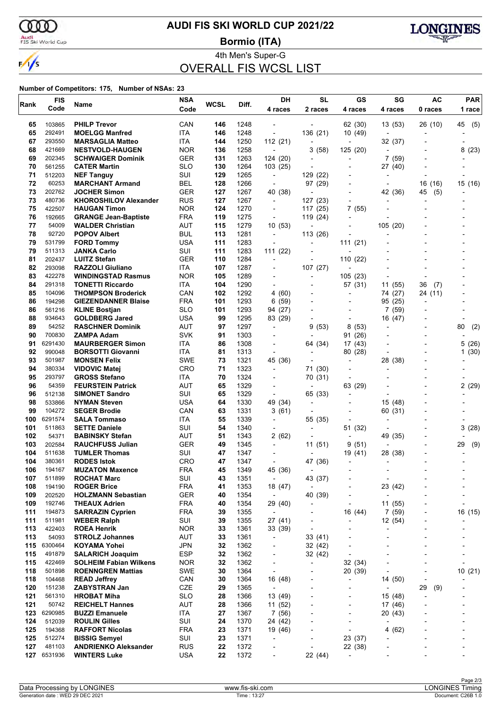

## **AUDI FIS SKI WORLD CUP 2021/22**

Audi<br>FIS Ski World Cup

**Bormio (ITA)**



4th Men's Super-G OVERALL FIS WCSL LIST

| Rank       | <b>FIS</b>        | Name                                                | <b>NSA</b>               | <b>WCSL</b> | Diff.        | DH                                                   | <b>SL</b>                | GS                                    | SG                       | <b>AC</b>                | <b>PAR</b>               |
|------------|-------------------|-----------------------------------------------------|--------------------------|-------------|--------------|------------------------------------------------------|--------------------------|---------------------------------------|--------------------------|--------------------------|--------------------------|
|            | Code              |                                                     | Code                     |             |              | 4 races                                              | 2 races                  | 4 races                               | 4 races                  | 0 races                  | 1 race                   |
| 65         | 103865            | <b>PHILP Trevor</b>                                 | CAN                      | 146         | 1248         |                                                      |                          | 62 (30)                               | 13(53)                   | 26 (10)                  | 45<br>(5)                |
| 65         | 292491            | <b>MOELGG Manfred</b>                               | ITA                      | 146         | 1248         | $\overline{\phantom{a}}$                             | 136 (21)                 | 10 (49)                               |                          |                          |                          |
| 67         | 293550            | <b>MARSAGLIA Matteo</b>                             | ITA                      | 144         | 1250         | 112(21)                                              |                          |                                       | 32 (37)                  |                          |                          |
| 68         | 421669            | <b>NESTVOLD-HAUGEN</b>                              | <b>NOR</b>               | 136         | 1258         | $\overline{a}$                                       | 3(58)                    | 125 (20)                              |                          |                          | 8(23)                    |
| 69         | 202345            | <b>SCHWAIGER Dominik</b>                            | <b>GER</b>               | 131         | 1263         | 124 (20)                                             | $\overline{\phantom{a}}$ | $\overline{\phantom{a}}$              | 7(59)                    |                          |                          |
| 70         | 561255            | <b>CATER Martin</b>                                 | <b>SLO</b>               | 130         | 1264         | 103 (25)                                             |                          |                                       | 27 (40)                  |                          |                          |
| 71         | 512203            | <b>NEF Tanguy</b>                                   | SUI                      | 129         | 1265         | $\blacksquare$                                       | 129 (22)                 |                                       |                          |                          |                          |
| 72         | 60253             | <b>MARCHANT Armand</b>                              | <b>BEL</b>               | 128         | 1266         | $\blacksquare$                                       | 97 (29)                  | $\overline{\phantom{0}}$              |                          | 16 (16)                  | 15 (16)                  |
| 73<br>73   | 202762<br>480736  | <b>JOCHER Simon</b><br><b>KHOROSHILOV Alexander</b> | <b>GER</b><br><b>RUS</b> | 127<br>127  | 1267<br>1267 | 40 (38)                                              | 127 (23)                 | $\overline{\phantom{0}}$              | 42 (36)                  | 45<br>(5)                |                          |
| 75         | 422507            | <b>HAUGAN Timon</b>                                 | <b>NOR</b>               | 124         | 1270         | $\overline{\phantom{a}}$<br>$\overline{\phantom{a}}$ | 117 (25)                 | 7<br>(55)                             |                          |                          |                          |
| 76         | 192665            | <b>GRANGE Jean-Baptiste</b>                         | <b>FRA</b>               | 119         | 1275         | $\overline{\phantom{a}}$                             | 119 (24)                 | $\overline{\phantom{a}}$              |                          |                          |                          |
| 77         | 54009             | <b>WALDER Christian</b>                             | <b>AUT</b>               | 115         | 1279         | 10(53)                                               |                          |                                       | 105 (20)                 |                          |                          |
| 78         | 92720             | <b>POPOV Albert</b>                                 | <b>BUL</b>               | 113         | 1281         | $\overline{\phantom{a}}$                             | 113 (26)                 |                                       |                          |                          |                          |
| 79         | 531799            | <b>FORD Tommy</b>                                   | <b>USA</b>               | 111         | 1283         | $\overline{\phantom{a}}$                             | $\blacksquare$           | 111 (21)                              |                          |                          |                          |
| 79         | 511313            | <b>JANKA Carlo</b>                                  | SUI                      | 111         | 1283         | 111(22)                                              |                          |                                       |                          |                          |                          |
| 81         | 202437            | <b>LUITZ Stefan</b>                                 | <b>GER</b>               | 110         | 1284         | $\overline{\phantom{a}}$                             | $\overline{\phantom{a}}$ | 110<br>(22)                           |                          |                          |                          |
| 82         | 293098            | <b>RAZZOLI Giuliano</b>                             | ITA                      | 107         | 1287         | $\overline{\phantom{a}}$                             | 107 (27)                 |                                       | $\overline{a}$           |                          |                          |
| 83         | 422278            | <b>WINDINGSTAD Rasmus</b>                           | <b>NOR</b>               | 105         | 1289         |                                                      |                          | 105(23)                               |                          |                          |                          |
| 84         | 291318            | <b>TONETTI Riccardo</b>                             | ITA                      | 104         | 1290         | $\blacksquare$                                       |                          | 57 (31)                               | 11 (55)                  | 36<br>(7)                |                          |
| 85         | 104096            | <b>THOMPSON Broderick</b>                           | CAN                      | 102         | 1292         | 4 (60)                                               |                          | $\overline{a}$                        | 74 (27)                  | 24 (11)                  |                          |
| 86         | 194298            | <b>GIEZENDANNER Blaise</b>                          | <b>FRA</b>               | 101         | 1293         | 6(59)                                                |                          |                                       | 95 (25)                  |                          |                          |
| 86<br>88   | 561216<br>934643  | <b>KLINE Bostjan</b>                                | <b>SLO</b><br><b>USA</b> | 101<br>99   | 1293<br>1295 | 94 (27)                                              | $\blacksquare$           | $\overline{a}$                        | 7(59)                    |                          |                          |
| 89         | 54252             | <b>GOLDBERG Jared</b><br><b>RASCHNER Dominik</b>    | AUT                      | 97          | 1297         | 83 (29)<br>$\blacksquare$                            | 9<br>(53)                | $\overline{\phantom{a}}$<br>(53)<br>8 | 16 (47)                  |                          | 80<br>(2)                |
| 90         | 700830            | <b>ZAMPA Adam</b>                                   | <b>SVK</b>               | 91          | 1303         |                                                      |                          | 91 (26)                               |                          |                          |                          |
| 91         | 6291430           | <b>MAURBERGER Simon</b>                             | ITA.                     | 86          | 1308         | $\overline{a}$                                       | 64 (34)                  | 17 (43)                               |                          |                          | 5 (26)                   |
| 92         | 990048            | <b>BORSOTTI Giovanni</b>                            | <b>ITA</b>               | 81          | 1313         |                                                      |                          | 80 (28)                               |                          |                          | 1(30)                    |
| 93         | 501987            | <b>MONSEN Felix</b>                                 | <b>SWE</b>               | 73          | 1321         | 45 (36)                                              |                          | $\overline{\phantom{a}}$              | 28 (38)                  |                          |                          |
| 94         | 380334            | <b>VIDOVIC Matej</b>                                | CRO                      | 71          | 1323         | $\overline{\phantom{a}}$                             | 71 (30)                  | $\overline{\phantom{a}}$              | $\blacksquare$           |                          |                          |
| 95         | 293797            | <b>GROSS Stefano</b>                                | ITA                      | 70          | 1324         |                                                      | 70 (31)                  |                                       |                          |                          |                          |
| 96         | 54359             | <b>FEURSTEIN Patrick</b>                            | <b>AUT</b>               | 65          | 1329         | $\overline{\phantom{a}}$                             | $\overline{\phantom{a}}$ | 63 (29)                               |                          |                          | 2(29)                    |
| 96         | 512138            | <b>SIMONET Sandro</b>                               | SUI                      | 65          | 1329         | $\overline{\phantom{a}}$                             | 65 (33)                  | $\blacksquare$                        |                          |                          |                          |
| 98         | 533866            | <b>NYMAN Steven</b>                                 | <b>USA</b>               | 64          | 1330         | 49 (34)                                              |                          |                                       | 15 (48)                  |                          |                          |
| 99         | 104272            | <b>SEGER Brodie</b>                                 | CAN                      | 63          | 1331         | 3 (61)                                               | $\overline{\phantom{a}}$ | $\overline{a}$                        | 60 (31)                  |                          |                          |
| 100        | 6291574           | <b>SALA Tommaso</b>                                 | ITA                      | 55          | 1339         | $\overline{\phantom{a}}$                             | 55 (35)                  | $\overline{\phantom{a}}$              | $\overline{\phantom{a}}$ |                          |                          |
| 101<br>102 | 511863<br>54371   | <b>SETTE Daniele</b><br><b>BABINSKY Stefan</b>      | SUI<br><b>AUT</b>        | 54<br>51    | 1340<br>1343 | $\overline{\phantom{a}}$<br>2(62)                    | $\overline{\phantom{a}}$ | 51 (32)<br>$\overline{\phantom{0}}$   |                          |                          | 3<br>(28)                |
| 103        | 202584            | <b>RAUCHFUSS Julian</b>                             | <b>GER</b>               | 49          | 1345         | $\overline{\phantom{a}}$                             | 11 (51)                  | 9<br>(51)                             | 49 (35)                  |                          | 29<br>(9)                |
| 104        | 511638            | <b>TUMLER Thomas</b>                                | SUI                      | 47          | 1347         |                                                      |                          | 19 (41)                               | 28 (38)                  |                          |                          |
| 104        | 380361            | <b>RODES Istok</b>                                  | CRO                      | 47          | 1347         |                                                      | 47 (36)                  |                                       |                          |                          |                          |
| 106        | 194167            | <b>MUZATON Maxence</b>                              | FRA                      | 45          | 1349         | 45 (36)                                              |                          |                                       |                          |                          |                          |
| 107        | 511899            | <b>ROCHAT Marc</b>                                  | SUI                      | 43          | 1351         | $\blacksquare$                                       | 43 (37)                  |                                       | $\overline{a}$           |                          |                          |
| 108        | 194190            | <b>ROGER Brice</b>                                  | <b>FRA</b>               | 41          | 1353         | 18 (47)                                              | $\overline{\phantom{a}}$ |                                       | 23 (42)                  |                          |                          |
| 109        | 202520            | <b>HOLZMANN Sebastian</b>                           | GER                      | 40          | 1354         | $\blacksquare$                                       | 40 (39)                  | ٠                                     | $\overline{\phantom{a}}$ |                          |                          |
| 109        | 192746            | <b>THEAUX Adrien</b>                                | <b>FRA</b>               | 40          | 1354         | 29 (40)                                              | ٠                        | ٠                                     | 11 (55)                  |                          |                          |
| 111        | 194873            | <b>SARRAZIN Cyprien</b>                             | <b>FRA</b>               | 39          | 1355         | $\overline{\phantom{a}}$                             | $\overline{a}$           | 16 (44)                               | 7(59)                    |                          | 16 (15)                  |
| 111        | 511981            | <b>WEBER Ralph</b>                                  | SUI                      | 39          | 1355         | 27 (41)                                              | $\overline{a}$           | $\overline{a}$                        | 12 (54)                  | $\overline{\phantom{a}}$ |                          |
| 113        | 422403            | <b>ROEA Henrik</b>                                  | <b>NOR</b>               | 33          | 1361         | 33 (39)                                              | $\overline{a}$           | $\overline{a}$                        | ÷,                       |                          |                          |
| 113        | 54093             | <b>STROLZ Johannes</b>                              | <b>AUT</b><br><b>JPN</b> | 33<br>32    | 1361         | $\overline{\phantom{a}}$                             | 33 (41)                  |                                       | $\blacksquare$           |                          |                          |
| 115<br>115 | 6300464<br>491879 | <b>KOYAMA Yohei</b><br><b>SALARICH Joaquim</b>      | <b>ESP</b>               | 32          | 1362<br>1362 | $\overline{\phantom{a}}$<br>-                        | 32 (42)<br>32 (42)       | $\overline{a}$                        |                          |                          |                          |
| 115        | 422469            | <b>SOLHEIM Fabian Wilkens</b>                       | <b>NOR</b>               | 32          | 1362         | $\overline{\phantom{a}}$                             | $\overline{\phantom{a}}$ | 32 (34)                               | L,                       |                          |                          |
| 118        | 501898            | <b>ROENNGREN Mattias</b>                            | <b>SWE</b>               | 30          | 1364         | $\overline{\phantom{a}}$                             | $\overline{a}$           | 20 (39)                               | ÷,                       |                          | 10(21)                   |
| 118        | 104468            | <b>READ Jeffrey</b>                                 | CAN                      | 30          | 1364         | 16 (48)                                              |                          | -                                     | 14 (50)                  |                          |                          |
| 120        | 151238            | <b>ZABYSTRAN Jan</b>                                | CZE                      | 29          | 1365         | $\overline{\phantom{a}}$                             |                          |                                       | $\overline{a}$           | 29<br>(9)                |                          |
| 121        | 561310            | <b>HROBAT Miha</b>                                  | <b>SLO</b>               | 28          | 1366         | 13 (49)                                              | $\overline{a}$           | $\overline{a}$                        | 15 (48)                  | $\overline{\phantom{a}}$ |                          |
| 121        | 50742             | <b>REICHELT Hannes</b>                              | <b>AUT</b>               | 28          | 1366         | 11 (52)                                              |                          | ٠                                     | 17 (46)                  |                          |                          |
| 123        | 6290985           | <b>BUZZI Emanuele</b>                               | ITA                      | 27          | 1367         | 7(56)                                                | $\overline{a}$           | $\overline{\phantom{0}}$              | 20(43)                   |                          |                          |
| 124        | 512039            | <b>ROULIN Gilles</b>                                | SUI                      | 24          | 1370         | 24 (42)                                              | ٠                        | $\overline{a}$                        | ÷,                       |                          | $\overline{\phantom{a}}$ |
| 125        | 194368            | <b>RAFFORT Nicolas</b>                              | <b>FRA</b>               | 23          | 1371         | 19 (46)                                              |                          | ٠                                     | 4(62)                    |                          |                          |
| 125        | 512274            | <b>BISSIG Semyel</b>                                | SUI                      | 23          | 1371         | $\overline{\phantom{a}}$                             |                          | 23 (37)                               | $\overline{a}$           |                          |                          |
| 127        | 481103            | <b>ANDRIENKO Aleksander</b>                         | <b>RUS</b>               | 22          | 1372         | $\overline{a}$                                       | $\overline{a}$           | 22 (38)                               | $\overline{\phantom{a}}$ |                          |                          |
| 127        | 6531936           | <b>WINTERS Luke</b>                                 | <b>USA</b>               | 22          | 1372         | -                                                    | 22 (44)                  |                                       |                          |                          |                          |
|            |                   |                                                     |                          |             |              |                                                      |                          |                                       |                          |                          |                          |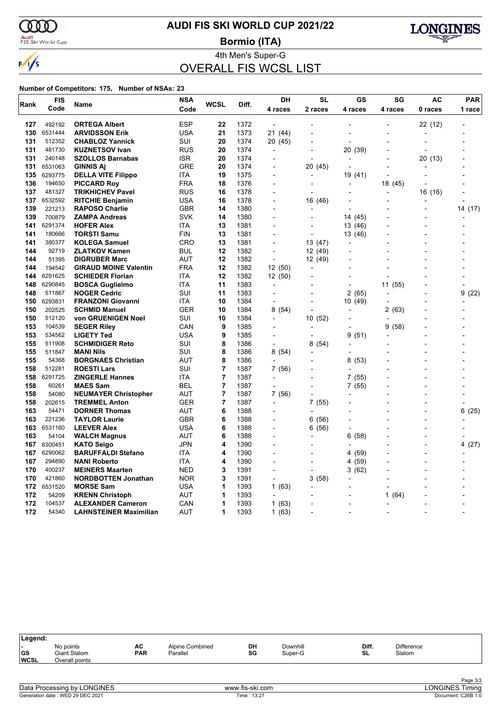

 $\frac{1}{\sqrt{2}}$ 

## **AUDI FIS SKI WORLD CUP 2021/22**

Audi<br>FIS Ski World Cup

**Bormio (ITA)**



4th Men's Super-G OVERALL FIS WCSL LIST

| Rank       | <b>FIS</b>        | Name                                             | <b>NSA</b> | <b>WCSL</b> | Diff.        | <b>DH</b>                      | <b>SL</b>                | GS                       | SG                       | AC      | <b>PAR</b> |  |
|------------|-------------------|--------------------------------------------------|------------|-------------|--------------|--------------------------------|--------------------------|--------------------------|--------------------------|---------|------------|--|
|            | Code              |                                                  | Code       |             |              | 4 races                        | 2 races                  | 4 races                  | 4 races                  | 0 races | 1 race     |  |
| 127        | 492192            | <b>ORTEGA Albert</b>                             | <b>ESP</b> | 22          | 1372         | $\overline{a}$                 |                          |                          |                          | 22 (12) |            |  |
| 130        | 6531444           | <b>ARVIDSSON Erik</b>                            | USA        | 21          | 1373         | 21 (44)                        |                          |                          | $\overline{a}$           |         |            |  |
| 131        | 512352            | <b>CHABLOZ Yannick</b>                           | SUI        | 20          | 1374         | 20 (45)                        |                          |                          |                          | L.      |            |  |
| 131        | 481730            | <b>KUZNETSOV Ivan</b>                            | RUS        | 20          | 1374         | $\overline{a}$                 |                          | 20 (39)                  |                          |         |            |  |
| 131        | 240148            | <b>SZOLLOS Barnabas</b>                          | ISR        | 20          | 1374         | $\overline{\phantom{a}}$       | $\overline{a}$           |                          |                          | 20 (13) |            |  |
| 131        | 6531063           | <b>GINNIS AI</b>                                 | <b>GRE</b> | 20          | 1374         |                                | 20 (45)                  |                          |                          |         |            |  |
| 135        | 6293775           | <b>DELLA VITE Filippo</b>                        | ITA        | 19          | 1375         | $\overline{\phantom{a}}$       |                          | 19 (41)                  |                          |         |            |  |
| 136        | 194650            | <b>PICCARD Roy</b>                               | FRA        | 18          | 1376         |                                |                          |                          | 18 (45)                  |         |            |  |
| 137        | 481327            | <b>TRIKHICHEV Pavel</b>                          | RUS        | 16          | 1378         |                                |                          |                          |                          | 16 (16) |            |  |
| 137 -      | 6532592           | <b>RITCHIE Benjamin</b>                          | USA        | 16          | 1378         | $\overline{a}$                 | 16 (46)                  |                          |                          |         |            |  |
| 139        | 221213            | <b>RAPOSO Charlie</b>                            | GBR        | 14          | 1380         |                                |                          |                          |                          |         | 14 (17)    |  |
| 139        | 700879            | <b>ZAMPA Andreas</b>                             | SVK        | 14          | 1380         |                                |                          | 14 (45)                  |                          |         |            |  |
| 141        | 6291374           | <b>HOFER Alex</b>                                | ITA        | 13          | 1381         |                                |                          | 13 (46)                  |                          |         |            |  |
| 141        | 180666            | <b>TORSTI Samu</b>                               | FIN        | 13          | 1381         |                                |                          | 13 (46)                  |                          |         |            |  |
| 141        | 380377            | <b>KOLEGA Samuel</b>                             | CRO        | 13          | 1381         |                                | 13 (47)                  |                          |                          |         |            |  |
| 144        | 92719             | <b>ZLATKOV Kamen</b>                             | BUL        | 12          | 1382         | L,                             | 12 (49)                  |                          |                          |         |            |  |
| 144        | 51395             | <b>DIGRUBER Marc</b>                             | AUT        | 12          | 1382         | ÷,                             | 12 (49)                  |                          |                          |         |            |  |
| 144        | 194542            | <b>GIRAUD MOINE Valentin</b>                     | <b>FRA</b> | 12          | 1382         | 12 (50)                        | ÷,                       |                          |                          |         |            |  |
| 144        | 6291625           | <b>SCHIEDER Florian</b>                          | ITA        | 12<br>11    | 1382         | 12 (50)                        |                          |                          |                          |         |            |  |
| 148<br>148 | 6290845<br>511867 | <b>BOSCA Guglielmo</b>                           | ITA        |             | 1383         | $\overline{\phantom{a}}$<br>L, |                          |                          | 11<br>(55)               |         | 9          |  |
|            | 6293831           | <b>NOGER Cedric</b>                              | SUI<br>ITA | 11<br>10    | 1383         | ÷,                             |                          | 2(65)                    |                          |         | (22)       |  |
| 150<br>150 | 202525            | <b>FRANZONI Giovanni</b><br><b>SCHMID Manuel</b> | <b>GER</b> | 10          | 1384<br>1384 | 8(54)                          | $\overline{\phantom{a}}$ | 10(49)                   | (63)<br>2                |         |            |  |
| 150        | 512120            | von GRUENIGEN Noel                               | SUI        | 10          | 1384         | $\overline{a}$                 | 10 (52)                  |                          |                          |         |            |  |
| 153        | 104539            | <b>SEGER Riley</b>                               | CAN        | 9           | 1385         | $\overline{a}$                 |                          |                          | 9<br>(58)                |         |            |  |
| 153        | 534562            | <b>LIGETY Ted</b>                                | USA        | 9           | 1385         |                                |                          | 9 (51)                   |                          |         |            |  |
| 155        | 511908            | <b>SCHMIDIGER Reto</b>                           | SUI        | 8           | 1386         | ÷,                             | 8 (54)                   |                          |                          |         |            |  |
| 155        | 511847            | <b>MANI Nils</b>                                 | SUI        | 8           | 1386         | 8(54)                          |                          |                          |                          |         |            |  |
| 155        | 54368             | <b>BORGNAES Christian</b>                        | AUT        | 8           | 1386         |                                |                          | 8 (53)                   |                          |         |            |  |
| 158        | 512281            | <b>ROESTI Lars</b>                               | SUI        | 7           | 1387         | 7 (56)                         |                          |                          |                          |         |            |  |
| 158        | 6291725           | <b>ZINGERLE Hannes</b>                           | ITA        | 7           | 1387         | $\overline{a}$                 |                          | 7 (55)                   |                          |         |            |  |
| 158        | 60261             | <b>MAES Sam</b>                                  | <b>BEL</b> | 7           | 1387         | $\blacksquare$                 | $\overline{\phantom{a}}$ | 7(55)                    |                          |         |            |  |
| 158        | 54080             | <b>NEUMAYER Christopher</b>                      | AUT        | 7           | 1387         | 7 (56)                         | $\overline{a}$           |                          |                          |         |            |  |
| 158        | 202615            | <b>TREMMEL Anton</b>                             | GER        | 7           | 1387         | $\overline{a}$                 | 7(55)                    |                          |                          |         |            |  |
| 163        | 54471             | <b>DORNER Thomas</b>                             | <b>AUT</b> | 6           | 1388         | $\overline{a}$                 | L,                       |                          |                          |         | 6<br>(25)  |  |
| 163        | 221236            | <b>TAYLOR Laurie</b>                             | <b>GBR</b> | 6           | 1388         | $\overline{\phantom{a}}$       | 6 (56)                   |                          |                          | ÷,      |            |  |
| 163        | 6531160           | <b>LEEVER Alex</b>                               | <b>USA</b> | 6           | 1388         |                                | 6 (56)                   |                          |                          |         |            |  |
| 163        | 54104             | <b>WALCH Magnus</b>                              | AUT        | 6           | 1388         | $\overline{a}$                 | L,                       | (58)<br>6                |                          | L.      |            |  |
| 167        | 6300451           | <b>KATO Seigo</b>                                | JPN        | 4           | 1390         |                                |                          |                          |                          |         | 4 (27)     |  |
| 167        | 6290062           | <b>BARUFFALDI Stefano</b>                        | ITA        | 4           | 1390         | $\overline{a}$                 |                          | 4 (59)                   |                          | ÷,      |            |  |
| 167        | 294890            | <b>NANI Roberto</b>                              | ITA        | 4           | 1390         |                                |                          | 4 (59)                   |                          |         |            |  |
| 170        | 400237            | <b>MEINERS Maarten</b>                           | <b>NED</b> | 3           | 1391         | $\overline{a}$                 | $\overline{a}$           | (62)<br>3                |                          | L.      |            |  |
| 170        | 421860            | <b>NORDBOTTEN Jonathan</b>                       | <b>NOR</b> | 3           | 1391         | $\overline{a}$                 | 3(58)                    |                          |                          |         |            |  |
| 172        | 6531520           | <b>MORSE Sam</b>                                 | USA        | 1           | 1393         | 1(63)                          |                          |                          |                          |         |            |  |
| 172        | 54209             | <b>KRENN Christoph</b>                           | AUT        | 1           | 1393         |                                |                          |                          | 1<br>(64)                |         |            |  |
| 172        | 104537            | <b>ALEXANDER Cameron</b>                         | CAN        | 1           | 1393         | 1(63)                          |                          | $\overline{a}$           |                          |         |            |  |
| 172        | 54340             | <b>LAHNSTEINER Maximilian</b>                    | AUT        | 1           | 1393         | 1(63)                          | $\overline{\phantom{a}}$ | $\overline{\phantom{a}}$ | $\overline{\phantom{a}}$ |         |            |  |

| Legend:                                              |                                             |                  |                             |          |                     |             |                             |  |
|------------------------------------------------------|---------------------------------------------|------------------|-----------------------------|----------|---------------------|-------------|-----------------------------|--|
| $\overline{\phantom{0}}$<br><b>GS</b><br><b>WCSL</b> | No points<br>Giant Slalom<br>Overall points | AC<br><b>PAR</b> | Alpine Combined<br>Parallel | DH<br>SG | Downhill<br>Super-G | Diff.<br>SL | <b>Difference</b><br>Slalom |  |
|                                                      |                                             |                  |                             |          |                     |             |                             |  |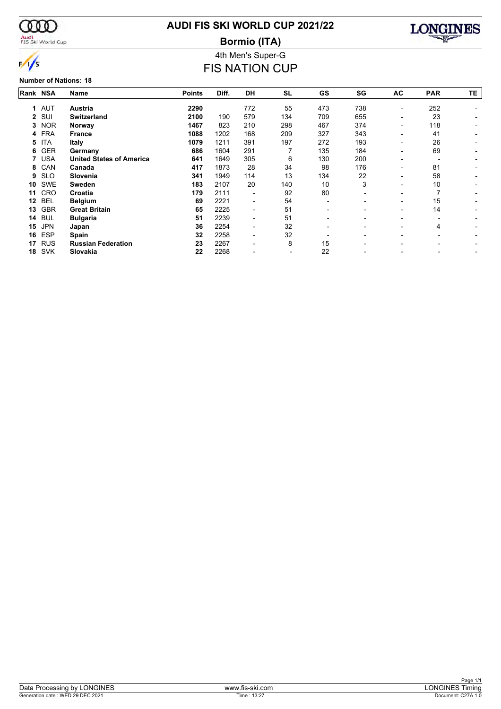

#### Audi<br>FIS Ski World Cup

## **AUDI FIS SKI WORLD CUP 2021/22**

**Bormio (ITA)**



4th Men's Super-G

**Number of Nations: 18**

### FIS NATION CUP **Rank Name NSA Points Diff. DH SL GS SG AC PAR TE 1 Austria** AUT **2290** 772 55 473 738 - 252 - **2 Switzerland** SUI **2100** 190 579 134 709 655 - 23 - **3 Norway** NOR **1467** 823 210 298 467 374 - 118 - **4 France** FRA **1088** 1202 168 209 327 343 - 41 - **5 Italy** ITA **1079** 1211 391 197 272 193 - 26 - **6 Germany** GER **686** 1604 291 7 135 184 - 69 - **7 United States of America** USA **641** 1649 305 6 130 200 - - -

**8 Canada** CAN **417** 1873 28 34 98 176 - 81 - **9 Slovenia** SLO **341** 1949 114 13 134 22 - 58 - **10 Sweden** SWE **183** 2107 20 140 10 3 - 10 - **11 Croatia** CRO **179** 2111 - 92 80 - - 7 - **12 Belgium** BEL **69** 2221 - 54 - - - 15 - **13 Great Britain** GBR **65** 2225 - 51 - - - 14 - **14 Bulgaria** BUL **51** 2239 - 51 - - - - - **15 Japan** JPN **36** 2254 - 32 - - - 4 - **16 Spain** ESP **32** 2258 - 32 - - - - - **17 Russian Federation** RUS **23** 2267 - 8 15 - - - - **18 Slovakia** SVK **22** 2268 - - 22 - - - -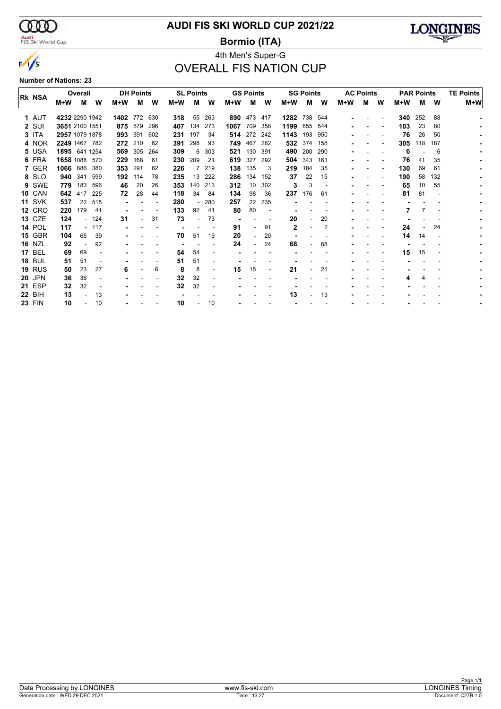

## Audi<br>FIS Ski World Cup

## **AUDI FIS SKI WORLD CUP 2021/22**

**Bormio (ITA)**



## 4th Men's Super-G OVERALL FIS NATION CUP

**Number of Nations: 23**

| <b>RK NSA</b> |                | Overall |        |          | <b>DH Points</b> |     |       | <b>SL Points</b> |                |      | <b>GS Points</b> |     |              | <b>SG Points</b> |     |       | <b>AC Points</b> |   |     | <b>PAR Points</b> |     | <b>TE Points</b> |
|---------------|----------------|---------|--------|----------|------------------|-----|-------|------------------|----------------|------|------------------|-----|--------------|------------------|-----|-------|------------------|---|-----|-------------------|-----|------------------|
|               | M+W            | м       | W      | $M+W$    | м                | W   | $M+W$ | м                | W              | M+W  | м                | W   | $M+W$        | м                | W   | $M+W$ | м                | W | M+W | м                 | W   | $M+W$            |
| 1 AUT         | 4232 2290 1942 |         |        | 1402 772 |                  | 630 | 318   | 55               | 263            | 890  | 473              | 417 | 1282         | 738              | 544 |       |                  |   | 340 | 252               | 88  |                  |
| 2 SUI         | 3651 2100 1551 |         |        |          | 875 579          | 296 | 407   | 134              | 273            | 1067 | 709              | 358 | 1199 655     |                  | 544 |       |                  |   | 103 | 23                | 80  |                  |
| 3 ITA         | 2957 1079 1878 |         |        | 993      | 391              | 602 | 231   | 197              | 34             | 514  | 272              | 242 | 1143         | 193              | 950 |       |                  |   | 76  | 26                | 50  |                  |
| 4 NOR         | 2249 1467 782  |         |        | 272      | 210              | 62  | 391   | 298              | 93             | 749  | 467              | 282 | 532          | 374              | 158 |       |                  |   | 305 | 118               | 187 |                  |
| 5 USA         | 1895 641 1254  |         |        | 569      | 305              | 264 | 309   | 6                | 303            | 521  | 130              | 391 | 490          | 200              | 290 |       |                  |   | 6   |                   | 6   |                  |
| 6 FRA         | 1658 1088 570  |         |        | 229      | 168              | 61  | 230   | 209              | 21             | 619  | 327              | 292 |              | 504 343          | 161 |       |                  |   | 76  | 41                | 35  |                  |
| 7 GER         | 1066           | 686     | 380    | 353      | 291              | 62  | 226   |                  | 219            | 138  | 135              | 3   | 219          | 184              | 35  |       |                  |   | 130 | 69                | 61  |                  |
| 8 SLO         | 940            | -341    | 599    | 192      | 114              | 78  | 235   | 13               | 222            | 286  | 134              | 152 | 37           | 22               | 15  |       |                  |   | 190 | 58                | 132 |                  |
| 9 SWE         | 779            | 183     | 596    | 46       | 20               | 26  | 353   | 140              | 213            | 312  | 10               | 302 | 3            | 3                |     |       |                  |   | 65  | 10                | 55  |                  |
| <b>10 CAN</b> | 642            | 417     | 225    | 72       | 28               | 44  | 118   | 34               | 84             | 134  | 98               | 36  | 237          | 176              | 61  |       |                  |   | 81  | 81                |     |                  |
| <b>11 SVK</b> | 537            | 22      | 515    |          |                  |     | 280   |                  | 280            | 257  | 22               | 235 |              |                  |     |       |                  |   |     |                   |     |                  |
| <b>12 CRO</b> | 220            | 179     | 41     |          |                  |     | 133   | 92               | 41             | 80   | 80               |     |              |                  |     |       |                  |   |     |                   |     |                  |
| <b>13 CZE</b> | 124            |         | - 124  | 31       |                  | 31  | 73    |                  | 73             |      |                  |     | 20           |                  | 20  |       |                  |   |     |                   |     |                  |
| <b>14 POL</b> | 117            |         | $-117$ |          |                  |     |       |                  |                | 91   |                  | 91  | $\mathbf{2}$ |                  | 2   |       |                  |   | 24  |                   | 24  |                  |
| <b>15 GBR</b> | 104            | 65      | 39     |          |                  |     | 70    | 51               | 19             | 20   |                  | 20  |              |                  |     |       |                  |   | 14  | 14                |     |                  |
| <b>16 NZL</b> | 92             |         | 92     |          |                  |     |       |                  |                | 24   |                  | 24  | 68           |                  | 68  |       |                  |   |     |                   |     |                  |
| <b>17 BEL</b> | 69             | 69      |        |          |                  |     | 54    | 54               |                |      |                  |     |              |                  |     |       |                  |   | 15  | 15                |     |                  |
| <b>18 BUL</b> | 51             | 51      |        |          |                  |     | 51    | 51               |                |      |                  |     |              |                  |     |       |                  |   |     |                   |     |                  |
| <b>19 RUS</b> | 50             | 23      | 27     | 6        |                  | 6   | 8     | 8                | $\blacksquare$ | 15   | 15               |     | 21           |                  | 21  |       |                  |   |     |                   |     |                  |
| <b>20 JPN</b> | 36             | 36      |        |          |                  |     | 32    | 32               |                |      |                  |     |              |                  |     |       |                  |   |     |                   |     |                  |
| <b>21 ESP</b> | 32             | 32      |        |          |                  |     | 32    | 32               |                |      |                  |     |              |                  |     |       |                  |   |     |                   |     |                  |
| <b>22 BIH</b> | 13             |         | 13     |          |                  |     |       |                  |                |      |                  |     | 13           |                  | 13  |       |                  |   |     |                   |     |                  |
| <b>23 FIN</b> | 10             |         | 10     |          |                  |     | 10    |                  | 10             |      |                  |     |              |                  |     |       |                  |   |     |                   |     |                  |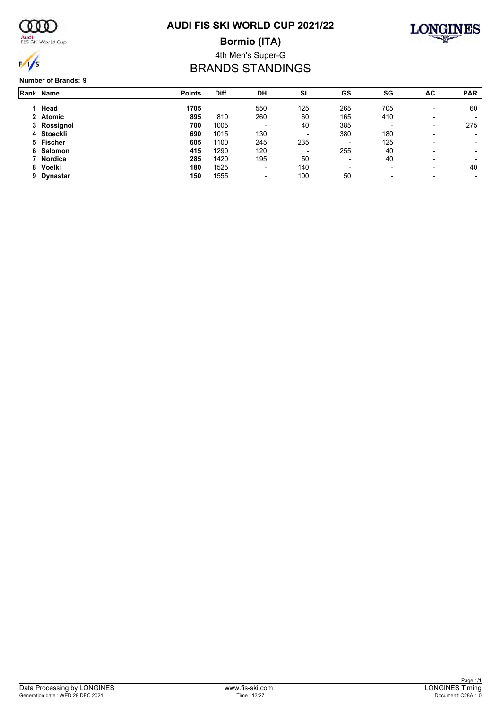

 $\frac{1}{\sqrt{2}}$ 

Audi<br>FIS Ski World Cup

## **AUDI FIS SKI WORLD CUP 2021/22**

**Bormio (ITA)**



## 4th Men's Super-G BRANDS STANDINGS

#### **Number of Brands: 9**

|   | Rank Name   | <b>Points</b> | Diff. | DH                       | SL                       | GS                       | SG                       | AC                       | <b>PAR</b>               |
|---|-------------|---------------|-------|--------------------------|--------------------------|--------------------------|--------------------------|--------------------------|--------------------------|
|   | Head        | 1705          |       | 550                      | 125                      | 265                      | 705                      | $\overline{\phantom{0}}$ | 60                       |
|   | 2 Atomic    | 895           | 810   | 260                      | 60                       | 165                      | 410                      |                          |                          |
|   | 3 Rossignol | 700           | 1005  | $\overline{\phantom{0}}$ | 40                       | 385                      | $\overline{\phantom{0}}$ | -                        | 275                      |
|   | 4 Stoeckli  | 690           | 1015  | 130                      | $\overline{\phantom{a}}$ | 380                      | 180                      |                          |                          |
|   | 5 Fischer   | 605           | 1100  | 245                      | 235                      | $\overline{\phantom{0}}$ | 125                      | -                        | $\overline{\phantom{a}}$ |
|   | 6 Salomon   | 415           | 1290  | 120                      | $\overline{\phantom{a}}$ | 255                      | 40                       |                          |                          |
|   | 7 Nordica   | 285           | 1420  | 195                      | 50                       | $\overline{\phantom{a}}$ | 40                       | $\overline{\phantom{0}}$ |                          |
|   | 8 Voelkl    | 180           | 1525  | -                        | 140                      | $\overline{\phantom{0}}$ | $\overline{\phantom{a}}$ |                          | 40                       |
| 9 | Dynastar    | 150           | 1555  | $\overline{\phantom{0}}$ | 100                      | 50                       | $\overline{\phantom{0}}$ |                          |                          |
|   |             |               |       |                          |                          |                          |                          |                          |                          |